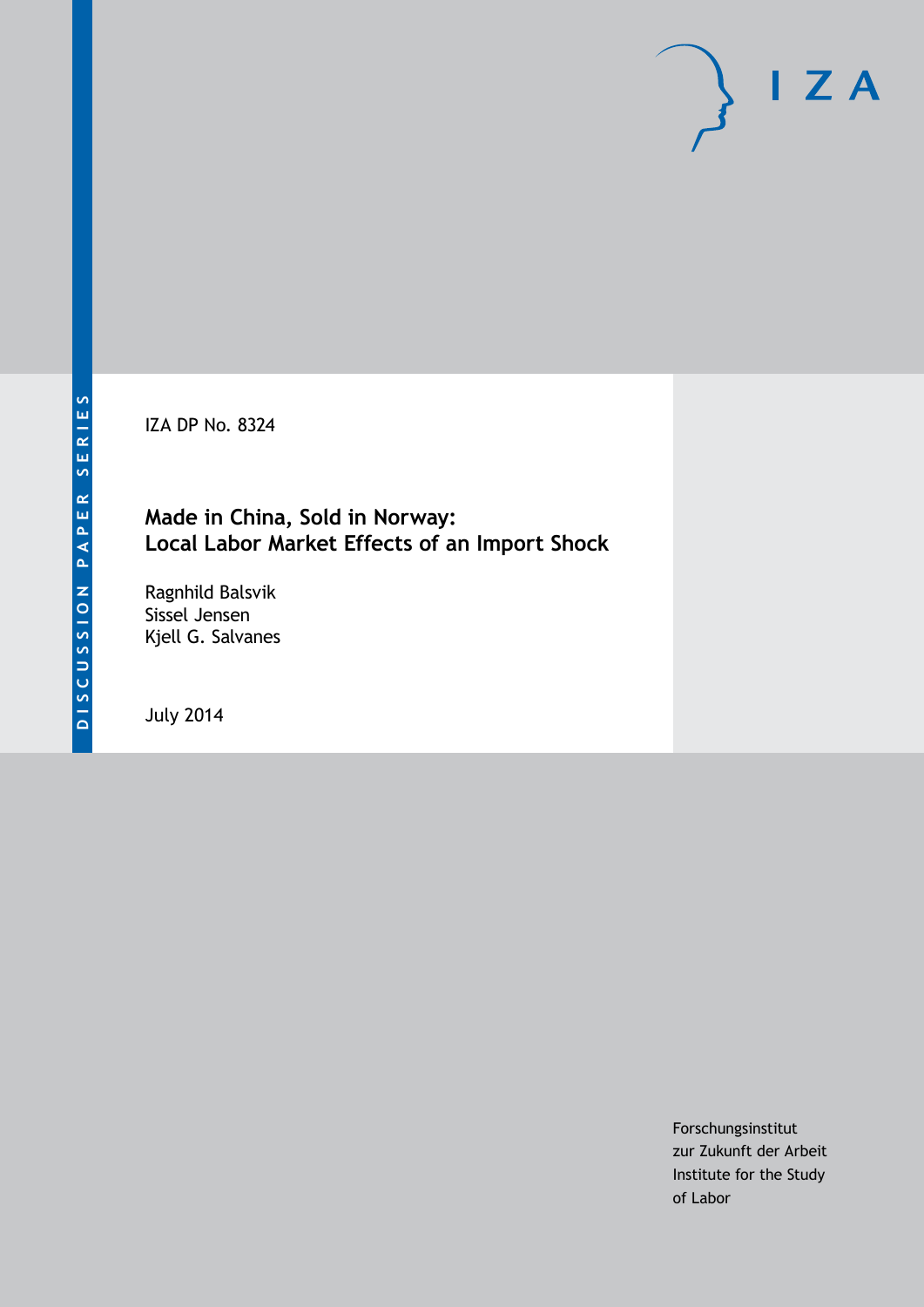IZA DP No. 8324

#### **Made in China, Sold in Norway: Local Labor Market Effects of an Import Shock**

Ragnhild Balsvik Sissel Jensen Kjell G. Salvanes

July 2014

Forschungsinstitut zur Zukunft der Arbeit Institute for the Study of Labor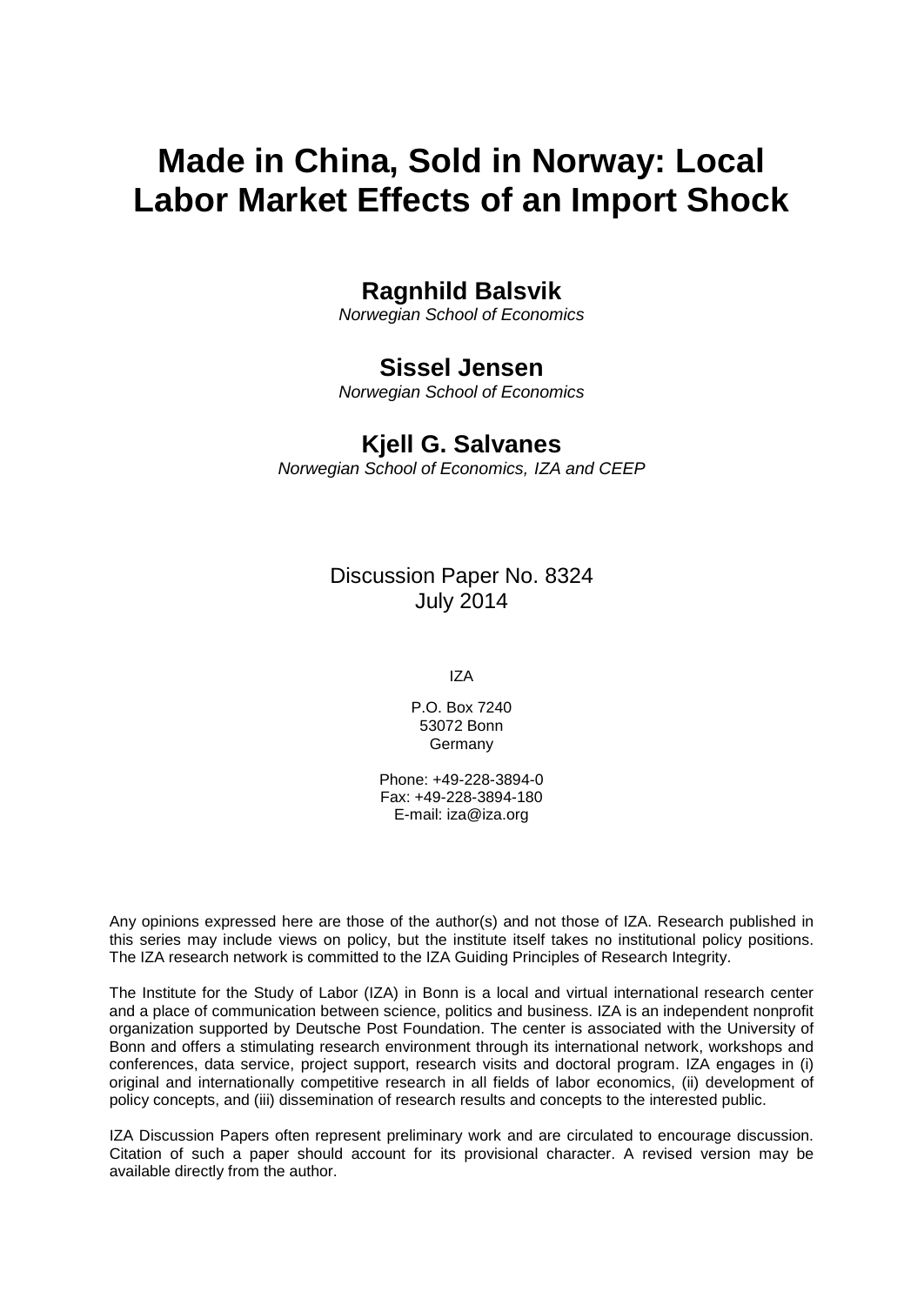# **Made in China, Sold in Norway: Local Labor Market Effects of an Import Shock**

#### **Ragnhild Balsvik**

*Norwegian School of Economics*

#### **Sissel Jensen**

*Norwegian School of Economics*

#### **Kjell G. Salvanes**

*Norwegian School of Economics, IZA and CEEP*

Discussion Paper No. 8324 July 2014

IZA

P.O. Box 7240 53072 Bonn Germany

Phone: +49-228-3894-0 Fax: +49-228-3894-180 E-mail: [iza@iza.org](mailto:iza@iza.org)

Any opinions expressed here are those of the author(s) and not those of IZA. Research published in this series may include views on policy, but the institute itself takes no institutional policy positions. The IZA research network is committed to the IZA Guiding Principles of Research Integrity.

The Institute for the Study of Labor (IZA) in Bonn is a local and virtual international research center and a place of communication between science, politics and business. IZA is an independent nonprofit organization supported by Deutsche Post Foundation. The center is associated with the University of Bonn and offers a stimulating research environment through its international network, workshops and conferences, data service, project support, research visits and doctoral program. IZA engages in (i) original and internationally competitive research in all fields of labor economics, (ii) development of policy concepts, and (iii) dissemination of research results and concepts to the interested public.

<span id="page-1-0"></span>IZA Discussion Papers often represent preliminary work and are circulated to encourage discussion. Citation of such a paper should account for its provisional character. A revised version may be available directly from the author.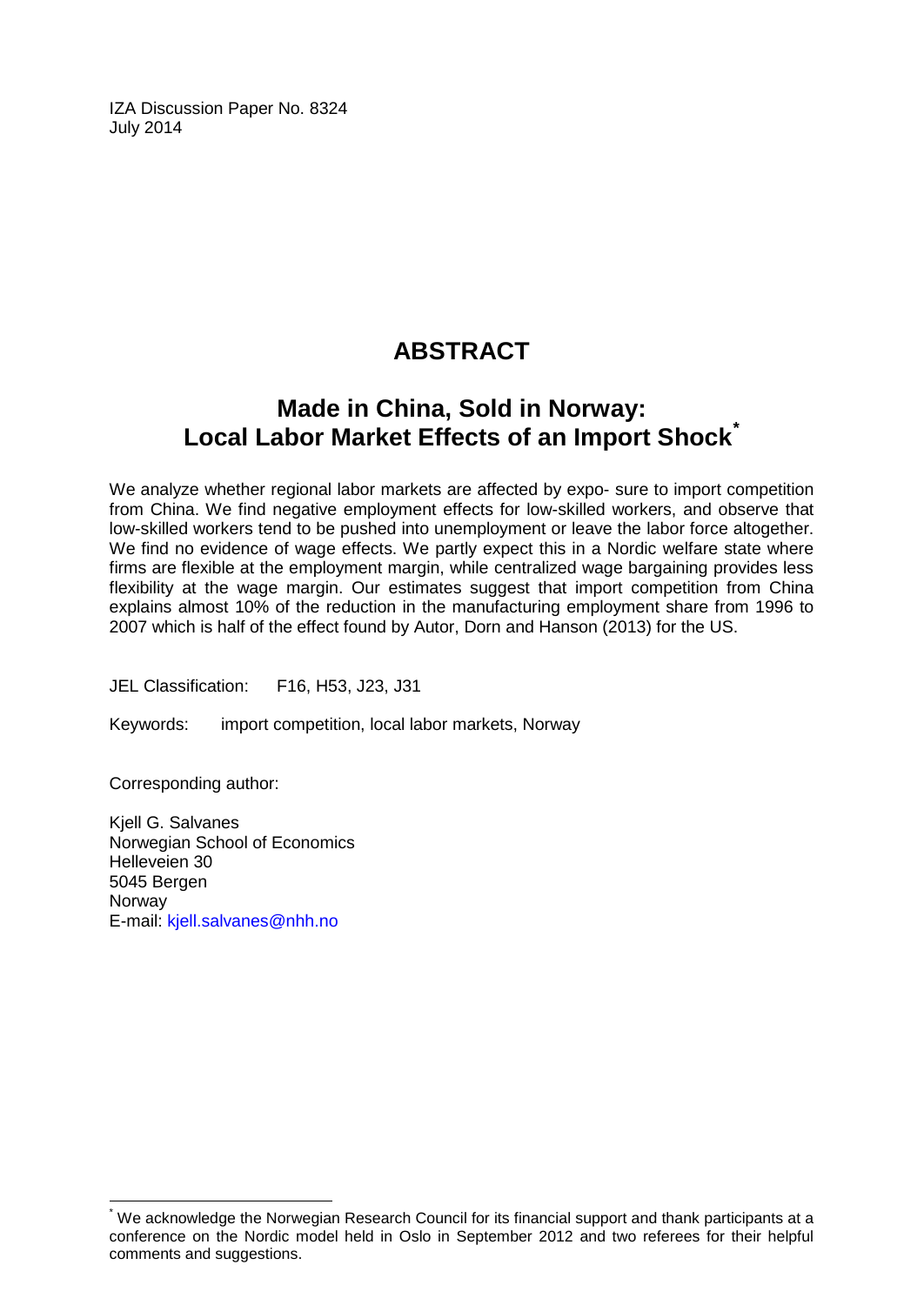IZA Discussion Paper No. 8324 July 2014

## **ABSTRACT**

## **Made in China, Sold in Norway: Local Labor Market Effects of an Import Shock[\\*](#page-1-0)**

We analyze whether regional labor markets are affected by expo- sure to import competition from China. We find negative employment effects for low-skilled workers, and observe that low-skilled workers tend to be pushed into unemployment or leave the labor force altogether. We find no evidence of wage effects. We partly expect this in a Nordic welfare state where firms are flexible at the employment margin, while centralized wage bargaining provides less flexibility at the wage margin. Our estimates suggest that import competition from China explains almost 10% of the reduction in the manufacturing employment share from 1996 to 2007 which is half of the effect found by Autor, Dorn and Hanson (2013) for the US.

JEL Classification: F16, H53, J23, J31

Keywords: import competition, local labor markets, Norway

Corresponding author:

Kjell G. Salvanes Norwegian School of Economics Helleveien 30 5045 Bergen Norway E-mail: [kjell.salvanes@nhh.no](mailto:kjell.salvanes@nhh.no)

We acknowledge the Norwegian Research Council for its financial support and thank participants at a conference on the Nordic model held in Oslo in September 2012 and two referees for their helpful comments and suggestions.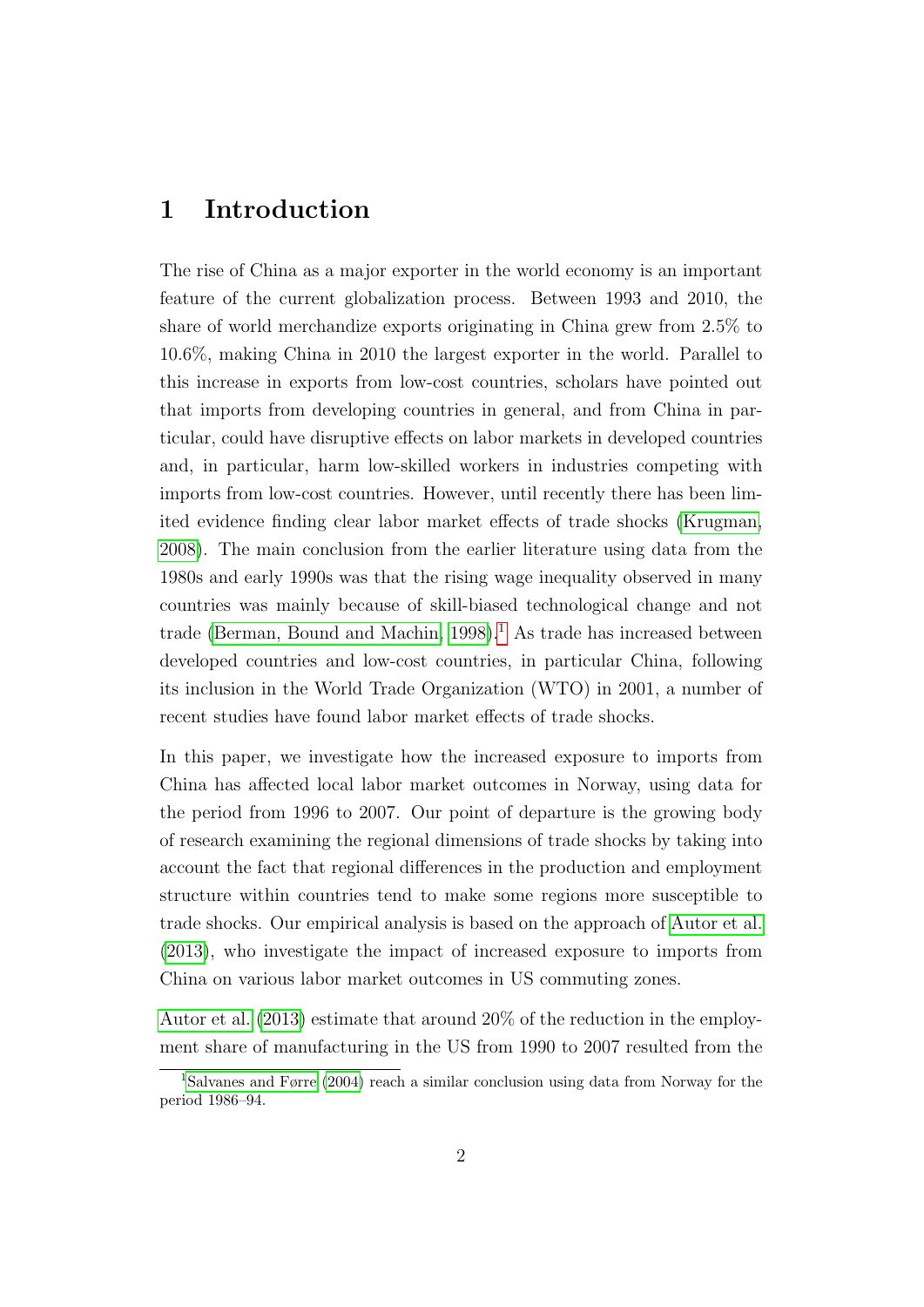### <span id="page-3-0"></span>1 Introduction

The rise of China as a major exporter in the world economy is an important feature of the current globalization process. Between 1993 and 2010, the share of world merchandize exports originating in China grew from 2.5% to 10.6%, making China in 2010 the largest exporter in the world. Parallel to this increase in exports from low-cost countries, scholars have pointed out that imports from developing countries in general, and from China in particular, could have disruptive effects on labor markets in developed countries and, in particular, harm low-skilled workers in industries competing with imports from low-cost countries. However, until recently there has been limited evidence finding clear labor market effects of trade shocks [\(Krugman,](#page-44-0) [2008\)](#page-44-0). The main conclusion from the earlier literature using data from the 1980s and early 1990s was that the rising wage inequality observed in many countries was mainly because of skill-biased technological change and not trade [\(Berman, Bound and Machin, 1998\)](#page-42-0).<sup>[1](#page--1-0)</sup> As trade has increased between developed countries and low-cost countries, in particular China, following its inclusion in the World Trade Organization (WTO) in 2001, a number of recent studies have found labor market effects of trade shocks.

In this paper, we investigate how the increased exposure to imports from China has affected local labor market outcomes in Norway, using data for the period from 1996 to 2007. Our point of departure is the growing body of research examining the regional dimensions of trade shocks by taking into account the fact that regional differences in the production and employment structure within countries tend to make some regions more susceptible to trade shocks. Our empirical analysis is based on the approach of [Autor et al.](#page-42-1) [\(2013\)](#page-42-1), who investigate the impact of increased exposure to imports from China on various labor market outcomes in US commuting zones.

[Autor et al.](#page-42-1) [\(2013\)](#page-42-1) estimate that around 20% of the reduction in the employment share of manufacturing in the US from 1990 to 2007 resulted from the

<sup>1</sup>[Salvanes and Førre](#page-44-1) [\(2004\)](#page-44-1) reach a similar conclusion using data from Norway for the period 1986–94.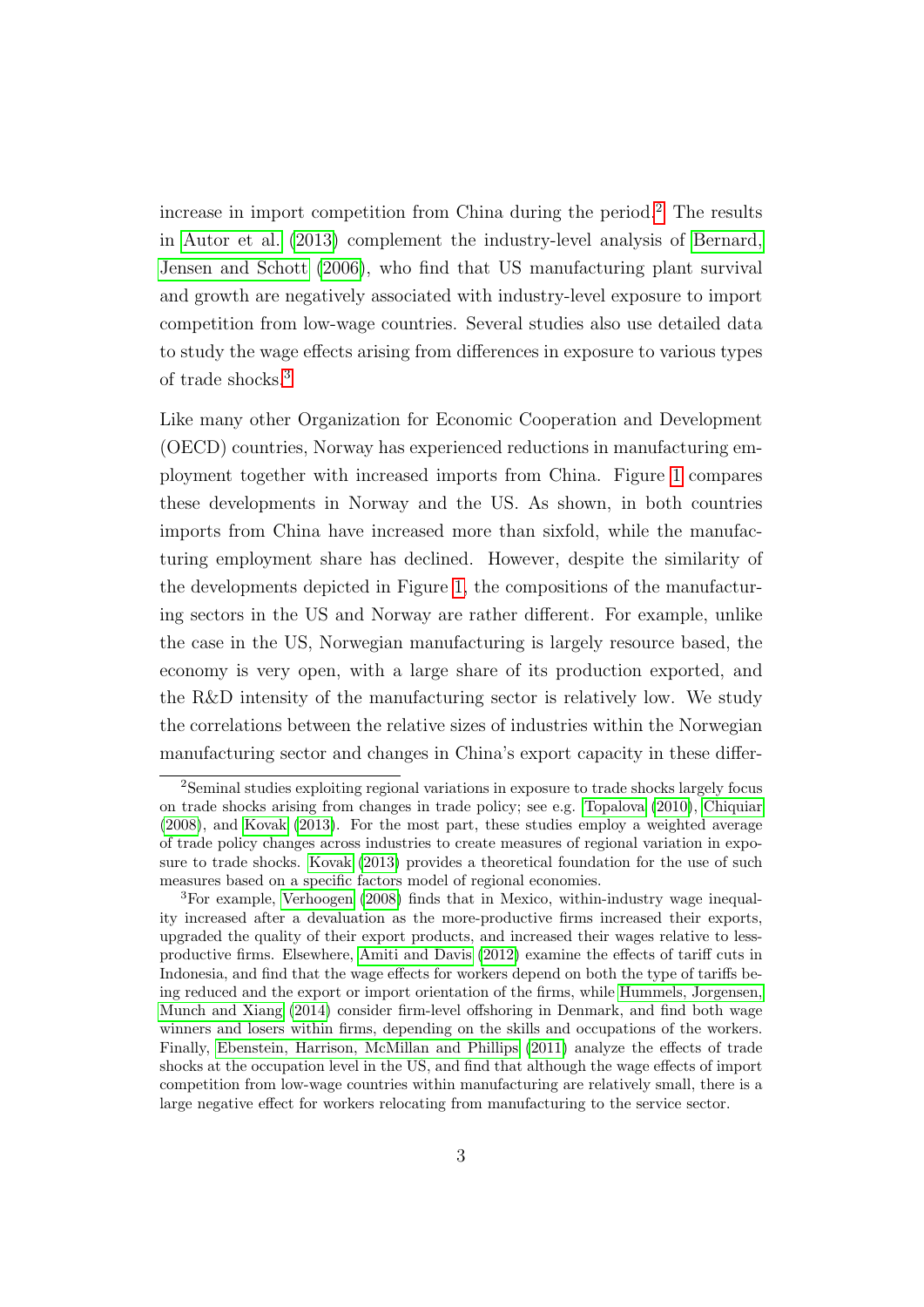<span id="page-4-0"></span>increase in import competition from China during the period.[2](#page--1-0) The results in [Autor et al.](#page-42-1) [\(2013\)](#page-42-1) complement the industry-level analysis of [Bernard,](#page-42-2) [Jensen and Schott](#page-42-2) [\(2006\)](#page-42-2), who find that US manufacturing plant survival and growth are negatively associated with industry-level exposure to import competition from low-wage countries. Several studies also use detailed data to study the wage effects arising from differences in exposure to various types of trade shocks.[3](#page--1-0)

Like many other Organization for Economic Cooperation and Development (OECD) countries, Norway has experienced reductions in manufacturing employment together with increased imports from China. Figure [1](#page-35-0) compares these developments in Norway and the US. As shown, in both countries imports from China have increased more than sixfold, while the manufacturing employment share has declined. However, despite the similarity of the developments depicted in Figure [1,](#page-35-0) the compositions of the manufacturing sectors in the US and Norway are rather different. For example, unlike the case in the US, Norwegian manufacturing is largely resource based, the economy is very open, with a large share of its production exported, and the R&D intensity of the manufacturing sector is relatively low. We study the correlations between the relative sizes of industries within the Norwegian manufacturing sector and changes in China's export capacity in these differ-

<sup>2</sup>Seminal studies exploiting regional variations in exposure to trade shocks largely focus on trade shocks arising from changes in trade policy; see e.g. [Topalova](#page-44-2) [\(2010\)](#page-44-2), [Chiquiar](#page-43-0) [\(2008\)](#page-43-0), and [Kovak](#page-44-3) [\(2013\)](#page-44-3). For the most part, these studies employ a weighted average of trade policy changes across industries to create measures of regional variation in exposure to trade shocks. [Kovak](#page-44-3) [\(2013\)](#page-44-3) provides a theoretical foundation for the use of such measures based on a specific factors model of regional economies.

<sup>3</sup>For example, [Verhoogen](#page-44-4) [\(2008\)](#page-44-4) finds that in Mexico, within-industry wage inequality increased after a devaluation as the more-productive firms increased their exports, upgraded the quality of their export products, and increased their wages relative to lessproductive firms. Elsewhere, [Amiti and Davis](#page-42-3) [\(2012\)](#page-42-3) examine the effects of tariff cuts in Indonesia, and find that the wage effects for workers depend on both the type of tariffs being reduced and the export or import orientation of the firms, while [Hummels, Jorgensen,](#page-43-1) [Munch and Xiang](#page-43-1) [\(2014\)](#page-43-1) consider firm-level offshoring in Denmark, and find both wage winners and losers within firms, depending on the skills and occupations of the workers. Finally, [Ebenstein, Harrison, McMillan and Phillips](#page-43-2) [\(2011\)](#page-43-2) analyze the effects of trade shocks at the occupation level in the US, and find that although the wage effects of import competition from low-wage countries within manufacturing are relatively small, there is a large negative effect for workers relocating from manufacturing to the service sector.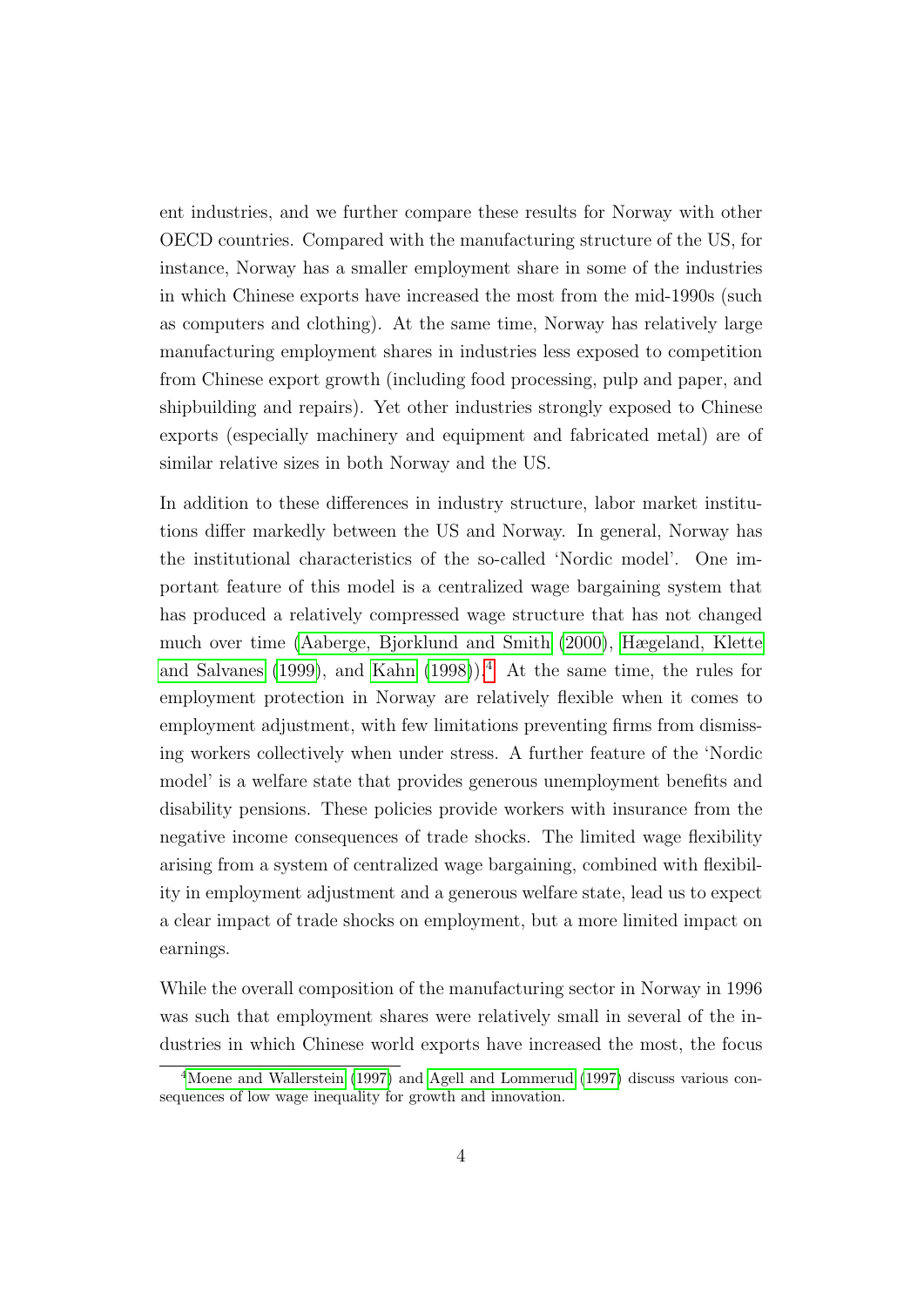<span id="page-5-0"></span>ent industries, and we further compare these results for Norway with other OECD countries. Compared with the manufacturing structure of the US, for instance, Norway has a smaller employment share in some of the industries in which Chinese exports have increased the most from the mid-1990s (such as computers and clothing). At the same time, Norway has relatively large manufacturing employment shares in industries less exposed to competition from Chinese export growth (including food processing, pulp and paper, and shipbuilding and repairs). Yet other industries strongly exposed to Chinese exports (especially machinery and equipment and fabricated metal) are of similar relative sizes in both Norway and the US.

In addition to these differences in industry structure, labor market institutions differ markedly between the US and Norway. In general, Norway has the institutional characteristics of the so-called 'Nordic model'. One important feature of this model is a centralized wage bargaining system that has produced a relatively compressed wage structure that has not changed much over time [\(Aaberge, Bjorklund and Smith](#page-42-4) [\(2000\)](#page-42-4), [Hægeland, Klette](#page-43-3) [and Salvanes](#page-43-3) [\(1999\)](#page-43-3), and [Kahn](#page-43-4) [\(1998\)](#page-43-4)).<sup>[4](#page--1-0)</sup> At the same time, the rules for employment protection in Norway are relatively flexible when it comes to employment adjustment, with few limitations preventing firms from dismissing workers collectively when under stress. A further feature of the 'Nordic model' is a welfare state that provides generous unemployment benefits and disability pensions. These policies provide workers with insurance from the negative income consequences of trade shocks. The limited wage flexibility arising from a system of centralized wage bargaining, combined with flexibility in employment adjustment and a generous welfare state, lead us to expect a clear impact of trade shocks on employment, but a more limited impact on earnings.

While the overall composition of the manufacturing sector in Norway in 1996 was such that employment shares were relatively small in several of the industries in which Chinese world exports have increased the most, the focus

<sup>4</sup>[Moene and Wallerstein](#page-44-5) [\(1997\)](#page-44-5) and [Agell and Lommerud](#page-42-5) [\(1997\)](#page-42-5) discuss various consequences of low wage inequality for growth and innovation.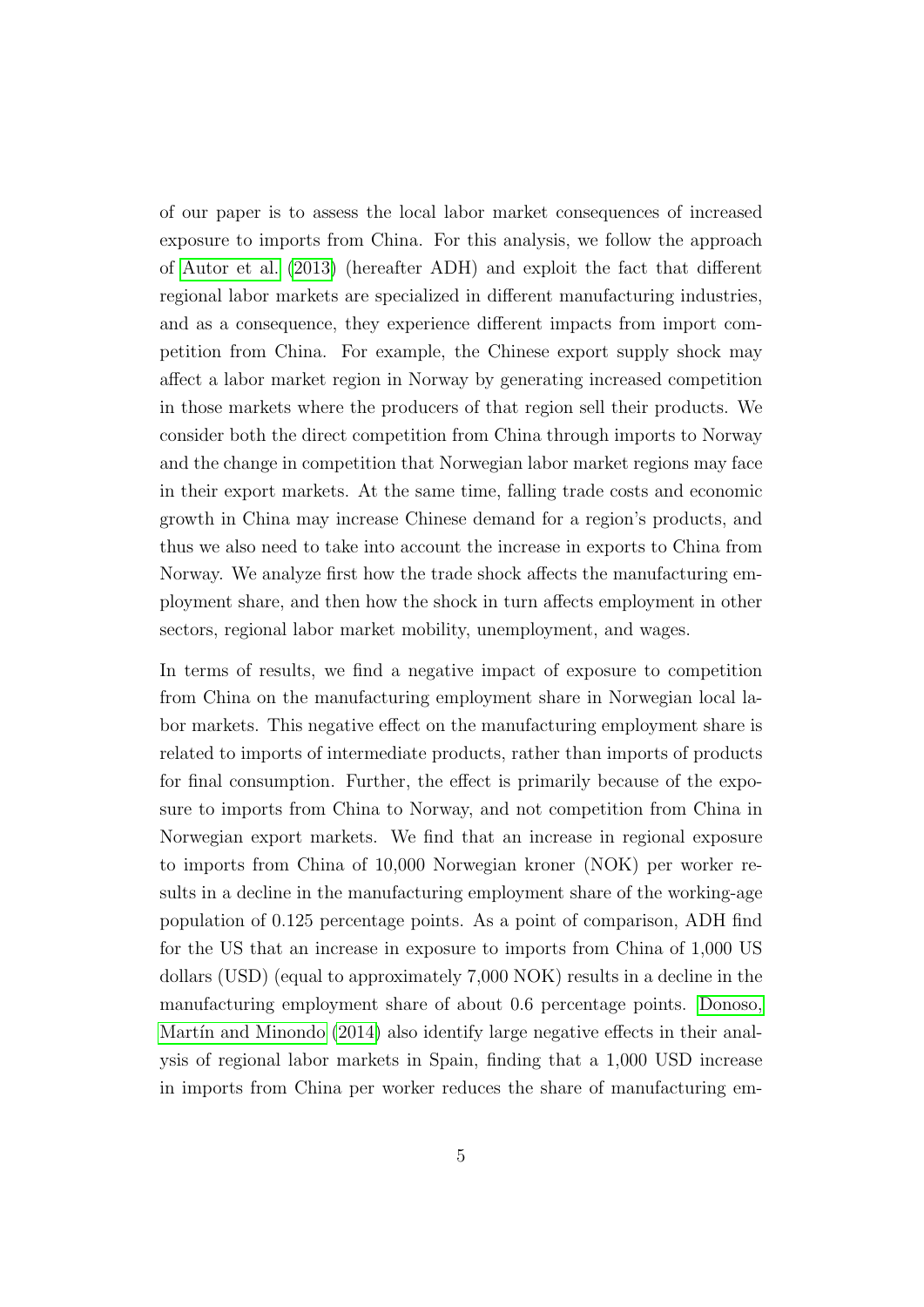<span id="page-6-0"></span>of our paper is to assess the local labor market consequences of increased exposure to imports from China. For this analysis, we follow the approach of [Autor et al.](#page-42-1) [\(2013\)](#page-42-1) (hereafter ADH) and exploit the fact that different regional labor markets are specialized in different manufacturing industries, and as a consequence, they experience different impacts from import competition from China. For example, the Chinese export supply shock may affect a labor market region in Norway by generating increased competition in those markets where the producers of that region sell their products. We consider both the direct competition from China through imports to Norway and the change in competition that Norwegian labor market regions may face in their export markets. At the same time, falling trade costs and economic growth in China may increase Chinese demand for a region's products, and thus we also need to take into account the increase in exports to China from Norway. We analyze first how the trade shock affects the manufacturing employment share, and then how the shock in turn affects employment in other sectors, regional labor market mobility, unemployment, and wages.

In terms of results, we find a negative impact of exposure to competition from China on the manufacturing employment share in Norwegian local labor markets. This negative effect on the manufacturing employment share is related to imports of intermediate products, rather than imports of products for final consumption. Further, the effect is primarily because of the exposure to imports from China to Norway, and not competition from China in Norwegian export markets. We find that an increase in regional exposure to imports from China of 10,000 Norwegian kroner (NOK) per worker results in a decline in the manufacturing employment share of the working-age population of 0.125 percentage points. As a point of comparison, ADH find for the US that an increase in exposure to imports from China of 1,000 US dollars (USD) (equal to approximately 7,000 NOK) results in a decline in the manufacturing employment share of about 0.6 percentage points. [Donoso,](#page-43-5) Martín and Minondo  $(2014)$  also identify large negative effects in their analysis of regional labor markets in Spain, finding that a 1,000 USD increase in imports from China per worker reduces the share of manufacturing em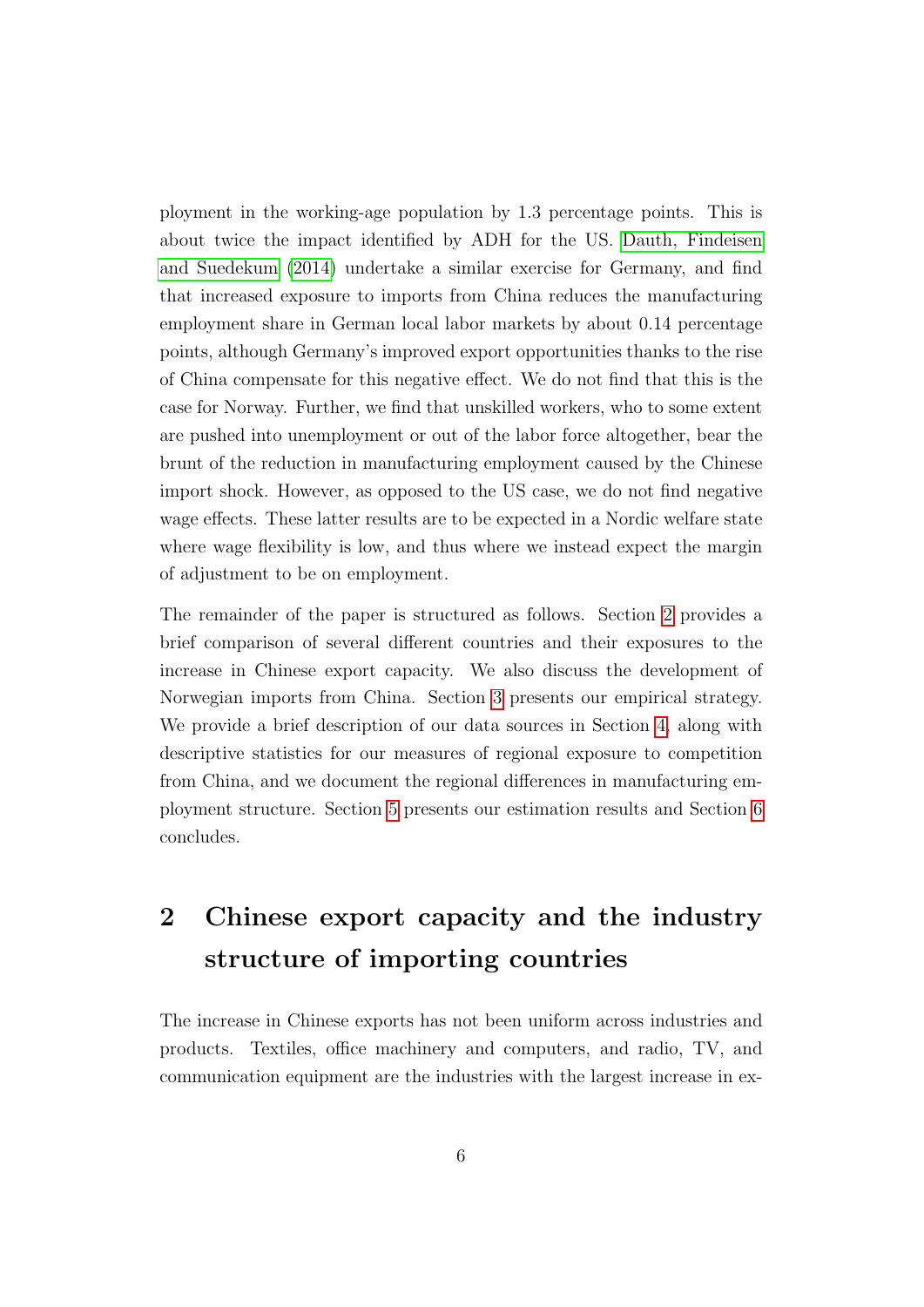<span id="page-7-1"></span>ployment in the working-age population by 1.3 percentage points. This is about twice the impact identified by ADH for the US. [Dauth, Findeisen](#page-43-6) [and Suedekum](#page-43-6) [\(2014\)](#page-43-6) undertake a similar exercise for Germany, and find that increased exposure to imports from China reduces the manufacturing employment share in German local labor markets by about 0.14 percentage points, although Germany's improved export opportunities thanks to the rise of China compensate for this negative effect. We do not find that this is the case for Norway. Further, we find that unskilled workers, who to some extent are pushed into unemployment or out of the labor force altogether, bear the brunt of the reduction in manufacturing employment caused by the Chinese import shock. However, as opposed to the US case, we do not find negative wage effects. These latter results are to be expected in a Nordic welfare state where wage flexibility is low, and thus where we instead expect the margin of adjustment to be on employment.

The remainder of the paper is structured as follows. Section [2](#page-7-0) provides a brief comparison of several different countries and their exposures to the increase in Chinese export capacity. We also discuss the development of Norwegian imports from China. Section [3](#page-10-0) presents our empirical strategy. We provide a brief description of our data sources in Section [4,](#page-15-0) along with descriptive statistics for our measures of regional exposure to competition from China, and we document the regional differences in manufacturing employment structure. Section [5](#page-20-0) presents our estimation results and Section [6](#page-27-0) concludes.

# <span id="page-7-0"></span>2 Chinese export capacity and the industry structure of importing countries

The increase in Chinese exports has not been uniform across industries and products. Textiles, office machinery and computers, and radio, TV, and communication equipment are the industries with the largest increase in ex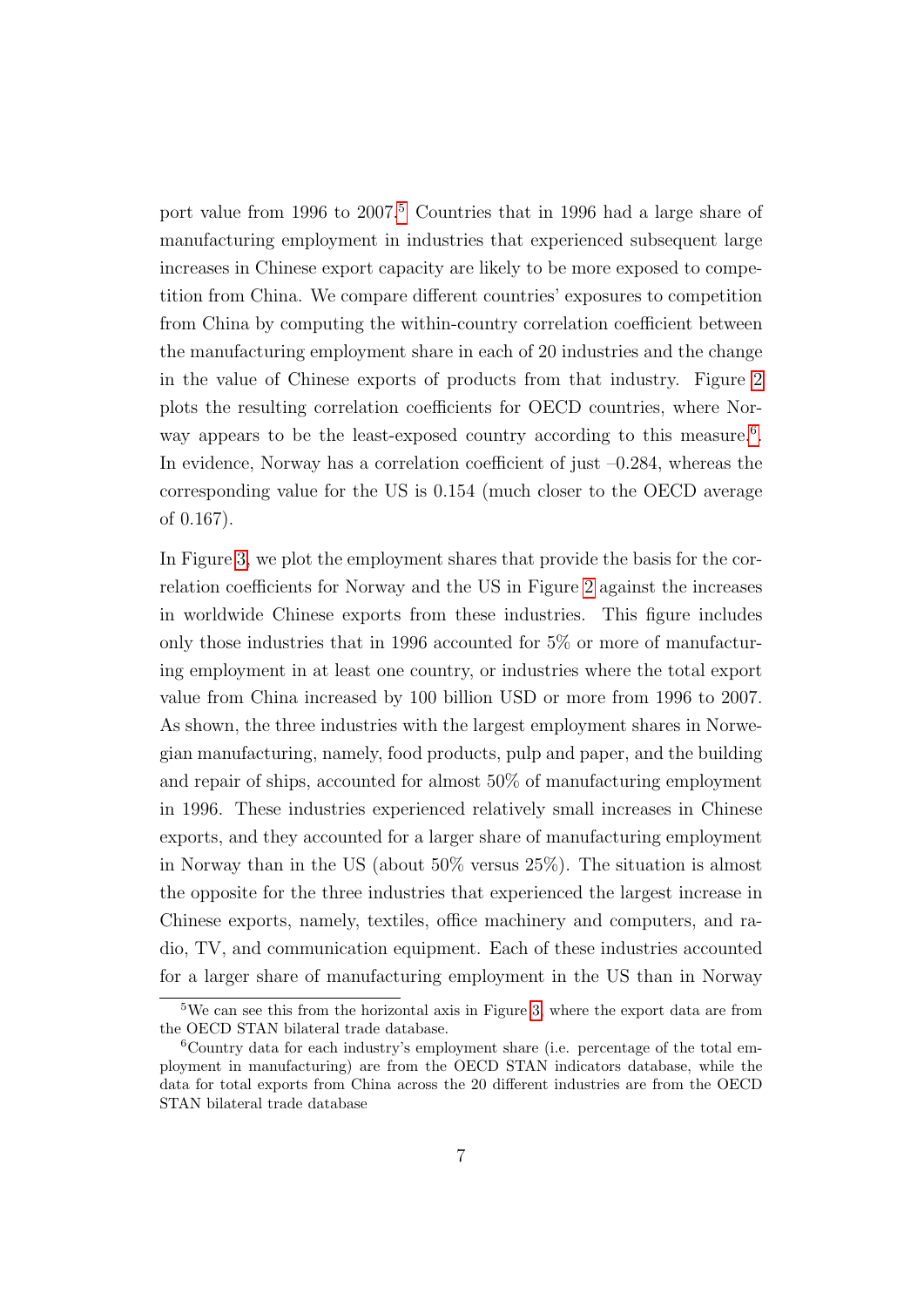port value from 1996 to 2007.<sup>[5](#page--1-0)</sup> Countries that in 1996 had a large share of manufacturing employment in industries that experienced subsequent large increases in Chinese export capacity are likely to be more exposed to competition from China. We compare different countries' exposures to competition from China by computing the within-country correlation coefficient between the manufacturing employment share in each of 20 industries and the change in the value of Chinese exports of products from that industry. Figure [2](#page-36-0) plots the resulting correlation coefficients for OECD countries, where Nor-way appears to be the least-exposed country according to this measure.<sup>[6](#page--1-0)</sup>. In evidence, Norway has a correlation coefficient of just  $-0.284$ , whereas the corresponding value for the US is 0.154 (much closer to the OECD average of 0.167).

In Figure [3,](#page-37-0) we plot the employment shares that provide the basis for the correlation coefficients for Norway and the US in Figure [2](#page-36-0) against the increases in worldwide Chinese exports from these industries. This figure includes only those industries that in 1996 accounted for 5% or more of manufacturing employment in at least one country, or industries where the total export value from China increased by 100 billion USD or more from 1996 to 2007. As shown, the three industries with the largest employment shares in Norwegian manufacturing, namely, food products, pulp and paper, and the building and repair of ships, accounted for almost 50% of manufacturing employment in 1996. These industries experienced relatively small increases in Chinese exports, and they accounted for a larger share of manufacturing employment in Norway than in the US (about 50% versus 25%). The situation is almost the opposite for the three industries that experienced the largest increase in Chinese exports, namely, textiles, office machinery and computers, and radio, TV, and communication equipment. Each of these industries accounted for a larger share of manufacturing employment in the US than in Norway

<sup>5</sup>We can see this from the horizontal axis in Figure [3,](#page-37-0) where the export data are from the OECD STAN bilateral trade database.

<sup>6</sup>Country data for each industry's employment share (i.e. percentage of the total employment in manufacturing) are from the OECD STAN indicators database, while the data for total exports from China across the 20 different industries are from the OECD STAN bilateral trade database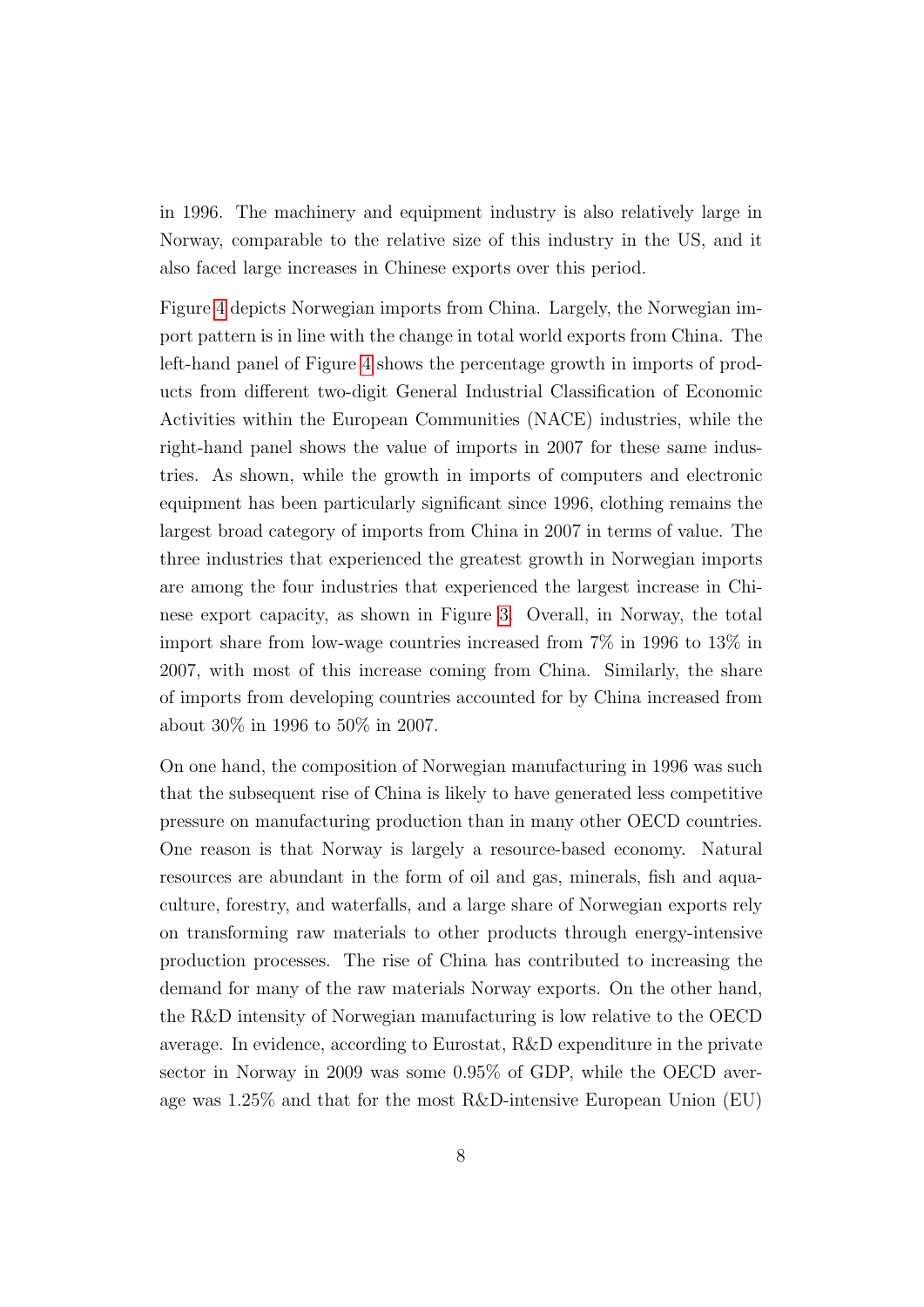in 1996. The machinery and equipment industry is also relatively large in Norway, comparable to the relative size of this industry in the US, and it also faced large increases in Chinese exports over this period.

Figure [4](#page-38-0) depicts Norwegian imports from China. Largely, the Norwegian import pattern is in line with the change in total world exports from China. The left-hand panel of Figure [4](#page-38-0) shows the percentage growth in imports of products from different two-digit General Industrial Classification of Economic Activities within the European Communities (NACE) industries, while the right-hand panel shows the value of imports in 2007 for these same industries. As shown, while the growth in imports of computers and electronic equipment has been particularly significant since 1996, clothing remains the largest broad category of imports from China in 2007 in terms of value. The three industries that experienced the greatest growth in Norwegian imports are among the four industries that experienced the largest increase in Chinese export capacity, as shown in Figure [3.](#page-37-0) Overall, in Norway, the total import share from low-wage countries increased from 7% in 1996 to 13% in 2007, with most of this increase coming from China. Similarly, the share of imports from developing countries accounted for by China increased from about 30% in 1996 to 50% in 2007.

On one hand, the composition of Norwegian manufacturing in 1996 was such that the subsequent rise of China is likely to have generated less competitive pressure on manufacturing production than in many other OECD countries. One reason is that Norway is largely a resource-based economy. Natural resources are abundant in the form of oil and gas, minerals, fish and aquaculture, forestry, and waterfalls, and a large share of Norwegian exports rely on transforming raw materials to other products through energy-intensive production processes. The rise of China has contributed to increasing the demand for many of the raw materials Norway exports. On the other hand, the R&D intensity of Norwegian manufacturing is low relative to the OECD average. In evidence, according to Eurostat, R&D expenditure in the private sector in Norway in 2009 was some 0.95% of GDP, while the OECD average was 1.25% and that for the most R&D-intensive European Union (EU)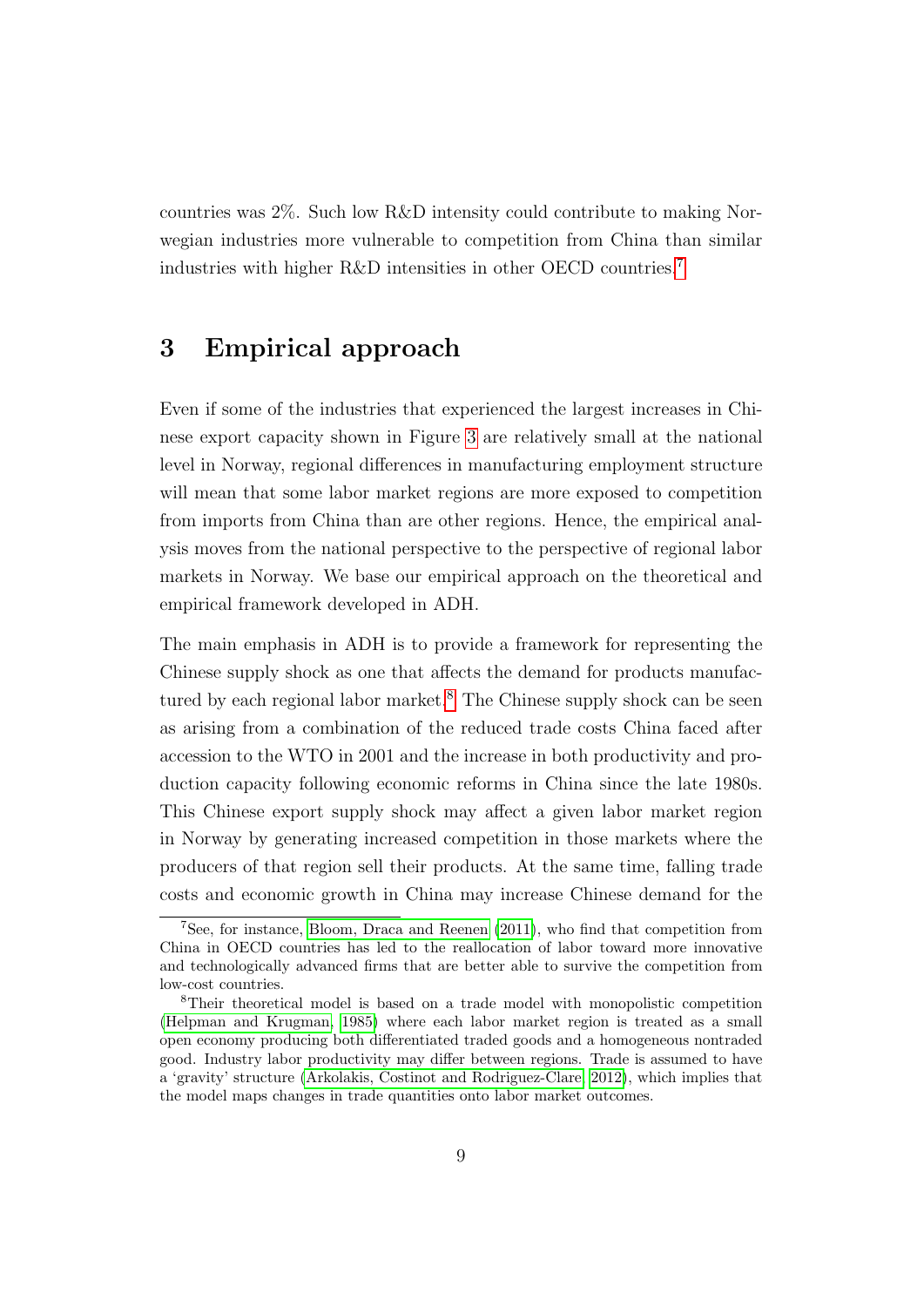<span id="page-10-1"></span>countries was 2%. Such low R&D intensity could contribute to making Norwegian industries more vulnerable to competition from China than similar industries with higher R&D intensities in other OECD countries.[7](#page--1-0)

### <span id="page-10-0"></span>3 Empirical approach

Even if some of the industries that experienced the largest increases in Chinese export capacity shown in Figure [3](#page-37-0) are relatively small at the national level in Norway, regional differences in manufacturing employment structure will mean that some labor market regions are more exposed to competition from imports from China than are other regions. Hence, the empirical analysis moves from the national perspective to the perspective of regional labor markets in Norway. We base our empirical approach on the theoretical and empirical framework developed in ADH.

The main emphasis in ADH is to provide a framework for representing the Chinese supply shock as one that affects the demand for products manufac-tured by each regional labor market.<sup>[8](#page--1-0)</sup> The Chinese supply shock can be seen as arising from a combination of the reduced trade costs China faced after accession to the WTO in 2001 and the increase in both productivity and production capacity following economic reforms in China since the late 1980s. This Chinese export supply shock may affect a given labor market region in Norway by generating increased competition in those markets where the producers of that region sell their products. At the same time, falling trade costs and economic growth in China may increase Chinese demand for the

<sup>7</sup>See, for instance, [Bloom, Draca and Reenen](#page-42-6) [\(2011\)](#page-42-6), who find that competition from China in OECD countries has led to the reallocation of labor toward more innovative and technologically advanced firms that are better able to survive the competition from low-cost countries.

<sup>8</sup>Their theoretical model is based on a trade model with monopolistic competition [\(Helpman and Krugman, 1985\)](#page-43-7) where each labor market region is treated as a small open economy producing both differentiated traded goods and a homogeneous nontraded good. Industry labor productivity may differ between regions. Trade is assumed to have a 'gravity' structure [\(Arkolakis, Costinot and Rodriguez-Clare, 2012\)](#page-42-7), which implies that the model maps changes in trade quantities onto labor market outcomes.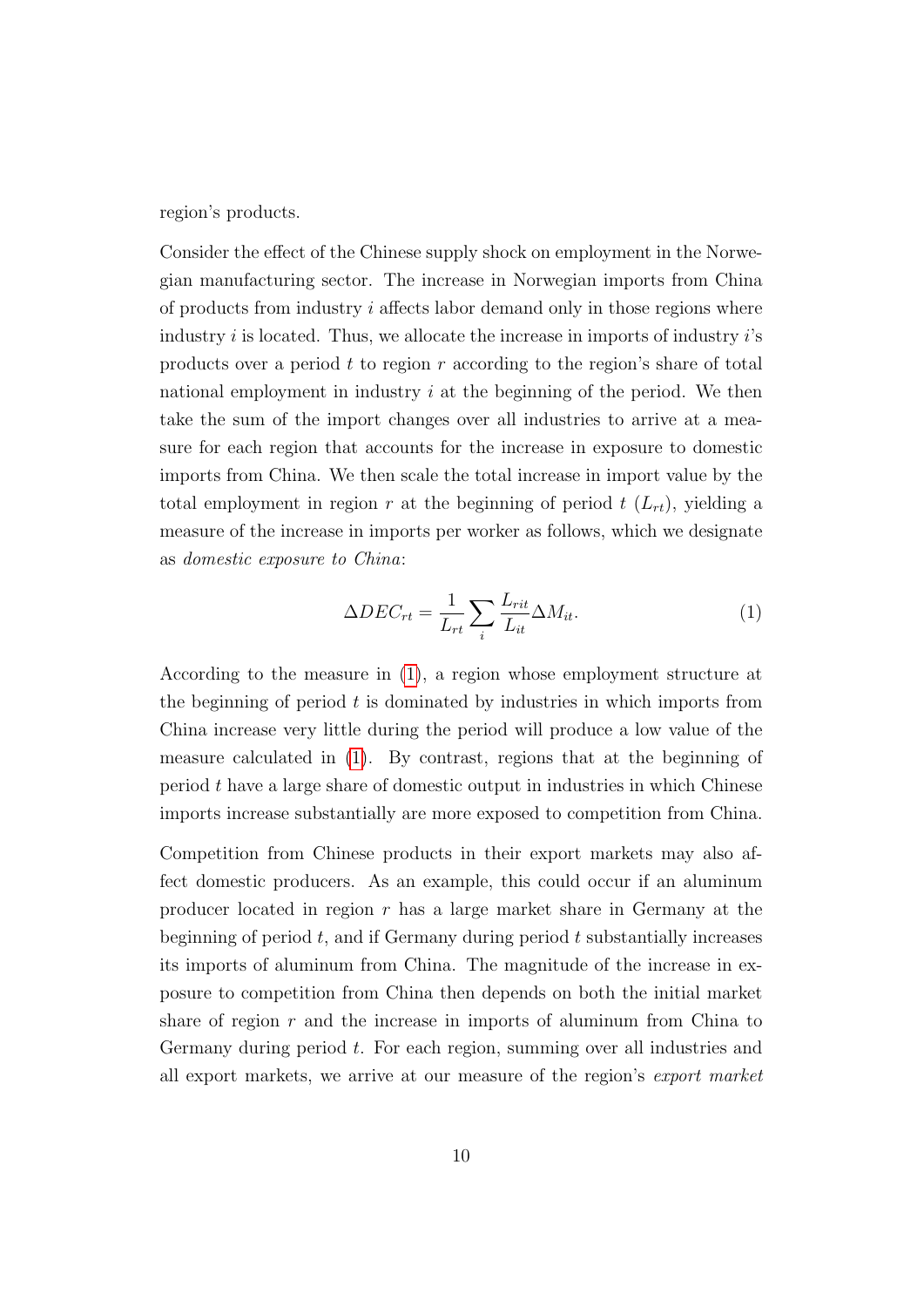region's products.

Consider the effect of the Chinese supply shock on employment in the Norwegian manufacturing sector. The increase in Norwegian imports from China of products from industry  $i$  affects labor demand only in those regions where industry  $i$  is located. Thus, we allocate the increase in imports of industry  $i$ 's products over a period  $t$  to region  $r$  according to the region's share of total national employment in industry  $i$  at the beginning of the period. We then take the sum of the import changes over all industries to arrive at a measure for each region that accounts for the increase in exposure to domestic imports from China. We then scale the total increase in import value by the total employment in region r at the beginning of period  $t(L_{rt})$ , yielding a measure of the increase in imports per worker as follows, which we designate as domestic exposure to China:

<span id="page-11-0"></span>
$$
\Delta DEC_{rt} = \frac{1}{L_{rt}} \sum_{i} \frac{L_{rit}}{L_{it}} \Delta M_{it}.
$$
 (1)

According to the measure in [\(1\)](#page-11-0), a region whose employment structure at the beginning of period  $t$  is dominated by industries in which imports from China increase very little during the period will produce a low value of the measure calculated in [\(1\)](#page-11-0). By contrast, regions that at the beginning of period t have a large share of domestic output in industries in which Chinese imports increase substantially are more exposed to competition from China.

Competition from Chinese products in their export markets may also affect domestic producers. As an example, this could occur if an aluminum producer located in region  $r$  has a large market share in Germany at the beginning of period  $t$ , and if Germany during period  $t$  substantially increases its imports of aluminum from China. The magnitude of the increase in exposure to competition from China then depends on both the initial market share of region  $r$  and the increase in imports of aluminum from China to Germany during period t. For each region, summing over all industries and all export markets, we arrive at our measure of the region's export market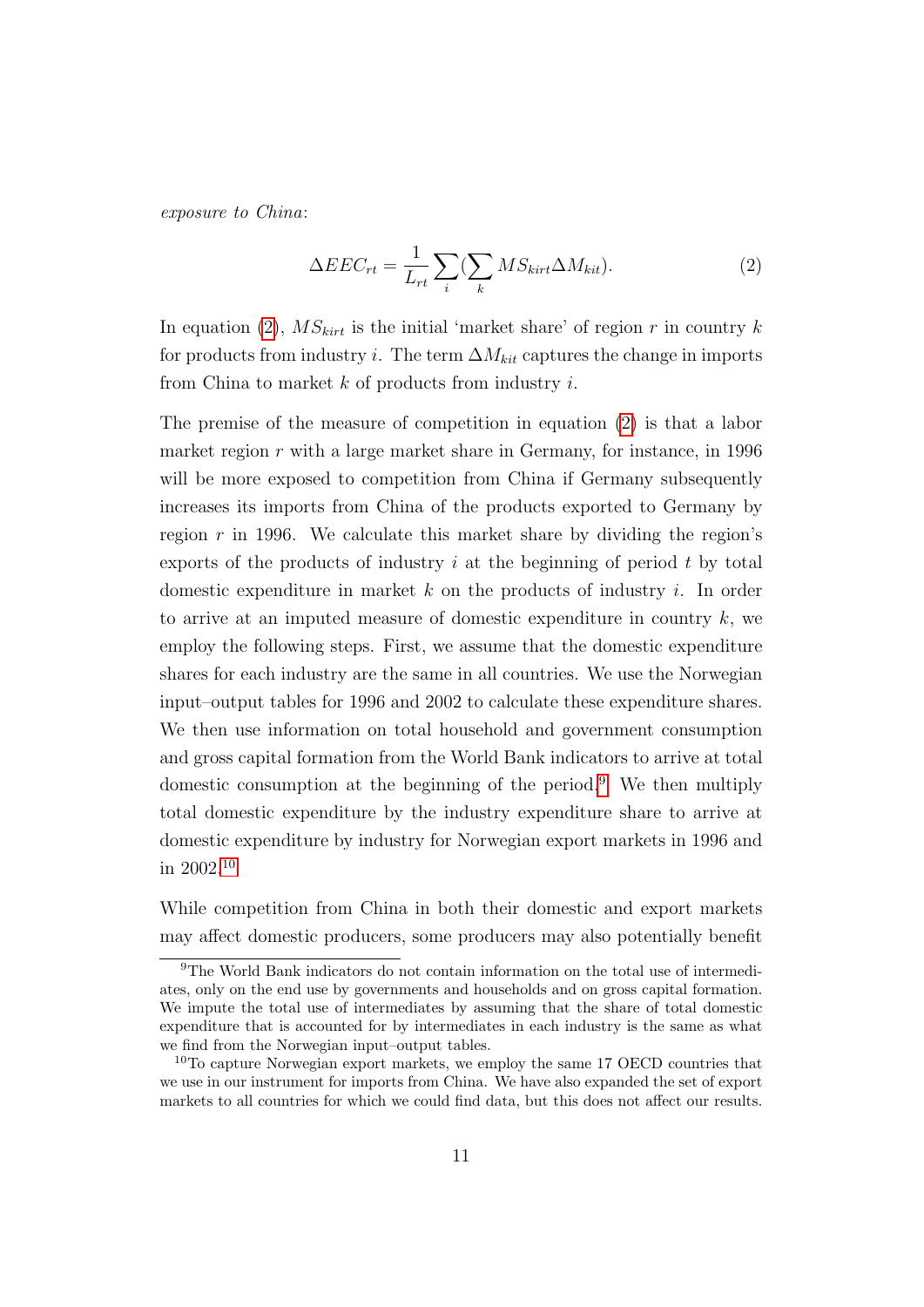exposure to China:

<span id="page-12-0"></span>
$$
\Delta EEC_{rt} = \frac{1}{L_{rt}} \sum_{i} (\sum_{k} MS_{kirt} \Delta M_{kit}). \tag{2}
$$

In equation [\(2\)](#page-12-0),  $MS_{kirt}$  is the initial 'market share' of region r in country k for products from industry *i*. The term  $\Delta M_{kit}$  captures the change in imports from China to market  $k$  of products from industry  $i$ .

The premise of the measure of competition in equation [\(2\)](#page-12-0) is that a labor market region  $r$  with a large market share in Germany, for instance, in 1996 will be more exposed to competition from China if Germany subsequently increases its imports from China of the products exported to Germany by region  $r$  in 1996. We calculate this market share by dividing the region's exports of the products of industry  $i$  at the beginning of period  $t$  by total domestic expenditure in market  $k$  on the products of industry  $i$ . In order to arrive at an imputed measure of domestic expenditure in country  $k$ , we employ the following steps. First, we assume that the domestic expenditure shares for each industry are the same in all countries. We use the Norwegian input–output tables for 1996 and 2002 to calculate these expenditure shares. We then use information on total household and government consumption and gross capital formation from the World Bank indicators to arrive at total domestic consumption at the beginning of the period.<sup>[9](#page--1-0)</sup> We then multiply total domestic expenditure by the industry expenditure share to arrive at domestic expenditure by industry for Norwegian export markets in 1996 and in 2002.[10](#page--1-0)

While competition from China in both their domestic and export markets may affect domestic producers, some producers may also potentially benefit

<sup>9</sup>The World Bank indicators do not contain information on the total use of intermediates, only on the end use by governments and households and on gross capital formation. We impute the total use of intermediates by assuming that the share of total domestic expenditure that is accounted for by intermediates in each industry is the same as what we find from the Norwegian input–output tables.

<sup>&</sup>lt;sup>10</sup>To capture Norwegian export markets, we employ the same 17 OECD countries that we use in our instrument for imports from China. We have also expanded the set of export markets to all countries for which we could find data, but this does not affect our results.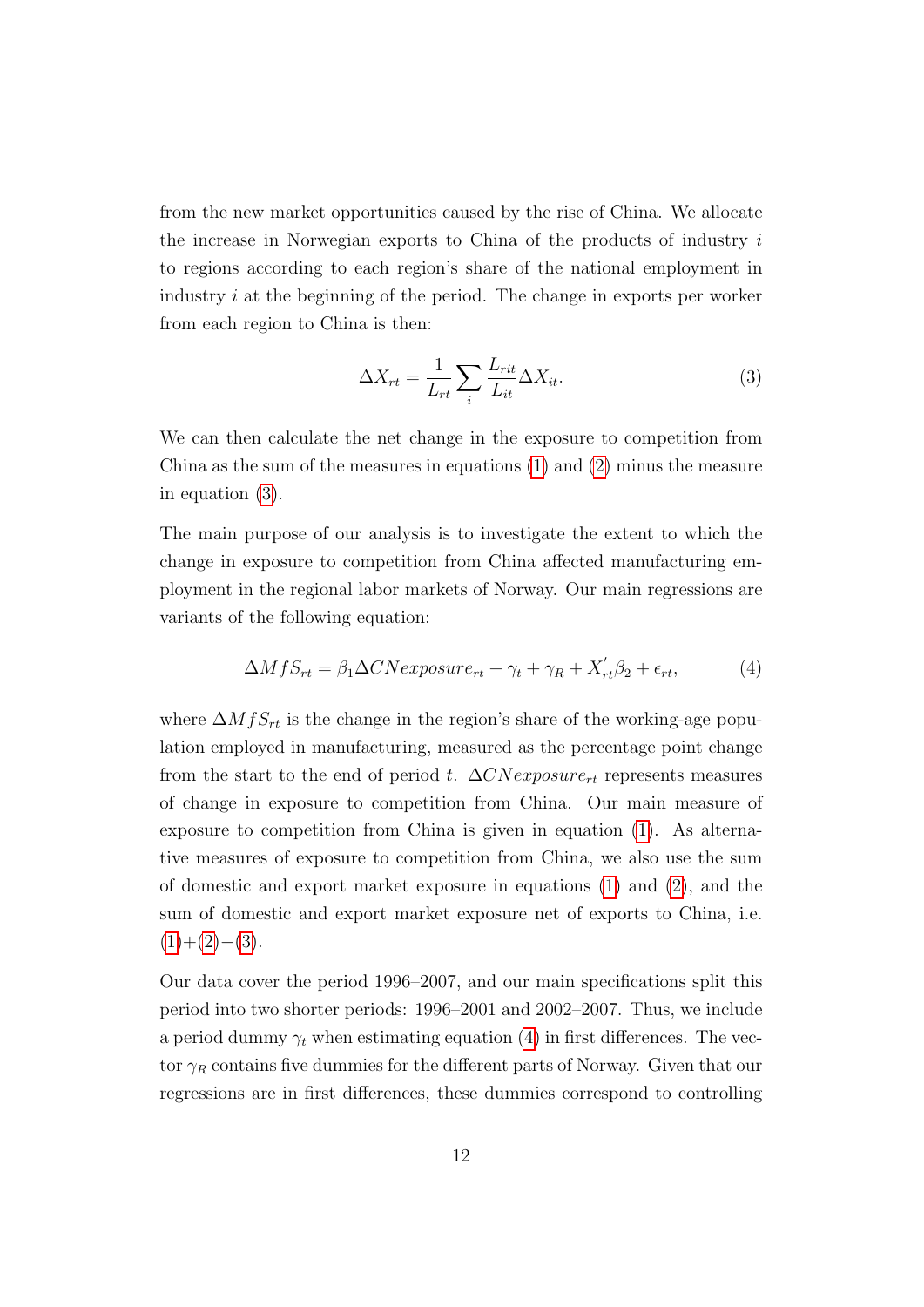from the new market opportunities caused by the rise of China. We allocate the increase in Norwegian exports to China of the products of industry  $i$ to regions according to each region's share of the national employment in industry i at the beginning of the period. The change in exports per worker from each region to China is then:

<span id="page-13-0"></span>
$$
\Delta X_{rt} = \frac{1}{L_{rt}} \sum_{i} \frac{L_{rit}}{L_{it}} \Delta X_{it}.
$$
\n(3)

We can then calculate the net change in the exposure to competition from China as the sum of the measures in equations [\(1\)](#page-11-0) and [\(2\)](#page-12-0) minus the measure in equation [\(3\)](#page-13-0).

The main purpose of our analysis is to investigate the extent to which the change in exposure to competition from China affected manufacturing employment in the regional labor markets of Norway. Our main regressions are variants of the following equation:

<span id="page-13-1"></span>
$$
\Delta MfS_{rt} = \beta_1 \Delta CNexposure_{rt} + \gamma_t + \gamma_R + X'_{rt}\beta_2 + \epsilon_{rt},\tag{4}
$$

where  $\Delta M f S_{rt}$  is the change in the region's share of the working-age population employed in manufacturing, measured as the percentage point change from the start to the end of period t.  $\Delta CNexposure_{rt}$  represents measures of change in exposure to competition from China. Our main measure of exposure to competition from China is given in equation [\(1\)](#page-11-0). As alternative measures of exposure to competition from China, we also use the sum of domestic and export market exposure in equations [\(1\)](#page-11-0) and [\(2\)](#page-12-0), and the sum of domestic and export market exposure net of exports to China, i.e.  $(1)+(2)-(3).$  $(1)+(2)-(3).$  $(1)+(2)-(3).$  $(1)+(2)-(3).$  $(1)+(2)-(3).$  $(1)+(2)-(3).$ 

Our data cover the period 1996–2007, and our main specifications split this period into two shorter periods: 1996–2001 and 2002–2007. Thus, we include a period dummy  $\gamma_t$  when estimating equation [\(4\)](#page-13-1) in first differences. The vector  $\gamma_R$  contains five dummies for the different parts of Norway. Given that our regressions are in first differences, these dummies correspond to controlling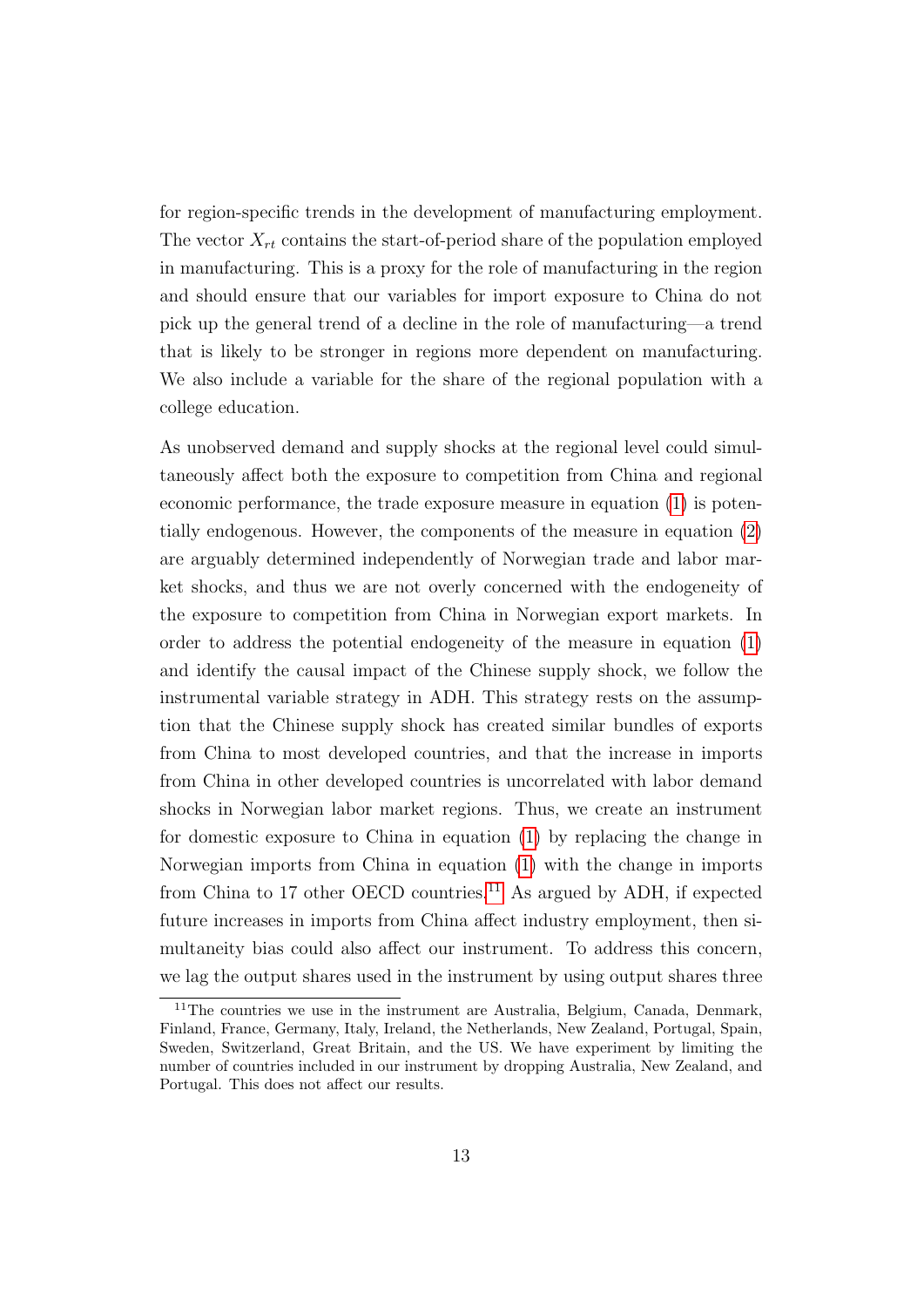for region-specific trends in the development of manufacturing employment. The vector  $X_{rt}$  contains the start-of-period share of the population employed in manufacturing. This is a proxy for the role of manufacturing in the region and should ensure that our variables for import exposure to China do not pick up the general trend of a decline in the role of manufacturing—a trend that is likely to be stronger in regions more dependent on manufacturing. We also include a variable for the share of the regional population with a college education.

As unobserved demand and supply shocks at the regional level could simultaneously affect both the exposure to competition from China and regional economic performance, the trade exposure measure in equation [\(1\)](#page-11-0) is potentially endogenous. However, the components of the measure in equation [\(2\)](#page-12-0) are arguably determined independently of Norwegian trade and labor market shocks, and thus we are not overly concerned with the endogeneity of the exposure to competition from China in Norwegian export markets. In order to address the potential endogeneity of the measure in equation [\(1\)](#page-11-0) and identify the causal impact of the Chinese supply shock, we follow the instrumental variable strategy in ADH. This strategy rests on the assumption that the Chinese supply shock has created similar bundles of exports from China to most developed countries, and that the increase in imports from China in other developed countries is uncorrelated with labor demand shocks in Norwegian labor market regions. Thus, we create an instrument for domestic exposure to China in equation [\(1\)](#page-11-0) by replacing the change in Norwegian imports from China in equation [\(1\)](#page-11-0) with the change in imports from China to 17 other OECD countries.<sup>[11](#page--1-0)</sup> As argued by ADH, if expected future increases in imports from China affect industry employment, then simultaneity bias could also affect our instrument. To address this concern, we lag the output shares used in the instrument by using output shares three

<sup>&</sup>lt;sup>11</sup>The countries we use in the instrument are Australia, Belgium, Canada, Denmark, Finland, France, Germany, Italy, Ireland, the Netherlands, New Zealand, Portugal, Spain, Sweden, Switzerland, Great Britain, and the US. We have experiment by limiting the number of countries included in our instrument by dropping Australia, New Zealand, and Portugal. This does not affect our results.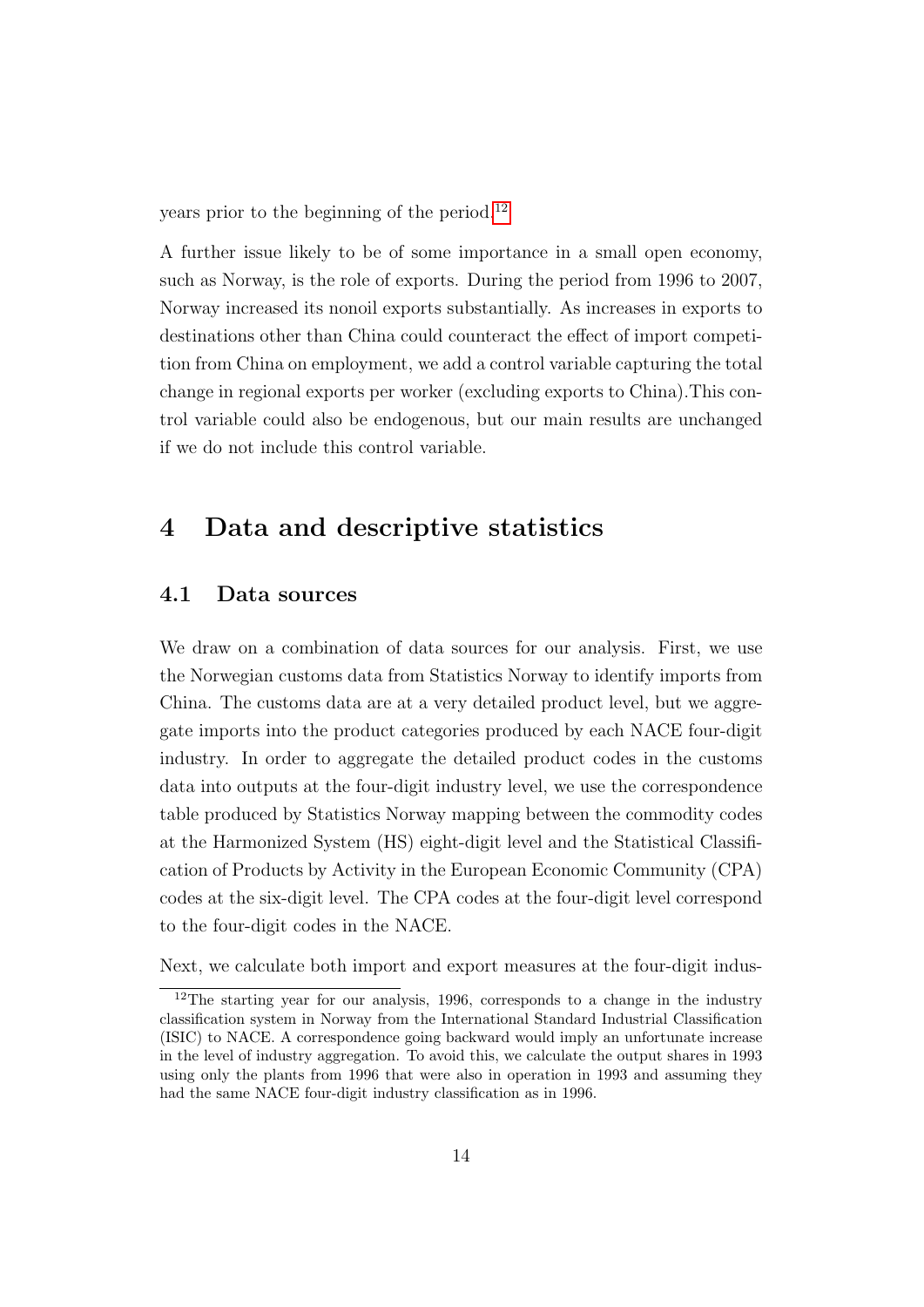years prior to the beginning of the period.[12](#page--1-0)

A further issue likely to be of some importance in a small open economy, such as Norway, is the role of exports. During the period from 1996 to 2007, Norway increased its nonoil exports substantially. As increases in exports to destinations other than China could counteract the effect of import competition from China on employment, we add a control variable capturing the total change in regional exports per worker (excluding exports to China).This control variable could also be endogenous, but our main results are unchanged if we do not include this control variable.

### <span id="page-15-0"></span>4 Data and descriptive statistics

#### 4.1 Data sources

We draw on a combination of data sources for our analysis. First, we use the Norwegian customs data from Statistics Norway to identify imports from China. The customs data are at a very detailed product level, but we aggregate imports into the product categories produced by each NACE four-digit industry. In order to aggregate the detailed product codes in the customs data into outputs at the four-digit industry level, we use the correspondence table produced by Statistics Norway mapping between the commodity codes at the Harmonized System (HS) eight-digit level and the Statistical Classification of Products by Activity in the European Economic Community (CPA) codes at the six-digit level. The CPA codes at the four-digit level correspond to the four-digit codes in the NACE.

Next, we calculate both import and export measures at the four-digit indus-

<sup>12</sup>The starting year for our analysis, 1996, corresponds to a change in the industry classification system in Norway from the International Standard Industrial Classification (ISIC) to NACE. A correspondence going backward would imply an unfortunate increase in the level of industry aggregation. To avoid this, we calculate the output shares in 1993 using only the plants from 1996 that were also in operation in 1993 and assuming they had the same NACE four-digit industry classification as in 1996.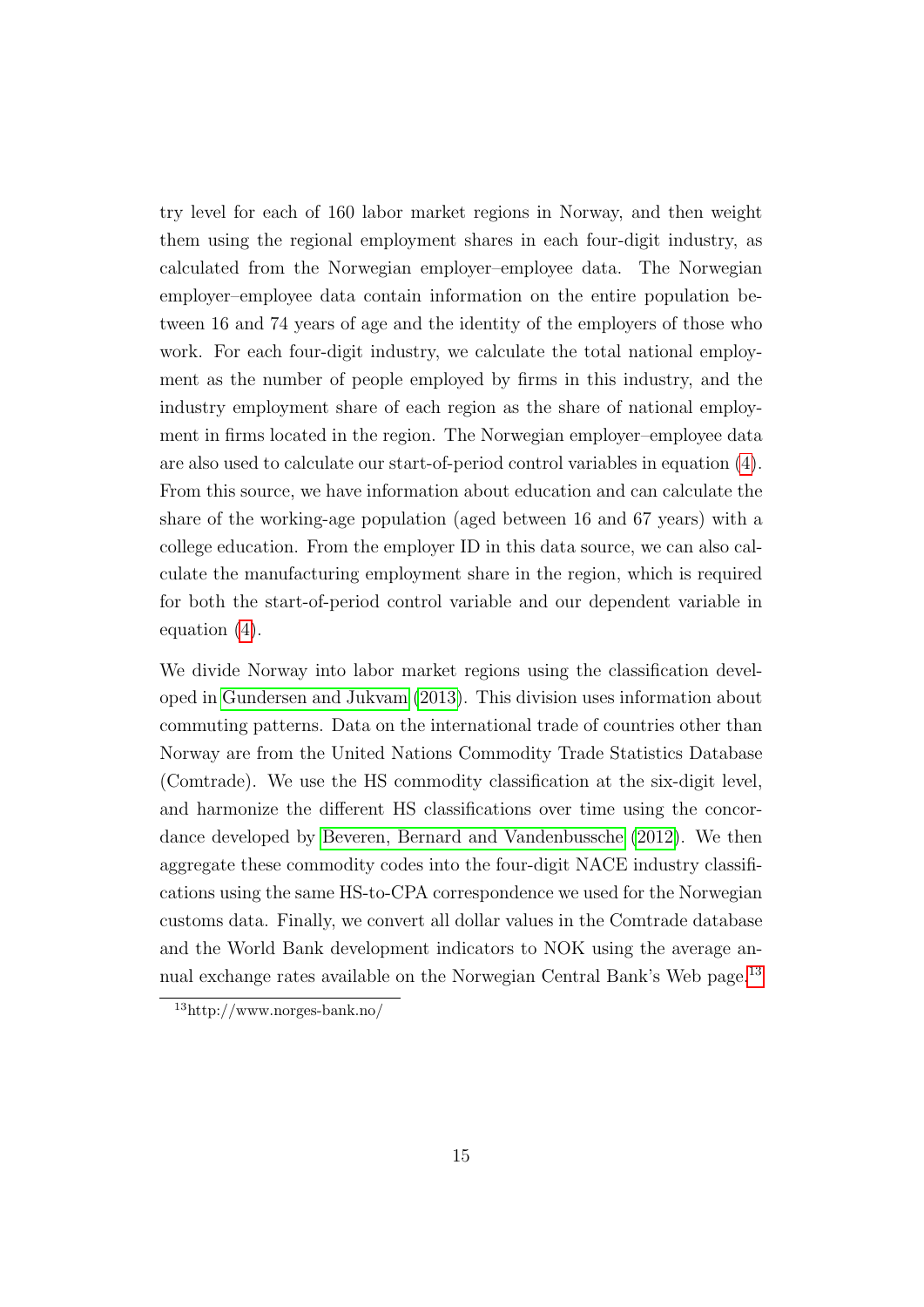<span id="page-16-0"></span>try level for each of 160 labor market regions in Norway, and then weight them using the regional employment shares in each four-digit industry, as calculated from the Norwegian employer–employee data. The Norwegian employer–employee data contain information on the entire population between 16 and 74 years of age and the identity of the employers of those who work. For each four-digit industry, we calculate the total national employment as the number of people employed by firms in this industry, and the industry employment share of each region as the share of national employment in firms located in the region. The Norwegian employer–employee data are also used to calculate our start-of-period control variables in equation [\(4\)](#page-13-1). From this source, we have information about education and can calculate the share of the working-age population (aged between 16 and 67 years) with a college education. From the employer ID in this data source, we can also calculate the manufacturing employment share in the region, which is required for both the start-of-period control variable and our dependent variable in equation [\(4\)](#page-13-1).

We divide Norway into labor market regions using the classification developed in [Gundersen and Jukvam](#page-43-8) [\(2013\)](#page-43-8). This division uses information about commuting patterns. Data on the international trade of countries other than Norway are from the United Nations Commodity Trade Statistics Database (Comtrade). We use the HS commodity classification at the six-digit level, and harmonize the different HS classifications over time using the concordance developed by [Beveren, Bernard and Vandenbussche](#page-42-8) [\(2012\)](#page-42-8). We then aggregate these commodity codes into the four-digit NACE industry classifications using the same HS-to-CPA correspondence we used for the Norwegian customs data. Finally, we convert all dollar values in the Comtrade database and the World Bank development indicators to NOK using the average an-nual exchange rates available on the Norwegian Central Bank's Web page.<sup>[13](#page--1-0)</sup>

<sup>13</sup>http://www.norges-bank.no/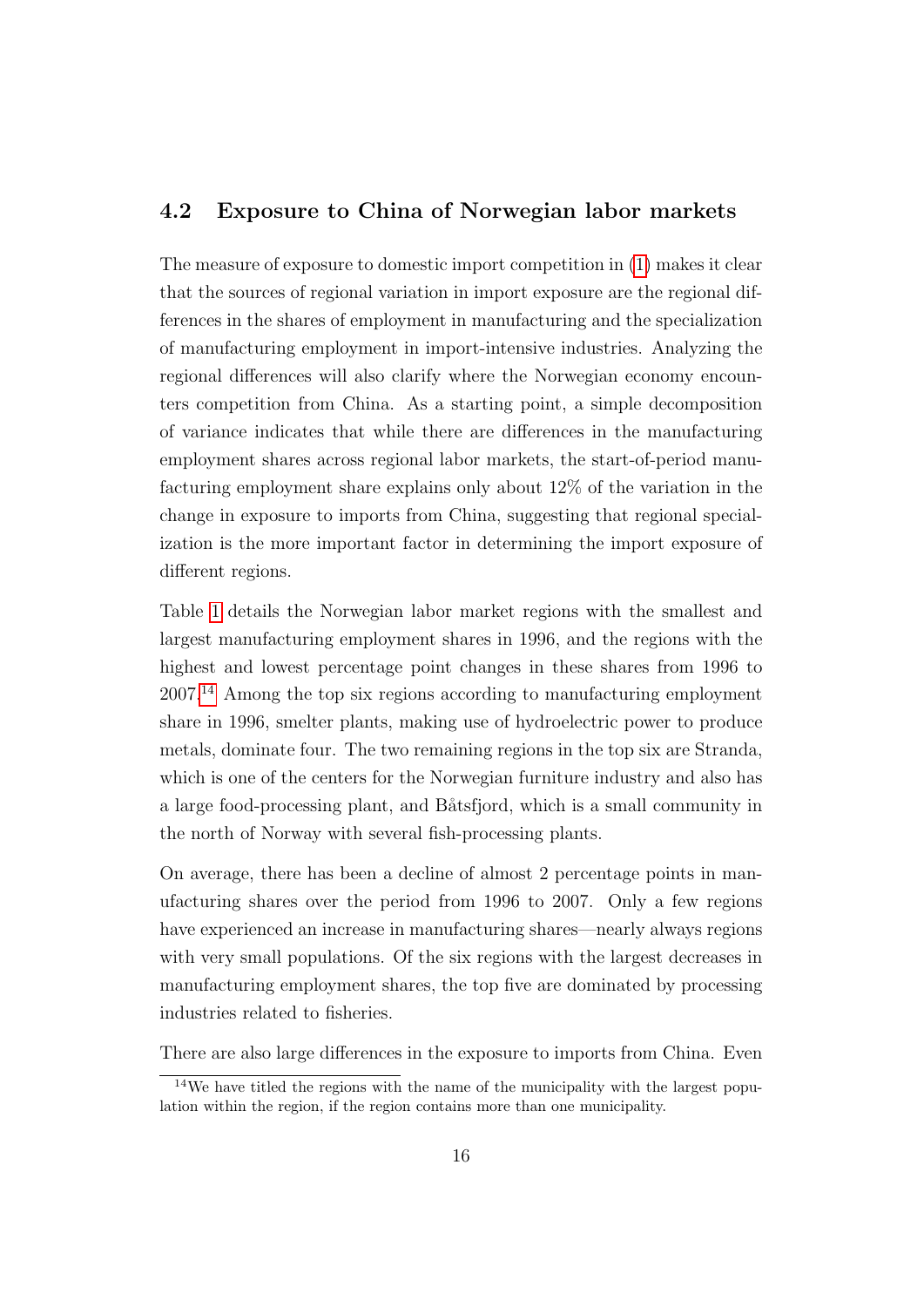#### <span id="page-17-0"></span>4.2 Exposure to China of Norwegian labor markets

The measure of exposure to domestic import competition in [\(1\)](#page-11-0) makes it clear that the sources of regional variation in import exposure are the regional differences in the shares of employment in manufacturing and the specialization of manufacturing employment in import-intensive industries. Analyzing the regional differences will also clarify where the Norwegian economy encounters competition from China. As a starting point, a simple decomposition of variance indicates that while there are differences in the manufacturing employment shares across regional labor markets, the start-of-period manufacturing employment share explains only about 12% of the variation in the change in exposure to imports from China, suggesting that regional specialization is the more important factor in determining the import exposure of different regions.

Table [1](#page-29-0) details the Norwegian labor market regions with the smallest and largest manufacturing employment shares in 1996, and the regions with the highest and lowest percentage point changes in these shares from 1996 to 2007.[14](#page--1-0) Among the top six regions according to manufacturing employment share in 1996, smelter plants, making use of hydroelectric power to produce metals, dominate four. The two remaining regions in the top six are Stranda, which is one of the centers for the Norwegian furniture industry and also has a large food-processing plant, and Båtsfjord, which is a small community in the north of Norway with several fish-processing plants.

On average, there has been a decline of almost 2 percentage points in manufacturing shares over the period from 1996 to 2007. Only a few regions have experienced an increase in manufacturing shares—nearly always regions with very small populations. Of the six regions with the largest decreases in manufacturing employment shares, the top five are dominated by processing industries related to fisheries.

There are also large differences in the exposure to imports from China. Even

<sup>14</sup>We have titled the regions with the name of the municipality with the largest population within the region, if the region contains more than one municipality.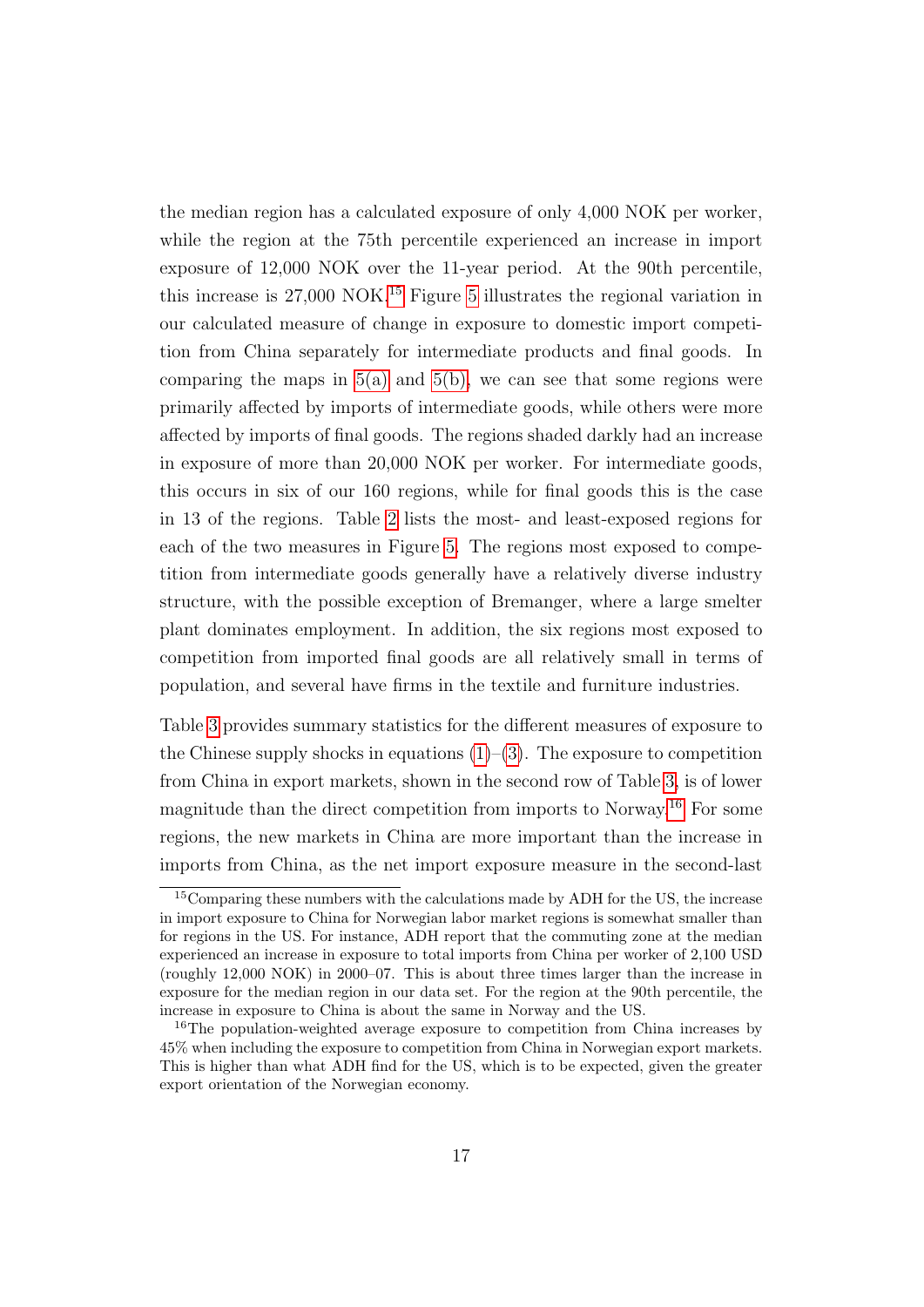the median region has a calculated exposure of only 4,000 NOK per worker, while the region at the 75th percentile experienced an increase in import exposure of 12,000 NOK over the 11-year period. At the 90th percentile, this increase is  $27,000 \text{ NOK}.$ <sup>[15](#page--1-0)</sup> Figure [5](#page-39-0) illustrates the regional variation in our calculated measure of change in exposure to domestic import competition from China separately for intermediate products and final goods. In comparing the maps in  $5(a)$  and  $5(b)$ , we can see that some regions were primarily affected by imports of intermediate goods, while others were more affected by imports of final goods. The regions shaded darkly had an increase in exposure of more than 20,000 NOK per worker. For intermediate goods, this occurs in six of our 160 regions, while for final goods this is the case in 13 of the regions. Table [2](#page-29-1) lists the most- and least-exposed regions for each of the two measures in Figure [5.](#page-39-0) The regions most exposed to competition from intermediate goods generally have a relatively diverse industry structure, with the possible exception of Bremanger, where a large smelter plant dominates employment. In addition, the six regions most exposed to competition from imported final goods are all relatively small in terms of population, and several have firms in the textile and furniture industries.

Table [3](#page-30-0) provides summary statistics for the different measures of exposure to the Chinese supply shocks in equations  $(1)$ – $(3)$ . The exposure to competition from China in export markets, shown in the second row of Table [3,](#page-30-0) is of lower magnitude than the direct competition from imports to Norway.[16](#page--1-0) For some regions, the new markets in China are more important than the increase in imports from China, as the net import exposure measure in the second-last

<sup>15</sup>Comparing these numbers with the calculations made by ADH for the US, the increase in import exposure to China for Norwegian labor market regions is somewhat smaller than for regions in the US. For instance, ADH report that the commuting zone at the median experienced an increase in exposure to total imports from China per worker of 2,100 USD (roughly 12,000 NOK) in 2000–07. This is about three times larger than the increase in exposure for the median region in our data set. For the region at the 90th percentile, the increase in exposure to China is about the same in Norway and the US.

<sup>16</sup>The population-weighted average exposure to competition from China increases by 45% when including the exposure to competition from China in Norwegian export markets. This is higher than what ADH find for the US, which is to be expected, given the greater export orientation of the Norwegian economy.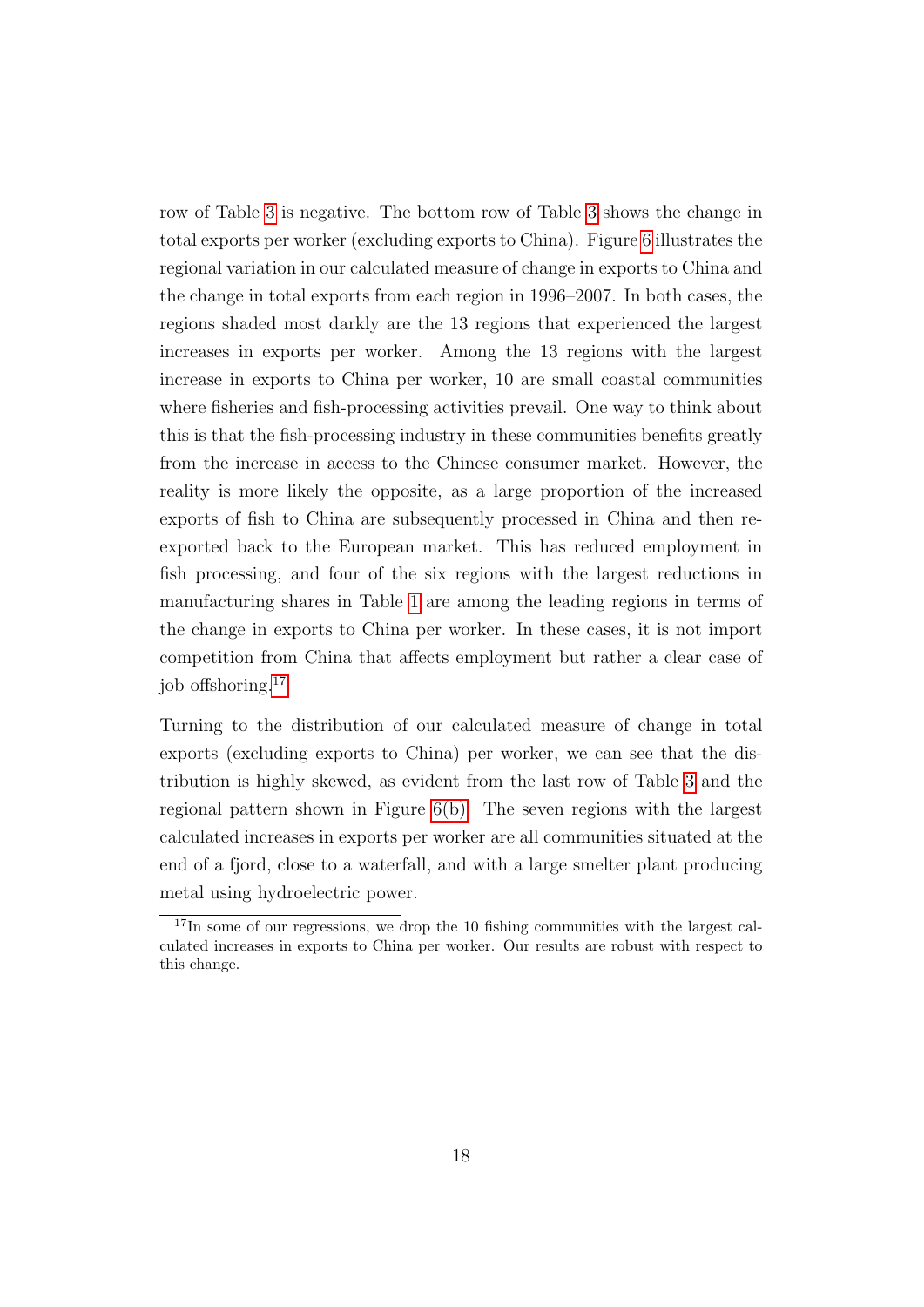row of Table [3](#page-30-0) is negative. The bottom row of Table [3](#page-30-0) shows the change in total exports per worker (excluding exports to China). Figure [6](#page-40-0) illustrates the regional variation in our calculated measure of change in exports to China and the change in total exports from each region in 1996–2007. In both cases, the regions shaded most darkly are the 13 regions that experienced the largest increases in exports per worker. Among the 13 regions with the largest increase in exports to China per worker, 10 are small coastal communities where fisheries and fish-processing activities prevail. One way to think about this is that the fish-processing industry in these communities benefits greatly from the increase in access to the Chinese consumer market. However, the reality is more likely the opposite, as a large proportion of the increased exports of fish to China are subsequently processed in China and then reexported back to the European market. This has reduced employment in fish processing, and four of the six regions with the largest reductions in manufacturing shares in Table [1](#page-29-0) are among the leading regions in terms of the change in exports to China per worker. In these cases, it is not import competition from China that affects employment but rather a clear case of job offshoring.<sup>[17](#page--1-0)</sup>

Turning to the distribution of our calculated measure of change in total exports (excluding exports to China) per worker, we can see that the distribution is highly skewed, as evident from the last row of Table [3](#page-30-0) and the regional pattern shown in Figure [6\(b\).](#page-40-1) The seven regions with the largest calculated increases in exports per worker are all communities situated at the end of a fjord, close to a waterfall, and with a large smelter plant producing metal using hydroelectric power.

<sup>&</sup>lt;sup>17</sup>In some of our regressions, we drop the 10 fishing communities with the largest calculated increases in exports to China per worker. Our results are robust with respect to this change.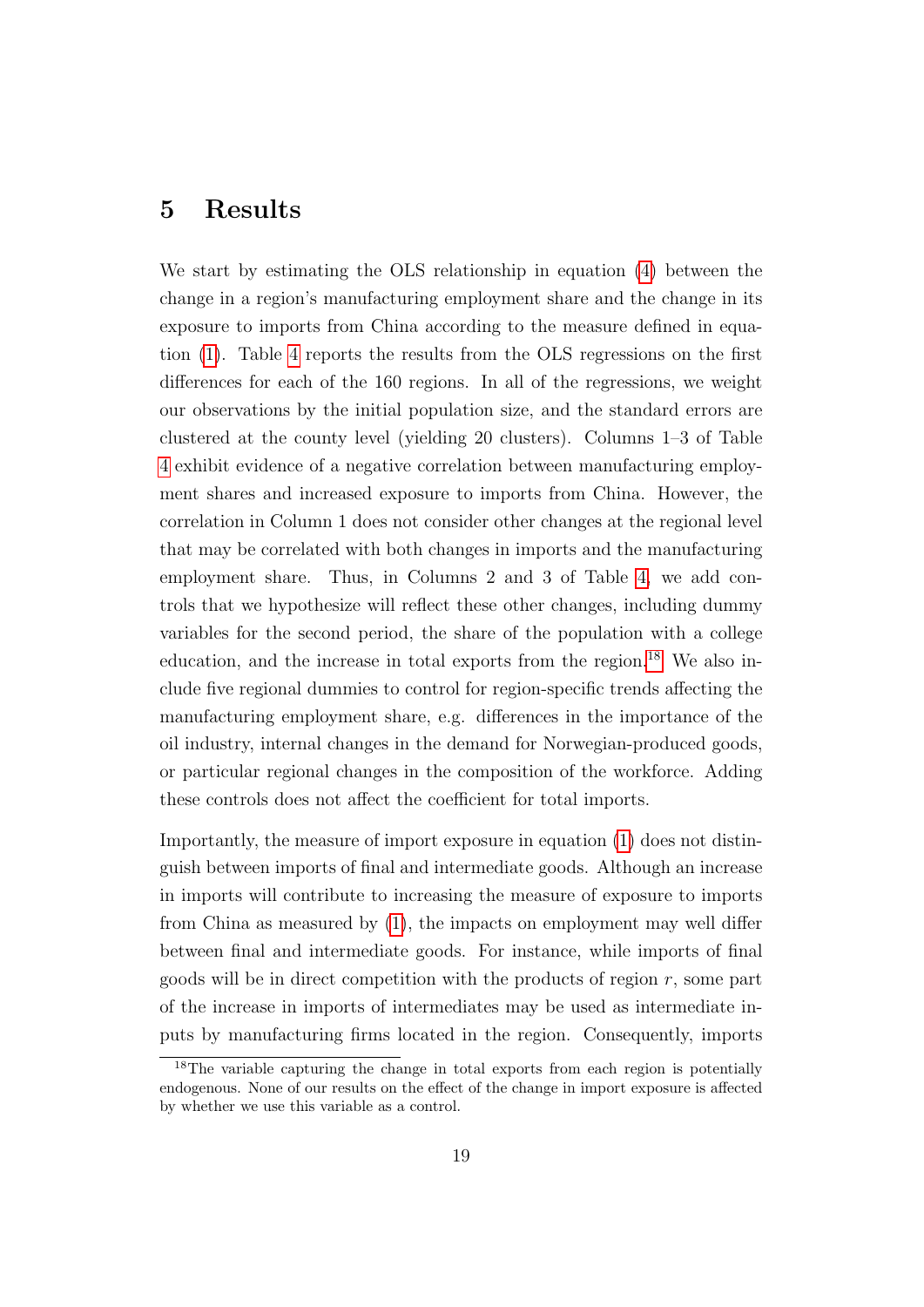#### <span id="page-20-0"></span>5 Results

We start by estimating the OLS relationship in equation [\(4\)](#page-13-1) between the change in a region's manufacturing employment share and the change in its exposure to imports from China according to the measure defined in equation [\(1\)](#page-11-0). Table [4](#page-30-1) reports the results from the OLS regressions on the first differences for each of the 160 regions. In all of the regressions, we weight our observations by the initial population size, and the standard errors are clustered at the county level (yielding 20 clusters). Columns 1–3 of Table [4](#page-30-1) exhibit evidence of a negative correlation between manufacturing employment shares and increased exposure to imports from China. However, the correlation in Column 1 does not consider other changes at the regional level that may be correlated with both changes in imports and the manufacturing employment share. Thus, in Columns 2 and 3 of Table [4,](#page-30-1) we add controls that we hypothesize will reflect these other changes, including dummy variables for the second period, the share of the population with a college education, and the increase in total exports from the region.<sup>[18](#page--1-0)</sup> We also include five regional dummies to control for region-specific trends affecting the manufacturing employment share, e.g. differences in the importance of the oil industry, internal changes in the demand for Norwegian-produced goods, or particular regional changes in the composition of the workforce. Adding these controls does not affect the coefficient for total imports.

Importantly, the measure of import exposure in equation [\(1\)](#page-11-0) does not distinguish between imports of final and intermediate goods. Although an increase in imports will contribute to increasing the measure of exposure to imports from China as measured by [\(1\)](#page-11-0), the impacts on employment may well differ between final and intermediate goods. For instance, while imports of final goods will be in direct competition with the products of region  $r$ , some part of the increase in imports of intermediates may be used as intermediate inputs by manufacturing firms located in the region. Consequently, imports

<sup>&</sup>lt;sup>18</sup>The variable capturing the change in total exports from each region is potentially endogenous. None of our results on the effect of the change in import exposure is affected by whether we use this variable as a control.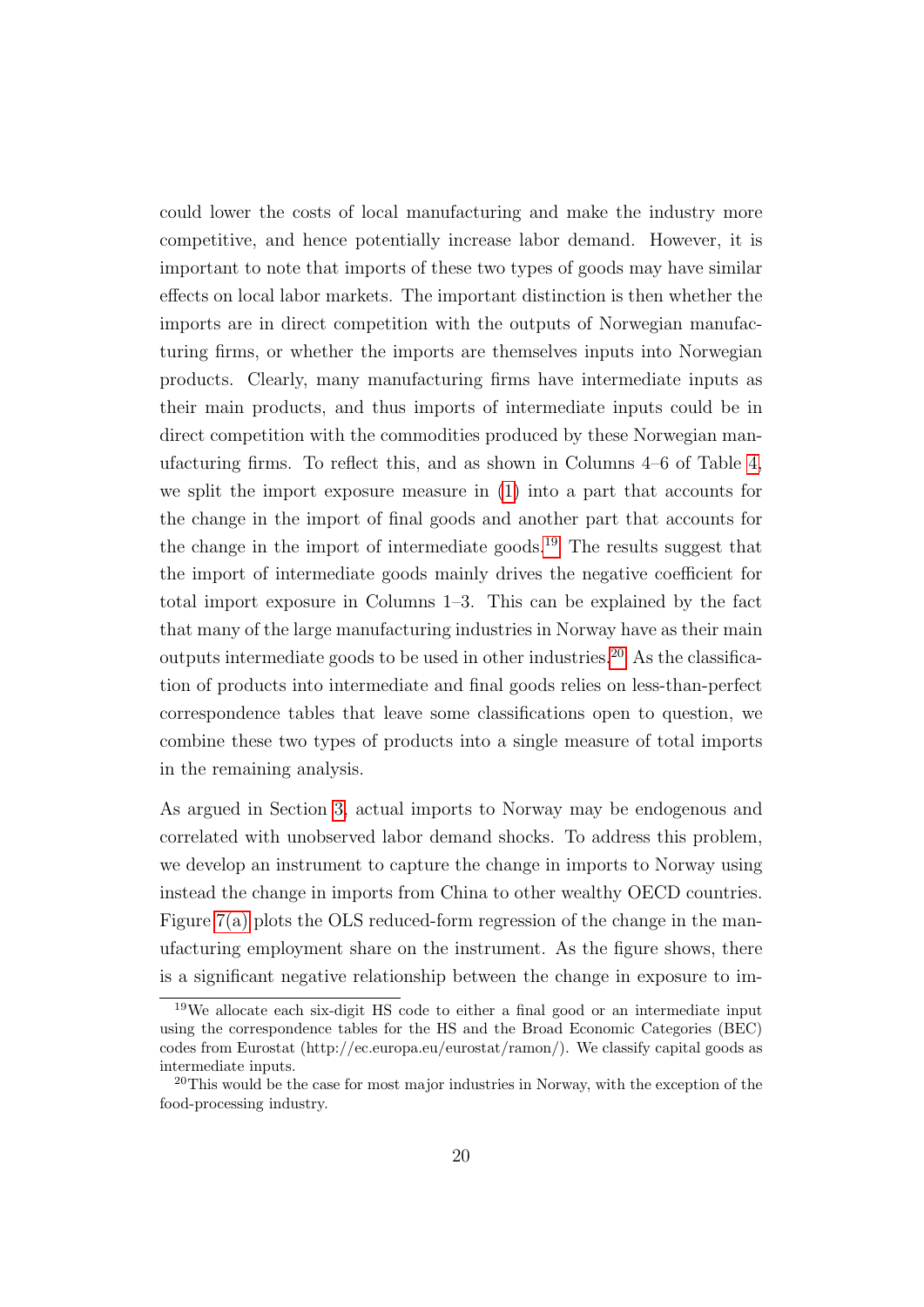could lower the costs of local manufacturing and make the industry more competitive, and hence potentially increase labor demand. However, it is important to note that imports of these two types of goods may have similar effects on local labor markets. The important distinction is then whether the imports are in direct competition with the outputs of Norwegian manufacturing firms, or whether the imports are themselves inputs into Norwegian products. Clearly, many manufacturing firms have intermediate inputs as their main products, and thus imports of intermediate inputs could be in direct competition with the commodities produced by these Norwegian manufacturing firms. To reflect this, and as shown in Columns 4–6 of Table [4,](#page-30-1) we split the import exposure measure in [\(1\)](#page-11-0) into a part that accounts for the change in the import of final goods and another part that accounts for the change in the import of intermediate goods.<sup>[19](#page--1-0)</sup> The results suggest that the import of intermediate goods mainly drives the negative coefficient for total import exposure in Columns 1–3. This can be explained by the fact that many of the large manufacturing industries in Norway have as their main outputs intermediate goods to be used in other industries.<sup>[20](#page--1-0)</sup> As the classification of products into intermediate and final goods relies on less-than-perfect correspondence tables that leave some classifications open to question, we combine these two types of products into a single measure of total imports in the remaining analysis.

As argued in Section [3,](#page-10-0) actual imports to Norway may be endogenous and correlated with unobserved labor demand shocks. To address this problem, we develop an instrument to capture the change in imports to Norway using instead the change in imports from China to other wealthy OECD countries. Figure  $7(a)$  plots the OLS reduced-form regression of the change in the manufacturing employment share on the instrument. As the figure shows, there is a significant negative relationship between the change in exposure to im-

<sup>19</sup>We allocate each six-digit HS code to either a final good or an intermediate input using the correspondence tables for the HS and the Broad Economic Categories (BEC) codes from Eurostat (http://ec.europa.eu/eurostat/ramon/). We classify capital goods as intermediate inputs.

<sup>&</sup>lt;sup>20</sup>This would be the case for most major industries in Norway, with the exception of the food-processing industry.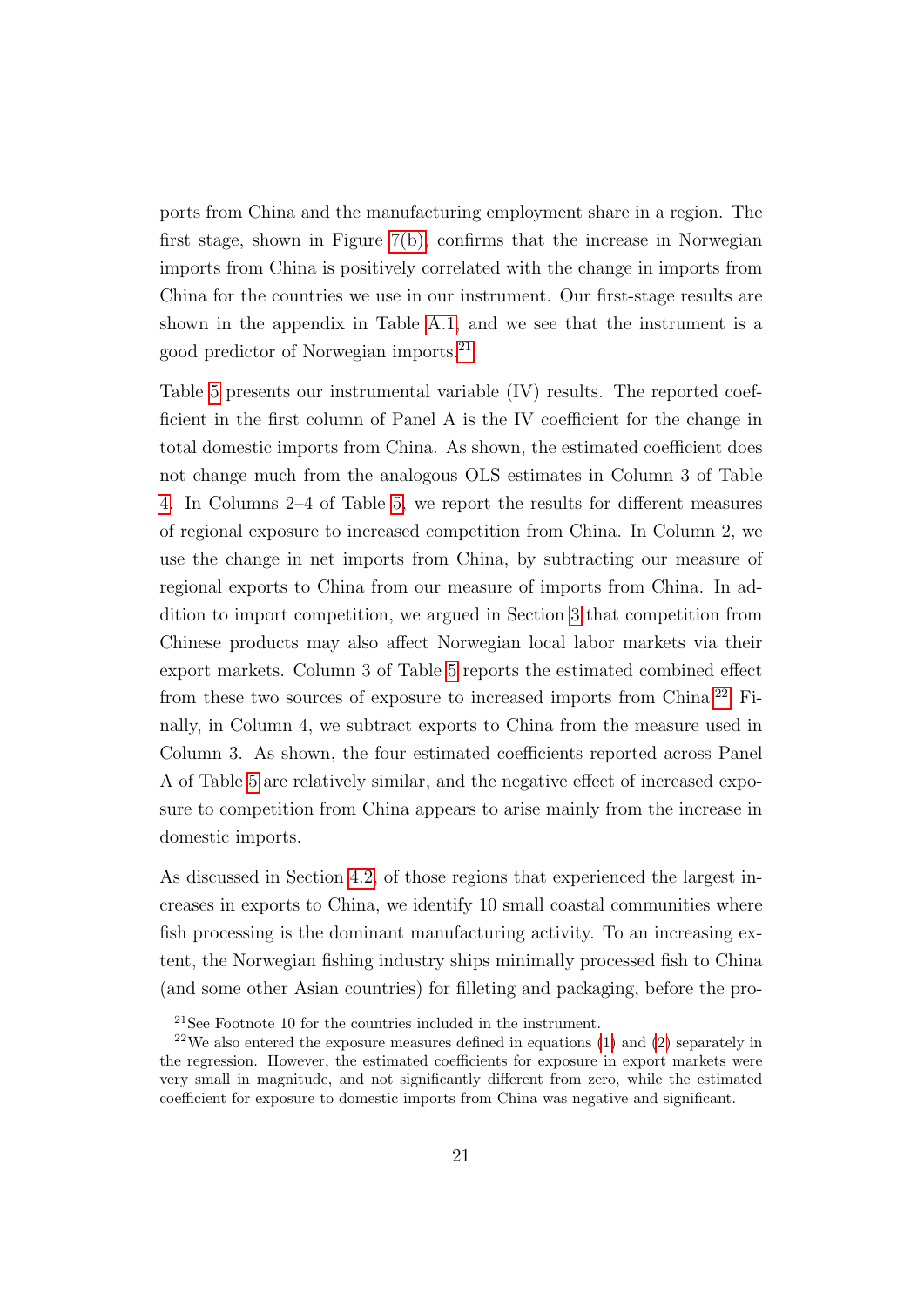ports from China and the manufacturing employment share in a region. The first stage, shown in Figure [7\(b\),](#page-41-1) confirms that the increase in Norwegian imports from China is positively correlated with the change in imports from China for the countries we use in our instrument. Our first-stage results are shown in the appendix in Table [A.1,](#page-45-0) and we see that the instrument is a good predictor of Norwegian imports.[21](#page--1-0)

Table [5](#page-31-0) presents our instrumental variable (IV) results. The reported coefficient in the first column of Panel A is the IV coefficient for the change in total domestic imports from China. As shown, the estimated coefficient does not change much from the analogous OLS estimates in Column 3 of Table [4.](#page-30-1) In Columns 2–4 of Table [5,](#page-31-0) we report the results for different measures of regional exposure to increased competition from China. In Column 2, we use the change in net imports from China, by subtracting our measure of regional exports to China from our measure of imports from China. In addition to import competition, we argued in Section [3](#page-10-0) that competition from Chinese products may also affect Norwegian local labor markets via their export markets. Column 3 of Table [5](#page-31-0) reports the estimated combined effect from these two sources of exposure to increased imports from China.[22](#page--1-0) Finally, in Column 4, we subtract exports to China from the measure used in Column 3. As shown, the four estimated coefficients reported across Panel A of Table [5](#page-31-0) are relatively similar, and the negative effect of increased exposure to competition from China appears to arise mainly from the increase in domestic imports.

As discussed in Section [4.2,](#page-17-0) of those regions that experienced the largest increases in exports to China, we identify 10 small coastal communities where fish processing is the dominant manufacturing activity. To an increasing extent, the Norwegian fishing industry ships minimally processed fish to China (and some other Asian countries) for filleting and packaging, before the pro-

<sup>21</sup>See Footnote 10 for the countries included in the instrument.

 $22$ We also entered the exposure measures defined in equations [\(1\)](#page-11-0) and [\(2\)](#page-12-0) separately in the regression. However, the estimated coefficients for exposure in export markets were very small in magnitude, and not significantly different from zero, while the estimated coefficient for exposure to domestic imports from China was negative and significant.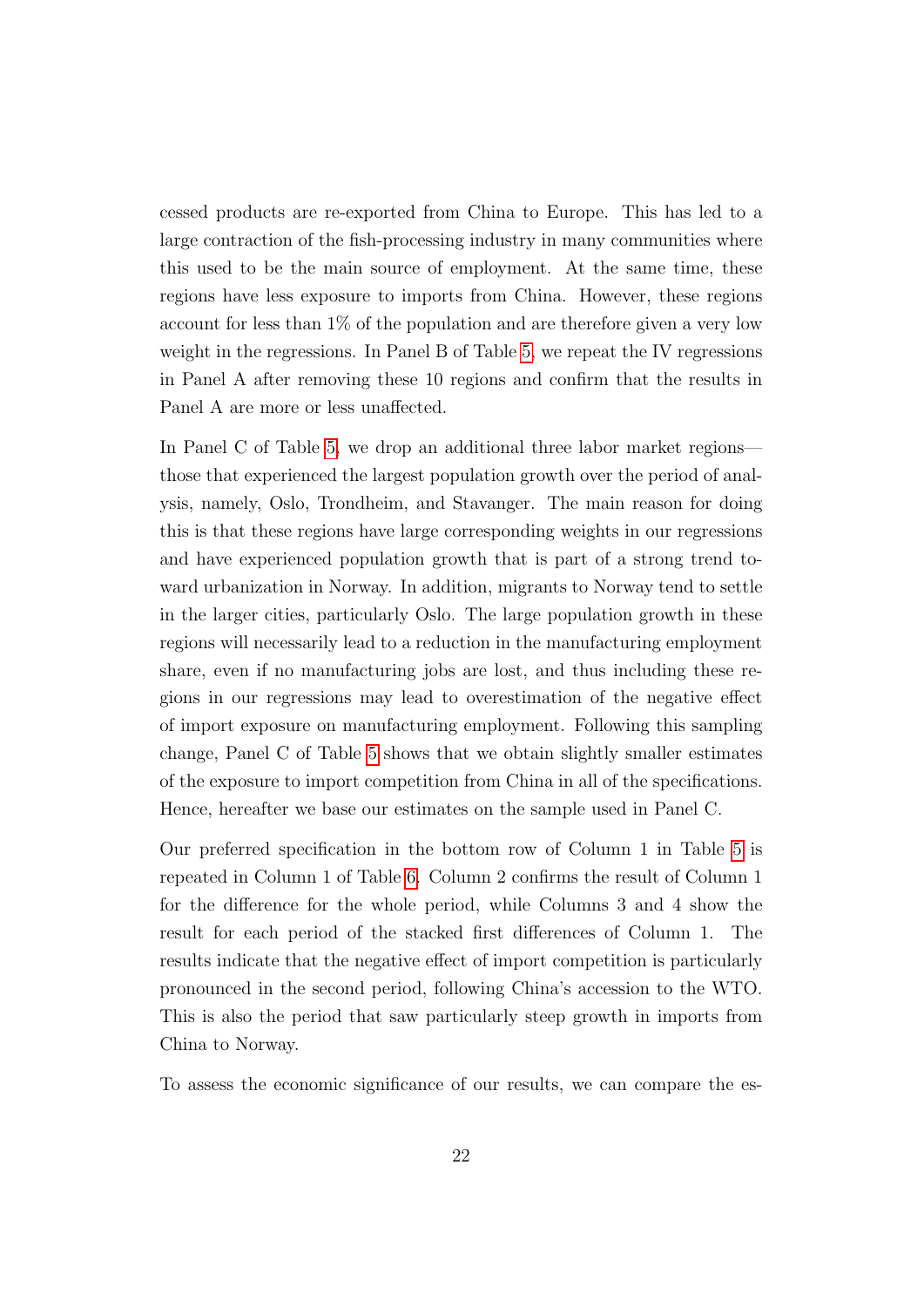cessed products are re-exported from China to Europe. This has led to a large contraction of the fish-processing industry in many communities where this used to be the main source of employment. At the same time, these regions have less exposure to imports from China. However, these regions account for less than 1% of the population and are therefore given a very low weight in the regressions. In Panel B of Table [5,](#page-31-0) we repeat the IV regressions in Panel A after removing these 10 regions and confirm that the results in Panel A are more or less unaffected.

In Panel C of Table [5,](#page-31-0) we drop an additional three labor market regions those that experienced the largest population growth over the period of analysis, namely, Oslo, Trondheim, and Stavanger. The main reason for doing this is that these regions have large corresponding weights in our regressions and have experienced population growth that is part of a strong trend toward urbanization in Norway. In addition, migrants to Norway tend to settle in the larger cities, particularly Oslo. The large population growth in these regions will necessarily lead to a reduction in the manufacturing employment share, even if no manufacturing jobs are lost, and thus including these regions in our regressions may lead to overestimation of the negative effect of import exposure on manufacturing employment. Following this sampling change, Panel C of Table [5](#page-31-0) shows that we obtain slightly smaller estimates of the exposure to import competition from China in all of the specifications. Hence, hereafter we base our estimates on the sample used in Panel C.

Our preferred specification in the bottom row of Column 1 in Table [5](#page-31-0) is repeated in Column 1 of Table [6.](#page-32-0) Column 2 confirms the result of Column 1 for the difference for the whole period, while Columns 3 and 4 show the result for each period of the stacked first differences of Column 1. The results indicate that the negative effect of import competition is particularly pronounced in the second period, following China's accession to the WTO. This is also the period that saw particularly steep growth in imports from China to Norway.

To assess the economic significance of our results, we can compare the es-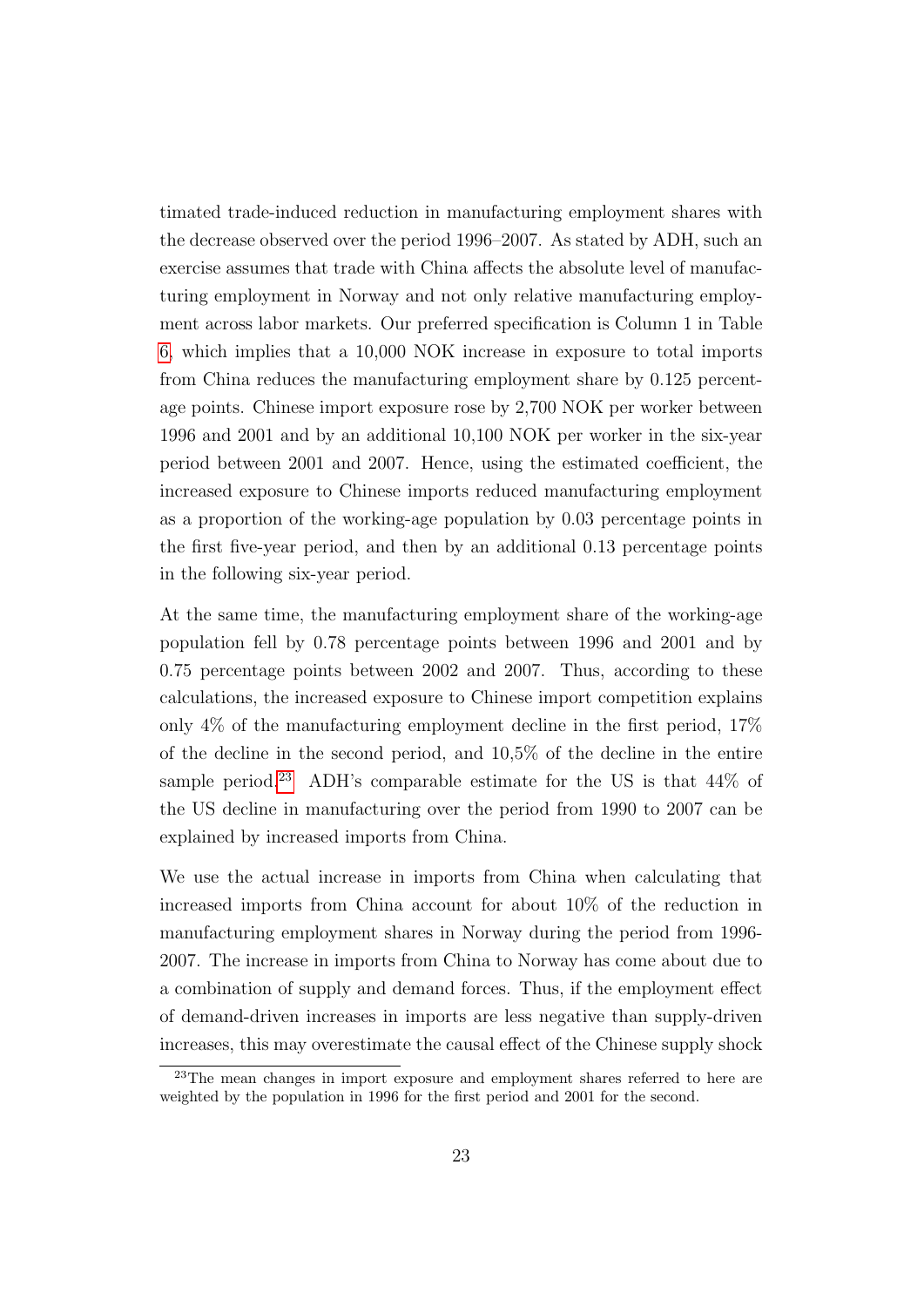timated trade-induced reduction in manufacturing employment shares with the decrease observed over the period 1996–2007. As stated by ADH, such an exercise assumes that trade with China affects the absolute level of manufacturing employment in Norway and not only relative manufacturing employment across labor markets. Our preferred specification is Column 1 in Table [6,](#page-32-0) which implies that a 10,000 NOK increase in exposure to total imports from China reduces the manufacturing employment share by 0.125 percentage points. Chinese import exposure rose by 2,700 NOK per worker between 1996 and 2001 and by an additional 10,100 NOK per worker in the six-year period between 2001 and 2007. Hence, using the estimated coefficient, the increased exposure to Chinese imports reduced manufacturing employment as a proportion of the working-age population by 0.03 percentage points in the first five-year period, and then by an additional 0.13 percentage points in the following six-year period.

At the same time, the manufacturing employment share of the working-age population fell by 0.78 percentage points between 1996 and 2001 and by 0.75 percentage points between 2002 and 2007. Thus, according to these calculations, the increased exposure to Chinese import competition explains only  $4\%$  of the manufacturing employment decline in the first period,  $17\%$ of the decline in the second period, and 10,5% of the decline in the entire sample period.<sup>[23](#page--1-0)</sup> ADH's comparable estimate for the US is that  $44\%$  of the US decline in manufacturing over the period from 1990 to 2007 can be explained by increased imports from China.

We use the actual increase in imports from China when calculating that increased imports from China account for about 10% of the reduction in manufacturing employment shares in Norway during the period from 1996- 2007. The increase in imports from China to Norway has come about due to a combination of supply and demand forces. Thus, if the employment effect of demand-driven increases in imports are less negative than supply-driven increases, this may overestimate the causal effect of the Chinese supply shock

<sup>23</sup>The mean changes in import exposure and employment shares referred to here are weighted by the population in 1996 for the first period and 2001 for the second.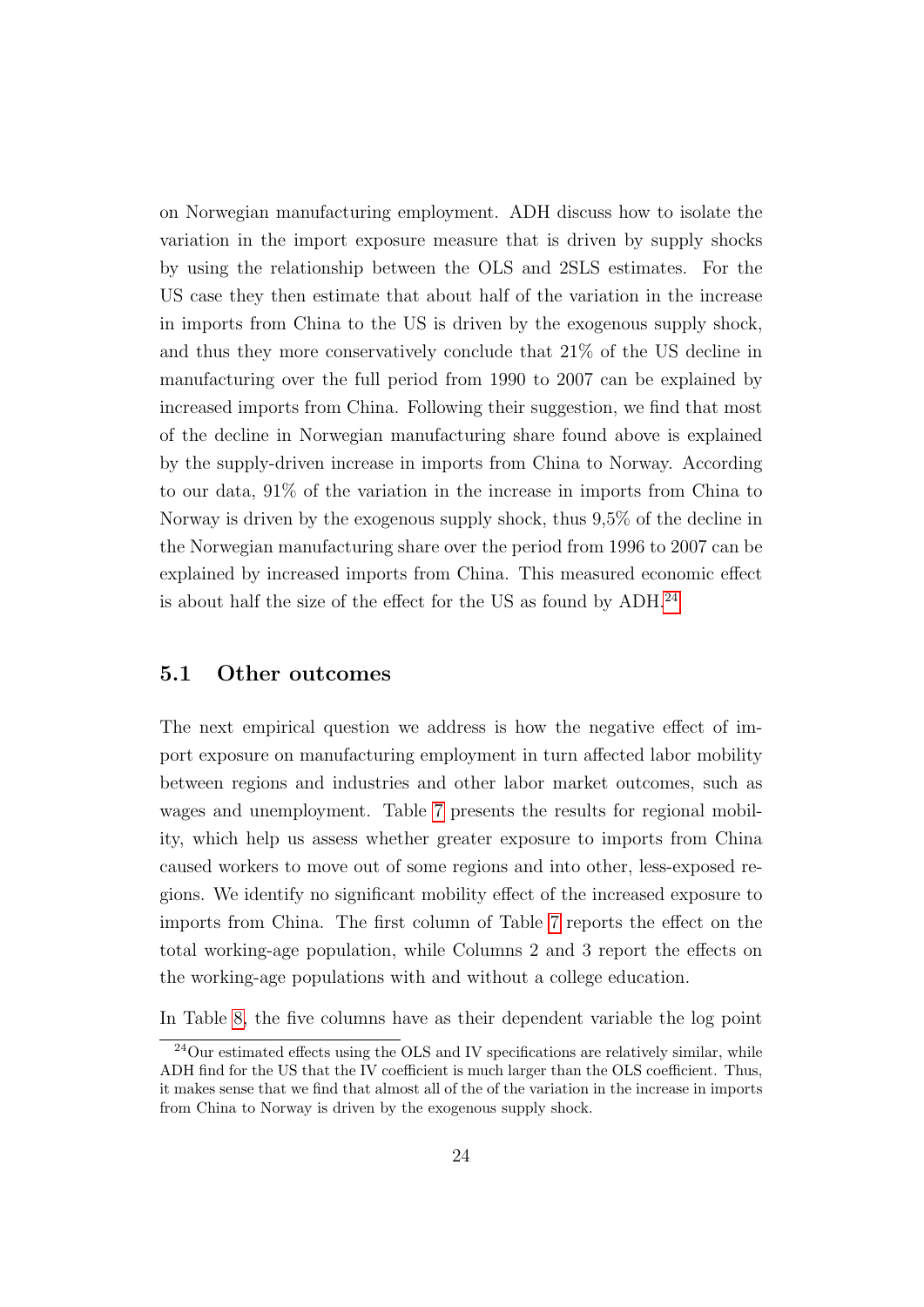on Norwegian manufacturing employment. ADH discuss how to isolate the variation in the import exposure measure that is driven by supply shocks by using the relationship between the OLS and 2SLS estimates. For the US case they then estimate that about half of the variation in the increase in imports from China to the US is driven by the exogenous supply shock, and thus they more conservatively conclude that 21% of the US decline in manufacturing over the full period from 1990 to 2007 can be explained by increased imports from China. Following their suggestion, we find that most of the decline in Norwegian manufacturing share found above is explained by the supply-driven increase in imports from China to Norway. According to our data, 91% of the variation in the increase in imports from China to Norway is driven by the exogenous supply shock, thus 9,5% of the decline in the Norwegian manufacturing share over the period from 1996 to 2007 can be explained by increased imports from China. This measured economic effect is about half the size of the effect for the US as found by ADH.[24](#page--1-0)

#### 5.1 Other outcomes

The next empirical question we address is how the negative effect of import exposure on manufacturing employment in turn affected labor mobility between regions and industries and other labor market outcomes, such as wages and unemployment. Table [7](#page-32-1) presents the results for regional mobility, which help us assess whether greater exposure to imports from China caused workers to move out of some regions and into other, less-exposed regions. We identify no significant mobility effect of the increased exposure to imports from China. The first column of Table [7](#page-32-1) reports the effect on the total working-age population, while Columns 2 and 3 report the effects on the working-age populations with and without a college education.

In Table [8,](#page-33-0) the five columns have as their dependent variable the log point

<sup>&</sup>lt;sup>24</sup>Our estimated effects using the OLS and IV specifications are relatively similar, while ADH find for the US that the IV coefficient is much larger than the OLS coefficient. Thus, it makes sense that we find that almost all of the of the variation in the increase in imports from China to Norway is driven by the exogenous supply shock.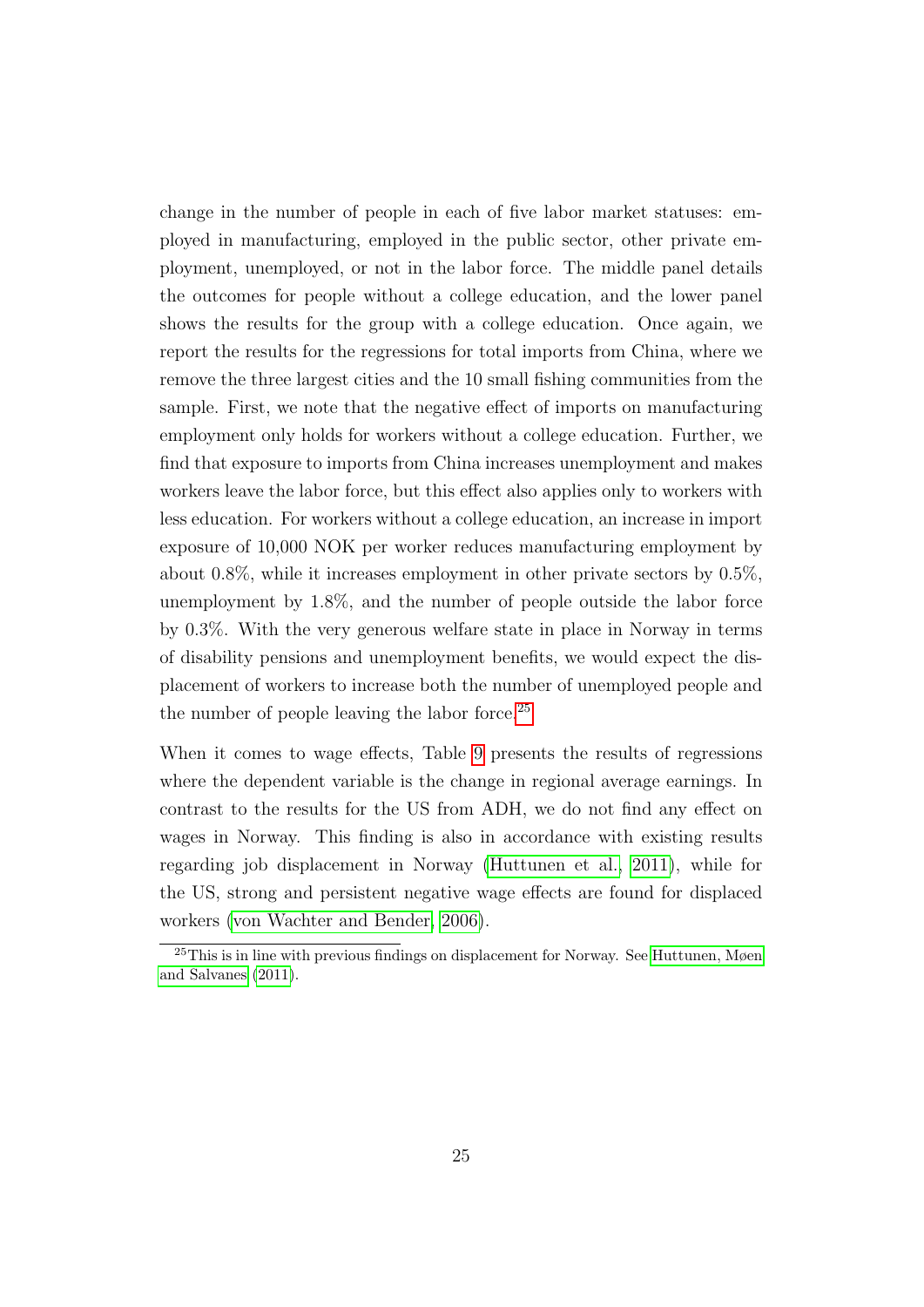<span id="page-26-0"></span>change in the number of people in each of five labor market statuses: employed in manufacturing, employed in the public sector, other private employment, unemployed, or not in the labor force. The middle panel details the outcomes for people without a college education, and the lower panel shows the results for the group with a college education. Once again, we report the results for the regressions for total imports from China, where we remove the three largest cities and the 10 small fishing communities from the sample. First, we note that the negative effect of imports on manufacturing employment only holds for workers without a college education. Further, we find that exposure to imports from China increases unemployment and makes workers leave the labor force, but this effect also applies only to workers with less education. For workers without a college education, an increase in import exposure of 10,000 NOK per worker reduces manufacturing employment by about 0.8%, while it increases employment in other private sectors by 0.5%, unemployment by 1.8%, and the number of people outside the labor force by 0.3%. With the very generous welfare state in place in Norway in terms of disability pensions and unemployment benefits, we would expect the displacement of workers to increase both the number of unemployed people and the number of people leaving the labor force.<sup>[25](#page--1-0)</sup>

When it comes to wage effects, Table [9](#page-34-0) presents the results of regressions where the dependent variable is the change in regional average earnings. In contrast to the results for the US from ADH, we do not find any effect on wages in Norway. This finding is also in accordance with existing results regarding job displacement in Norway [\(Huttunen et al., 2011\)](#page-43-9), while for the US, strong and persistent negative wage effects are found for displaced workers [\(von Wachter and Bender, 2006\)](#page-44-6).

<sup>&</sup>lt;sup>25</sup>This is in line with previous findings on displacement for Norway. See [Huttunen, Møen](#page-43-9) [and Salvanes](#page-43-9) [\(2011\)](#page-43-9).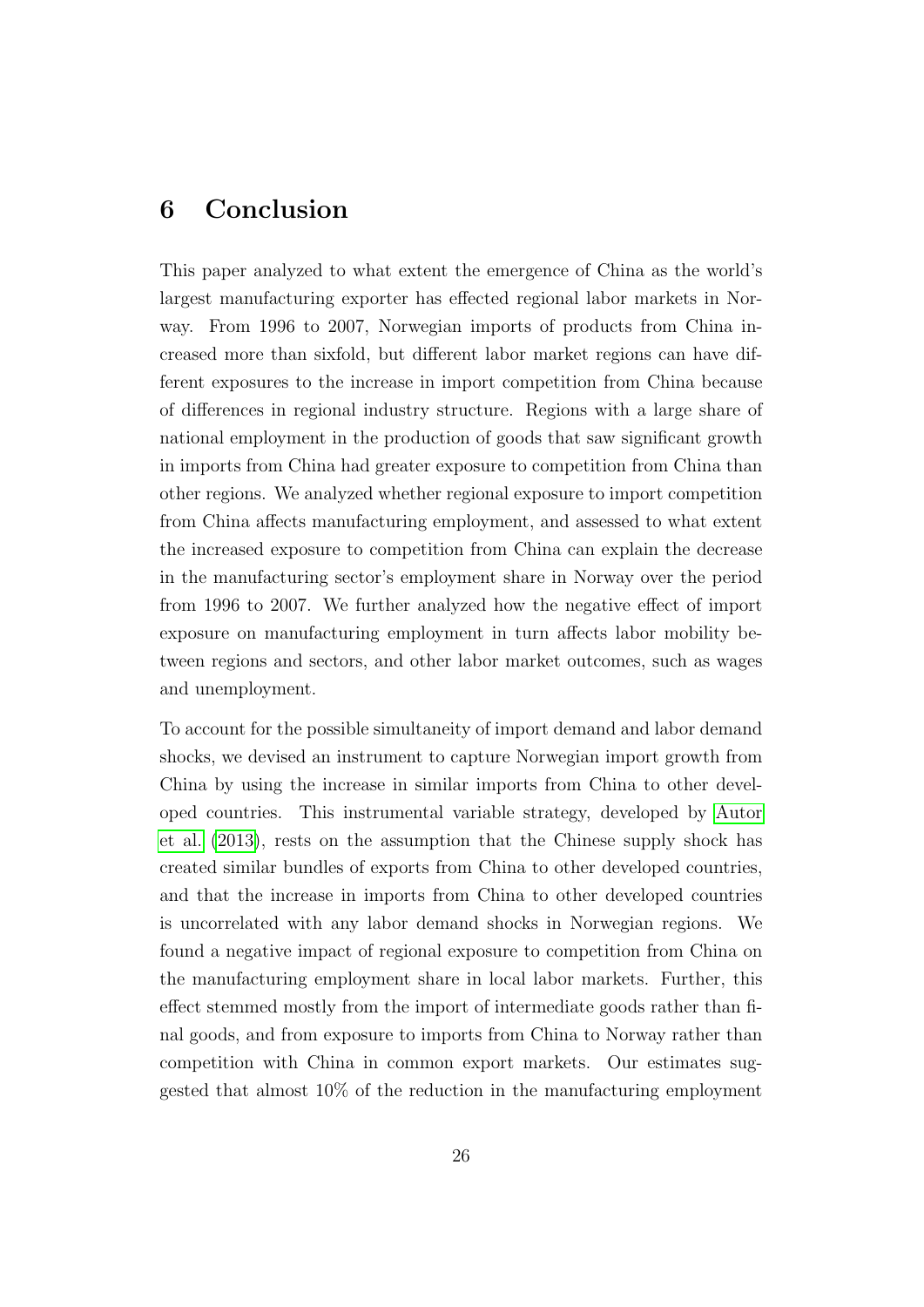### <span id="page-27-1"></span><span id="page-27-0"></span>6 Conclusion

This paper analyzed to what extent the emergence of China as the world's largest manufacturing exporter has effected regional labor markets in Norway. From 1996 to 2007, Norwegian imports of products from China increased more than sixfold, but different labor market regions can have different exposures to the increase in import competition from China because of differences in regional industry structure. Regions with a large share of national employment in the production of goods that saw significant growth in imports from China had greater exposure to competition from China than other regions. We analyzed whether regional exposure to import competition from China affects manufacturing employment, and assessed to what extent the increased exposure to competition from China can explain the decrease in the manufacturing sector's employment share in Norway over the period from 1996 to 2007. We further analyzed how the negative effect of import exposure on manufacturing employment in turn affects labor mobility between regions and sectors, and other labor market outcomes, such as wages and unemployment.

To account for the possible simultaneity of import demand and labor demand shocks, we devised an instrument to capture Norwegian import growth from China by using the increase in similar imports from China to other developed countries. This instrumental variable strategy, developed by [Autor](#page-42-1) [et al.](#page-42-1) [\(2013\)](#page-42-1), rests on the assumption that the Chinese supply shock has created similar bundles of exports from China to other developed countries, and that the increase in imports from China to other developed countries is uncorrelated with any labor demand shocks in Norwegian regions. We found a negative impact of regional exposure to competition from China on the manufacturing employment share in local labor markets. Further, this effect stemmed mostly from the import of intermediate goods rather than final goods, and from exposure to imports from China to Norway rather than competition with China in common export markets. Our estimates suggested that almost 10% of the reduction in the manufacturing employment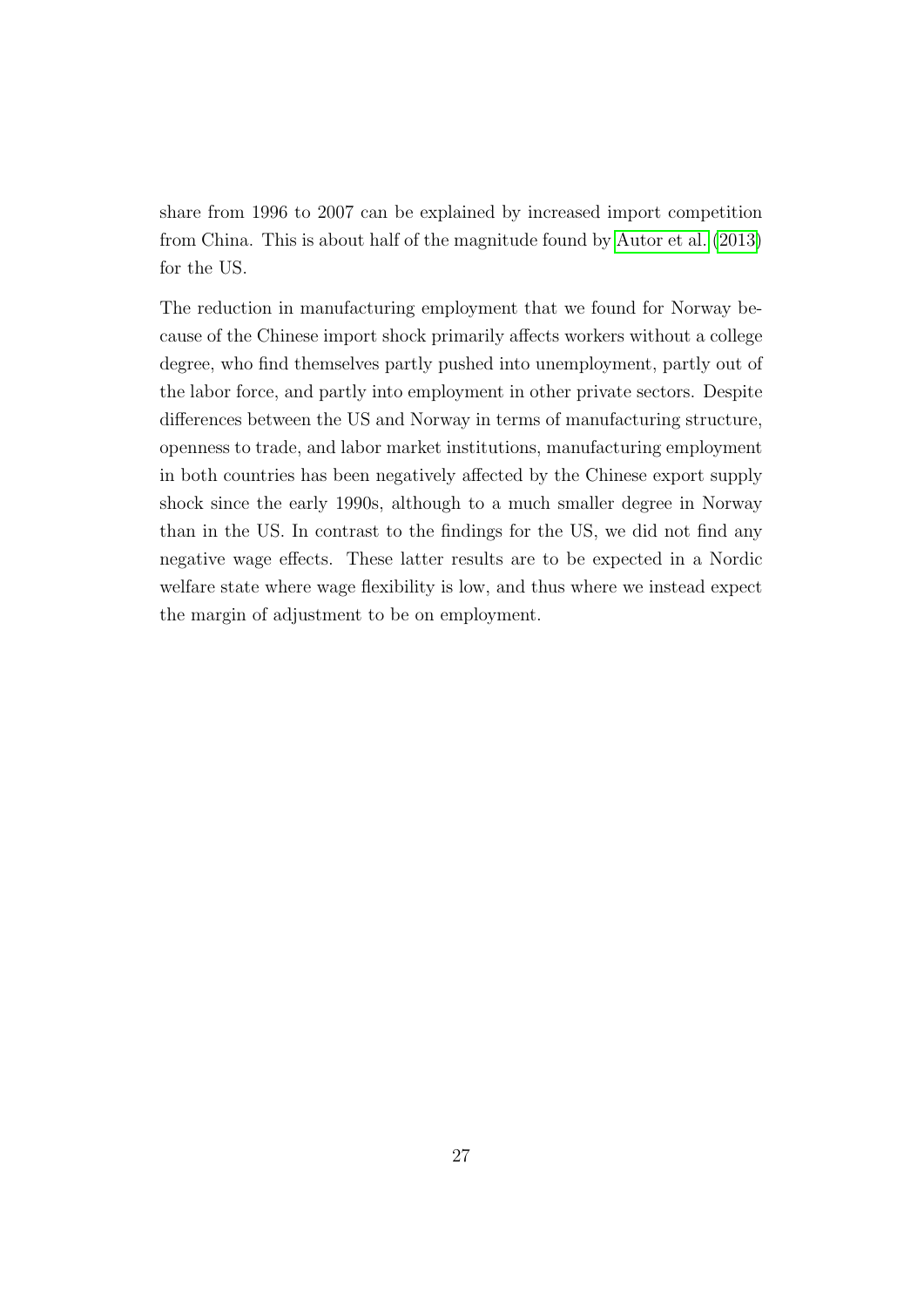<span id="page-28-0"></span>share from 1996 to 2007 can be explained by increased import competition from China. This is about half of the magnitude found by [Autor et al.](#page-42-1) [\(2013\)](#page-42-1) for the US.

The reduction in manufacturing employment that we found for Norway because of the Chinese import shock primarily affects workers without a college degree, who find themselves partly pushed into unemployment, partly out of the labor force, and partly into employment in other private sectors. Despite differences between the US and Norway in terms of manufacturing structure, openness to trade, and labor market institutions, manufacturing employment in both countries has been negatively affected by the Chinese export supply shock since the early 1990s, although to a much smaller degree in Norway than in the US. In contrast to the findings for the US, we did not find any negative wage effects. These latter results are to be expected in a Nordic welfare state where wage flexibility is low, and thus where we instead expect the margin of adjustment to be on employment.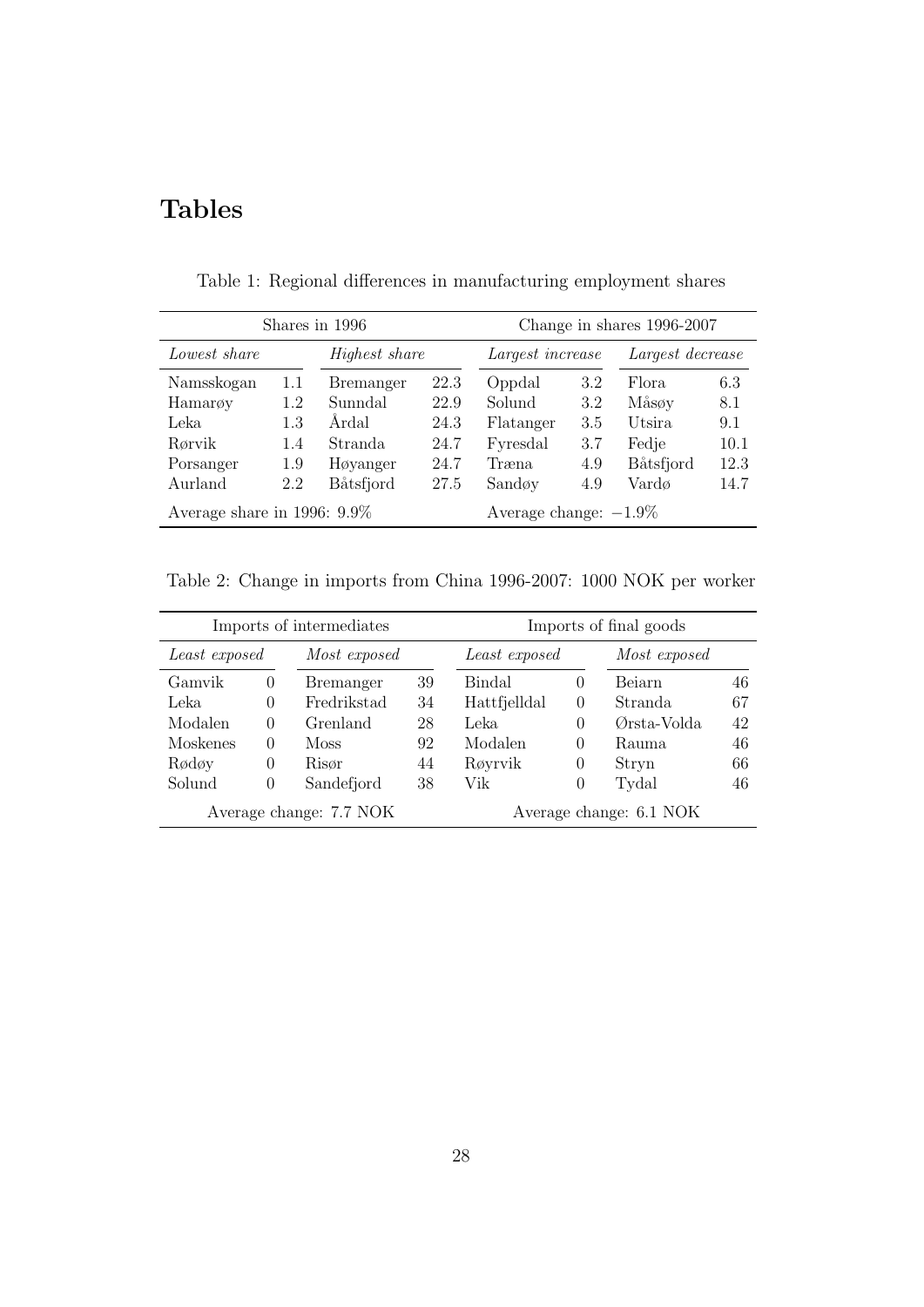## Tables

| Shares in 1996                 |     |                      |                          | Change in shares 1996-2007 |     |                  |      |
|--------------------------------|-----|----------------------|--------------------------|----------------------------|-----|------------------|------|
| Lowest share                   |     | <i>Highest share</i> |                          | Largest increase           |     | Largest decrease |      |
| Namsskogan                     | 1.1 | <b>Bremanger</b>     | 22.3                     | Oppdal                     | 3.2 | Flora.           | 6.3  |
| Hamary                         | 1.2 | Sunndal              | 22.9                     | Solund                     | 3.2 | Måsøy            | 8.1  |
| Leka                           | 1.3 | Årdal                | 24.3                     | Flatanger                  | 3.5 | Utsira           | 9.1  |
| Rørvik                         | 1.4 | Stranda              | 24.7                     | Fyresdal                   | 3.7 | Fedje            | 10.1 |
| Porsanger                      | 1.9 | Høyanger             | 24.7                     | Træna                      | 4.9 | Båtsfjord        | 12.3 |
| Aurland                        | 2.2 | <b>Båtsfjord</b>     | 27.5                     | Sandøy                     | 4.9 | Vardø            | 14.7 |
| Average share in 1996: $9.9\%$ |     |                      | Average change: $-1.9\%$ |                            |     |                  |      |

<span id="page-29-0"></span>Table 1: Regional differences in manufacturing employment shares

<span id="page-29-1"></span>Table 2: Change in imports from China 1996-2007: 1000 NOK per worker

| Imports of intermediates                           |                  |                  |    | Imports of final goods |          |              |    |
|----------------------------------------------------|------------------|------------------|----|------------------------|----------|--------------|----|
| Least exposed                                      |                  | Most exposed     |    | Least exposed          |          | Most exposed |    |
| Gamvik                                             | $\theta$         | <b>Bremanger</b> | 39 | Bindal                 | $\theta$ | Beiarn       | 46 |
| Leka                                               | $\left( \right)$ | Fredrikstad      | 34 | Hattfjelldal           | $\theta$ | Stranda      | 67 |
| Modalen                                            | 0                | Grenland         | 28 | Leka.                  | 0        | Ørsta-Volda  | 42 |
| Moskenes                                           | $\left( \right)$ | <b>Moss</b>      | 92 | Modalen                | 0        | Rauma        | 46 |
| Rødøy                                              | 0                | Risør            | 44 | Røyrvik                | $\theta$ | Stryn        | 66 |
| Solund                                             | 0                | Sandefjord       | 38 | Vik                    | $\theta$ | Tydal        | 46 |
| Average change: 7.7 NOK<br>Average change: 6.1 NOK |                  |                  |    |                        |          |              |    |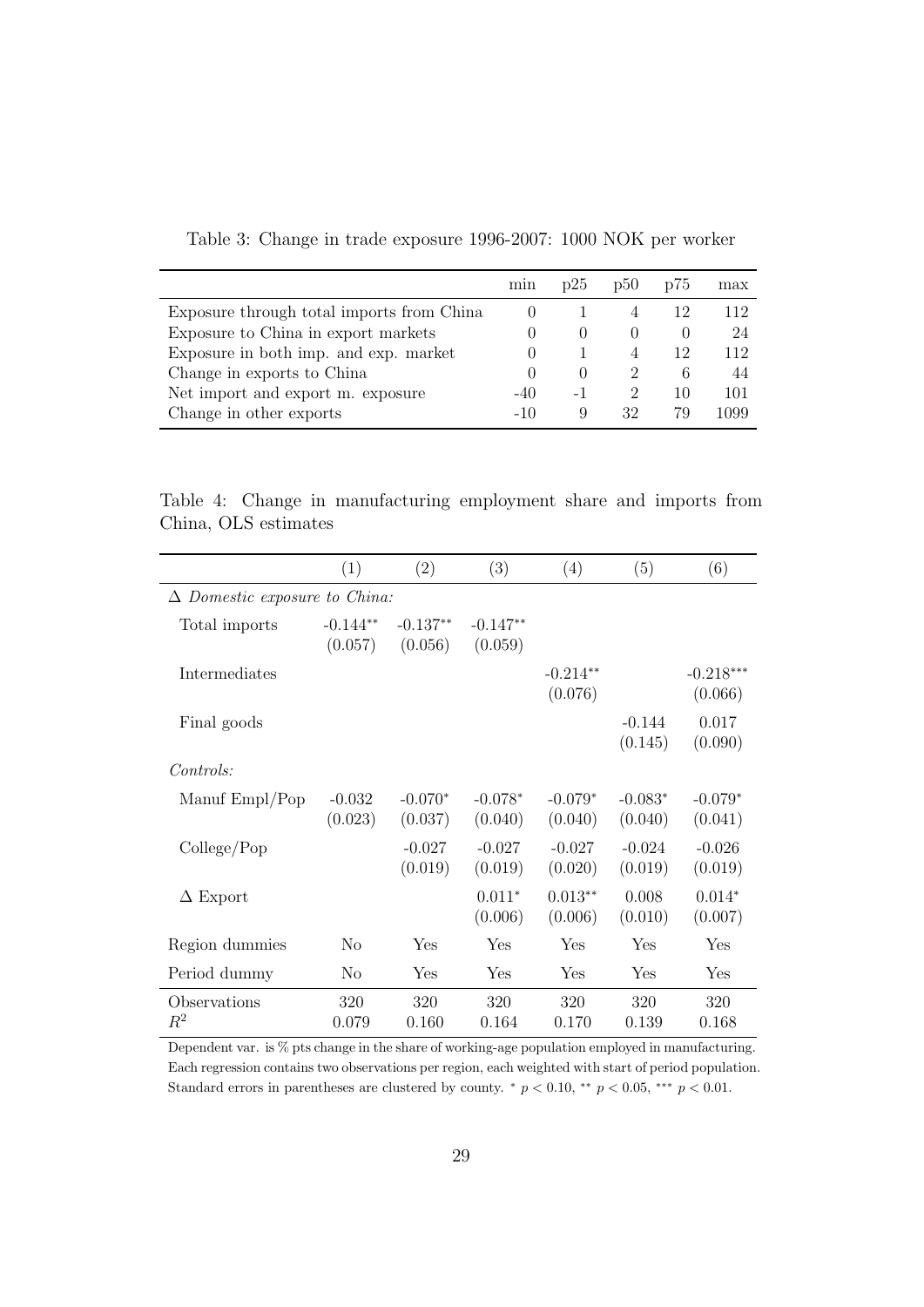|                                           | min              | p25              | p50           | D'O    | max  |
|-------------------------------------------|------------------|------------------|---------------|--------|------|
| Exposure through total imports from China | $\left( \right)$ |                  |               |        | 112  |
| Exposure to China in export markets       | $\theta$         | $\left( \right)$ | $\theta$      | $\cup$ | 24   |
| Exposure in both imp. and exp. market     |                  |                  |               | 12     | 112  |
| Change in exports to China                |                  |                  | $\mathcal{L}$ | 6      | 44   |
| Net import and export m. exposure         | -40              | - 1              | 2             | 10     | 101  |
| Change in other exports                   | $-1()$           | 9                | 32            | 79     | 1099 |

<span id="page-30-0"></span>Table 3: Change in trade exposure 1996-2007: 1000 NOK per worker

<span id="page-30-1"></span>Table 4: Change in manufacturing employment share and imports from China, OLS estimates

|                                      | (1)                   | (2)                   | (3)                   | (4)                   | (5)                  | (6)                    |
|--------------------------------------|-----------------------|-----------------------|-----------------------|-----------------------|----------------------|------------------------|
| $\Delta$ Domestic exposure to China: |                       |                       |                       |                       |                      |                        |
| Total imports                        | $-0.144**$<br>(0.057) | $-0.137**$<br>(0.056) | $-0.147**$<br>(0.059) |                       |                      |                        |
| Intermediates                        |                       |                       |                       | $-0.214**$<br>(0.076) |                      | $-0.218***$<br>(0.066) |
| Final goods                          |                       |                       |                       |                       | $-0.144$<br>(0.145)  | 0.017<br>(0.090)       |
| Controls:                            |                       |                       |                       |                       |                      |                        |
| Manuf Empl/Pop                       | $-0.032$<br>(0.023)   | $-0.070*$<br>(0.037)  | $-0.078*$<br>(0.040)  | $-0.079*$<br>(0.040)  | $-0.083*$<br>(0.040) | $-0.079*$<br>(0.041)   |
| $\text{College}/\text{Pop}$          |                       | $-0.027$<br>(0.019)   | $-0.027$<br>(0.019)   | $-0.027$<br>(0.020)   | $-0.024$<br>(0.019)  | $-0.026$<br>(0.019)    |
| $\Delta$ Export                      |                       |                       | $0.011*$<br>(0.006)   | $0.013**$<br>(0.006)  | 0.008<br>(0.010)     | $0.014*$<br>(0.007)    |
| Region dummies                       | N <sub>0</sub>        | Yes                   | Yes                   | Yes                   | Yes                  | Yes                    |
| Period dummy                         | No                    | Yes                   | Yes                   | Yes                   | Yes                  | Yes                    |
| Observations<br>$\mathbb{R}^2$       | 320<br>0.079          | 320<br>0.160          | 320<br>0.164          | 320<br>0.170          | 320<br>0.139         | 320<br>0.168           |

Dependent var. is % pts change in the share of working-age population employed in manufacturing. Each regression contains two observations per region, each weighted with start of period population. Standard errors in parentheses are clustered by county.  $*$   $p < 0.10$ ,  $**$   $p < 0.05$ ,  $***$   $p < 0.01$ .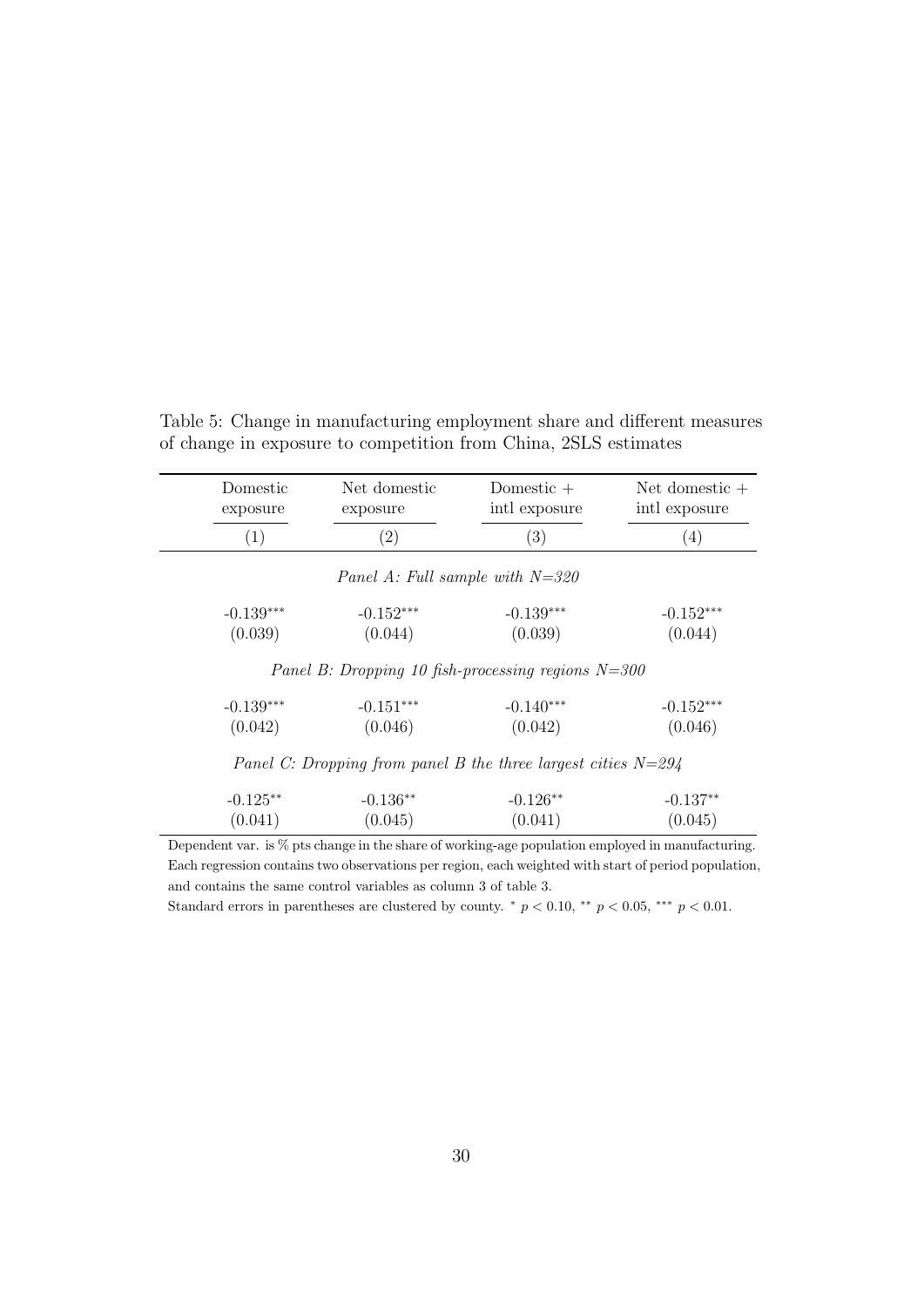| Domestic<br>exposure | Net domestic<br>exposure                                        | Domestic $+$<br>intl exposure | Net domestic $+$<br>intl exposure |
|----------------------|-----------------------------------------------------------------|-------------------------------|-----------------------------------|
| (1)                  | $\left( 2\right)$                                               | (3)                           | (4)                               |
|                      | Panel A: Full sample with $N=320$                               |                               |                                   |
| $-0.139***$          | $-0.152***$                                                     | $-0.139***$                   | $-0.152***$                       |
| (0.039)              | (0.044)                                                         | (0.039)                       | (0.044)                           |
|                      | Panel B: Dropping 10 fish-processing regions $N=300$            |                               |                                   |
| $-0.139***$          | $-0.151***$                                                     | $-0.140***$                   | $-0.152***$                       |
| (0.042)              | (0.046)                                                         | (0.042)                       | (0.046)                           |
|                      | Panel C: Dropping from panel B the three largest cities $N=294$ |                               |                                   |
| $-0.125**$           | $-0.136**$                                                      | $-0.126**$                    | $-0.137**$                        |

<span id="page-31-0"></span>Table 5: Change in manufacturing employment share and different measures of change in exposure to competition from China, 2SLS estimates

Dependent var. is % pts change in the share of working-age population employed in manufacturing. Each regression contains two observations per region, each weighted with start of period population, and contains the same control variables as column 3 of table 3.

 $(0.041)$   $(0.045)$   $(0.041)$   $(0.045)$ 

Standard errors in parentheses are clustered by county.  $*$   $p < 0.10$ ,  $**$   $p < 0.05$ ,  $***$   $p < 0.01$ .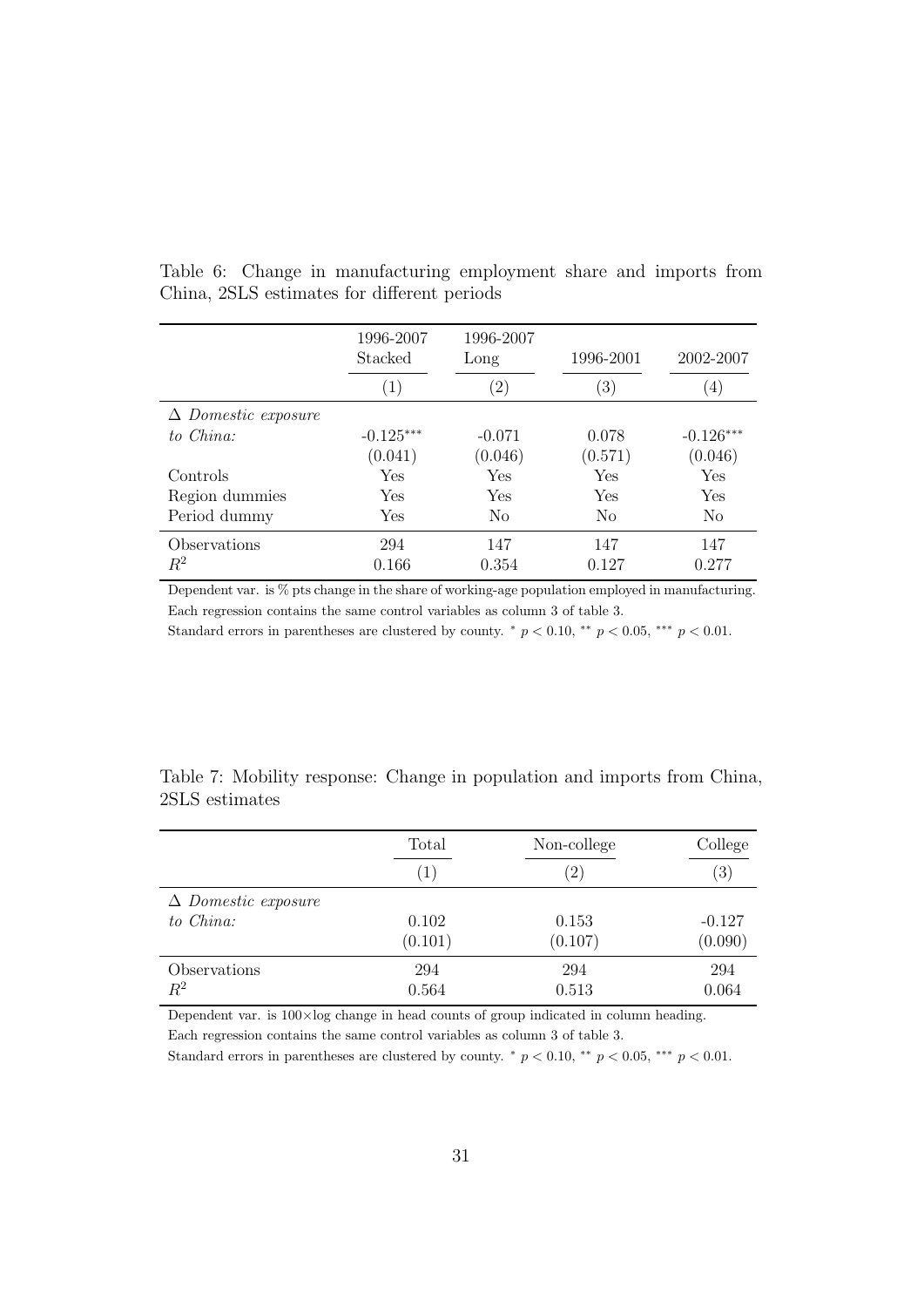|                            | 1996-2007<br>Stacked | 1996-2007<br>Long | 1996-2001        | 2002-2007      |
|----------------------------|----------------------|-------------------|------------------|----------------|
|                            | $\left( 1\right)$    | $\left( 2\right)$ | $\left(3\right)$ | (4)            |
| $\Delta$ Domestic exposure |                      |                   |                  |                |
| to China:                  | $-0.125***$          | $-0.071$          | 0.078            | $-0.126***$    |
|                            | (0.041)              | (0.046)           | (0.571)          | (0.046)        |
| Controls                   | <b>Yes</b>           | Yes               | Yes              | Yes            |
| Region dummies             | Yes                  | Yes               | Yes              | Yes            |
| Period dummy               | Yes                  | N <sub>0</sub>    | N <sub>0</sub>   | N <sub>0</sub> |
| Observations               | 294                  | 147               | 147              | 147            |
| $R^2$                      | 0.166                | 0.354             | 0.127            | 0.277          |

<span id="page-32-0"></span>Table 6: Change in manufacturing employment share and imports from China, 2SLS estimates for different periods

Dependent var. is % pts change in the share of working-age population employed in manufacturing. Each regression contains the same control variables as column 3 of table 3.

Standard errors in parentheses are clustered by county.  $*$   $p < 0.10$ ,  $**$   $p < 0.05$ ,  $***$   $p < 0.01$ .

<span id="page-32-1"></span>

| Table 7: Mobility response: Change in population and imports from China, |  |  |  |
|--------------------------------------------------------------------------|--|--|--|
| 2SLS estimates                                                           |  |  |  |

|                            | Total            | Non-college | College  |
|----------------------------|------------------|-------------|----------|
|                            | $\left(1\right)$ | $^{(2)}$    | (3)      |
| $\Delta$ Domestic exposure |                  |             |          |
| to China:                  | 0.102            | 0.153       | $-0.127$ |
|                            | (0.101)          | (0.107)     | (0.090)  |
| Observations               | 294              | 294         | 294      |
| $R^2$                      | 0.564            | 0.513       | 0.064    |

Dependent var. is  $100 \times \log$  change in head counts of group indicated in column heading.

Each regression contains the same control variables as column 3 of table 3.

Standard errors in parentheses are clustered by county.  $*$   $p < 0.10$ ,  $**$   $p < 0.05$ ,  $***$   $p < 0.01$ .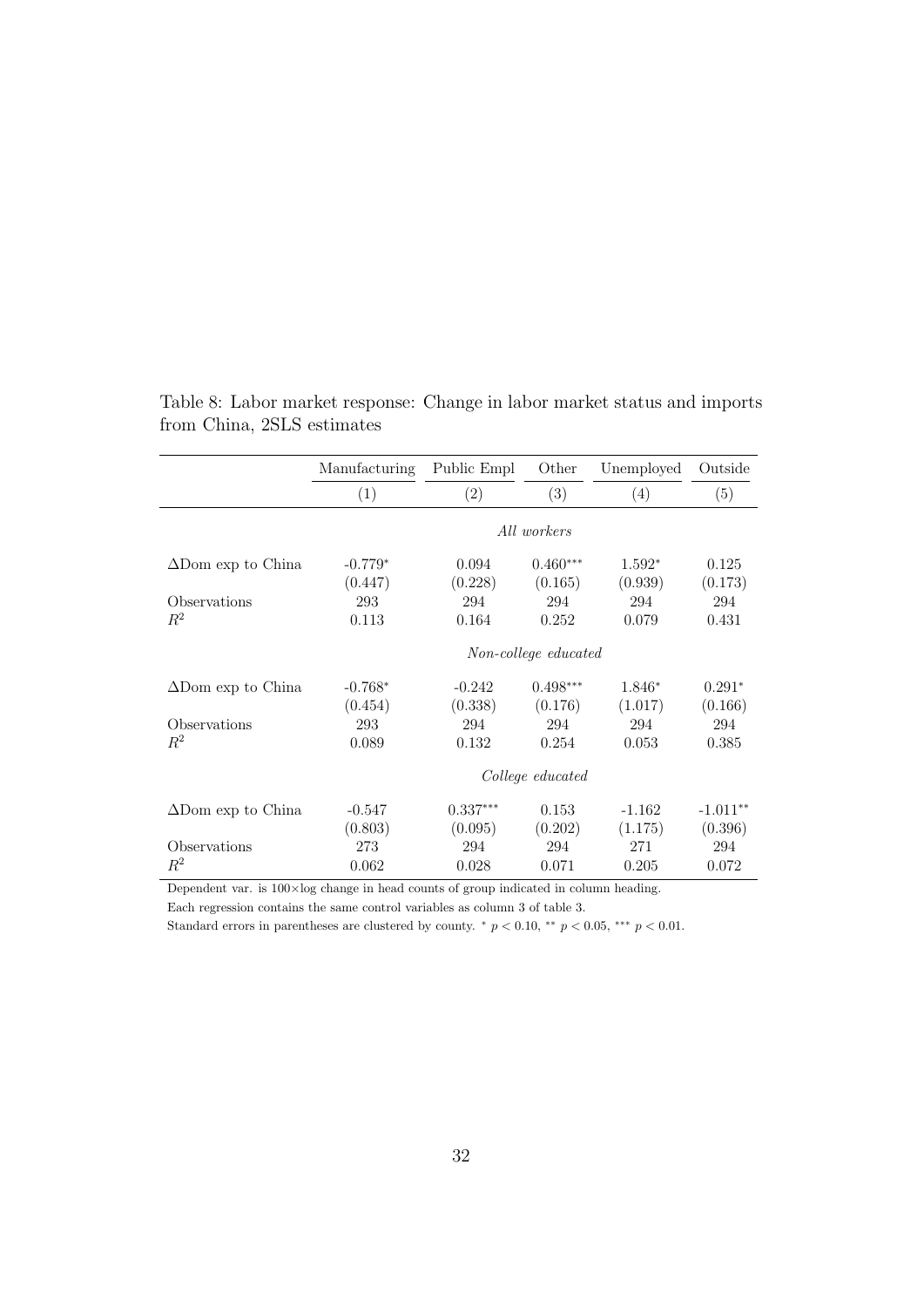|                           | Manufacturing        | Public Empl | Other      | Unemployed | Outside    |  |
|---------------------------|----------------------|-------------|------------|------------|------------|--|
|                           | (1)                  | (2)         | (3)        | (4)        | (5)        |  |
|                           | All workers          |             |            |            |            |  |
| $\Delta$ Dom exp to China | $-0.779*$            | 0.094       | $0.460***$ | $1.592*$   | 0.125      |  |
|                           | (0.447)              | (0.228)     | (0.165)    | (0.939)    | (0.173)    |  |
| Observations              | 293                  | 294         | 294        | 294        | 294        |  |
| $R^2$                     | 0.113                | 0.164       | 0.252      | 0.079      | 0.431      |  |
|                           | Non-college educated |             |            |            |            |  |
| $\Delta$ Dom exp to China | $-0.768*$            | $-0.242$    | $0.498***$ | $1.846*$   | $0.291*$   |  |
|                           | (0.454)              | (0.338)     | (0.176)    | (1.017)    | (0.166)    |  |
| Observations              | 293                  | 294         | 294        | 294        | 294        |  |
| $R^2$                     | 0.089                | 0.132       | 0.254      | 0.053      | 0.385      |  |
|                           | College educated     |             |            |            |            |  |
| $\Delta$ Dom exp to China | $-0.547$             | $0.337***$  | 0.153      | $-1.162$   | $-1.011**$ |  |
|                           | (0.803)              | (0.095)     | (0.202)    | (1.175)    | (0.396)    |  |
| Observations              | 273                  | 294         | 294        | 271        | 294        |  |
| $R^2$                     | 0.062                | 0.028       | 0.071      | 0.205      | 0.072      |  |

<span id="page-33-0"></span>Table 8: Labor market response: Change in labor market status and imports from China, 2SLS estimates

Dependent var. is  $100 \times \log$  change in head counts of group indicated in column heading.

Each regression contains the same control variables as column 3 of table 3.

Standard errors in parentheses are clustered by county.  $*$   $p < 0.10$ ,  $**$   $p < 0.05$ ,  $***$   $p < 0.01$ .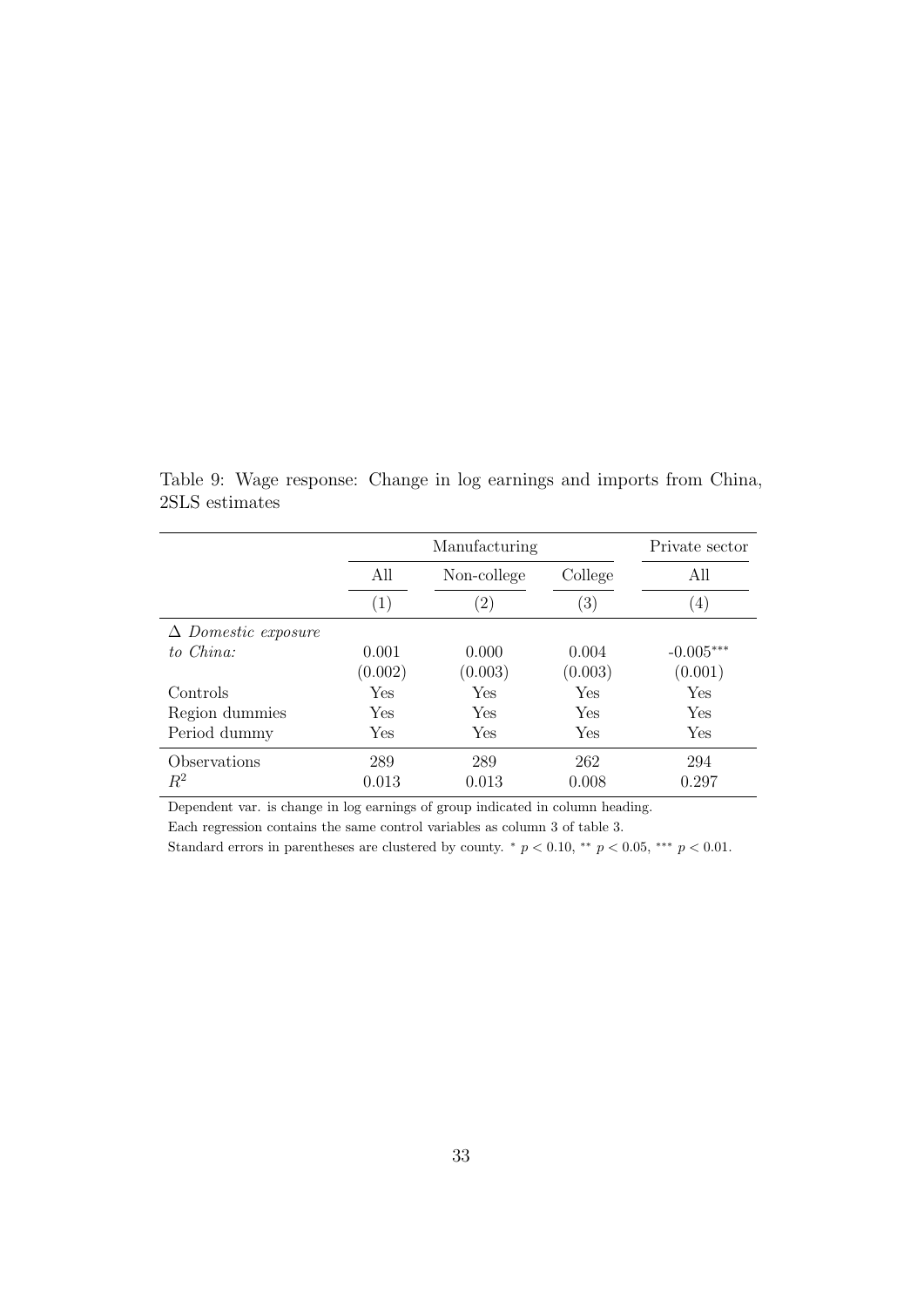Manufacturing Private sector All Non-college College All  $(1)$   $(2)$   $(3)$   $(4)$ ∆ Domestic exposure to China: 0.001 0.000 0.004 -0.005<sup>∗</sup>\*\*  $(0.002)$   $(0.003)$   $(0.003)$   $(0.001)$ Controls Yes Yes Yes Yes Region dummies Yes Yes Yes Yes Period dummy Yes Yes Yes Yes Yes Yes Observations 289 289 262 294  $R^2$  0.013 0.013 0.008 0.297

<span id="page-34-0"></span>Table 9: Wage response: Change in log earnings and imports from China, 2SLS estimates

Dependent var. is change in log earnings of group indicated in column heading.

Each regression contains the same control variables as column 3 of table 3.

Standard errors in parentheses are clustered by county.  $*$   $p < 0.10$ ,  $**$   $p < 0.05$ ,  $**$   $p < 0.01$ .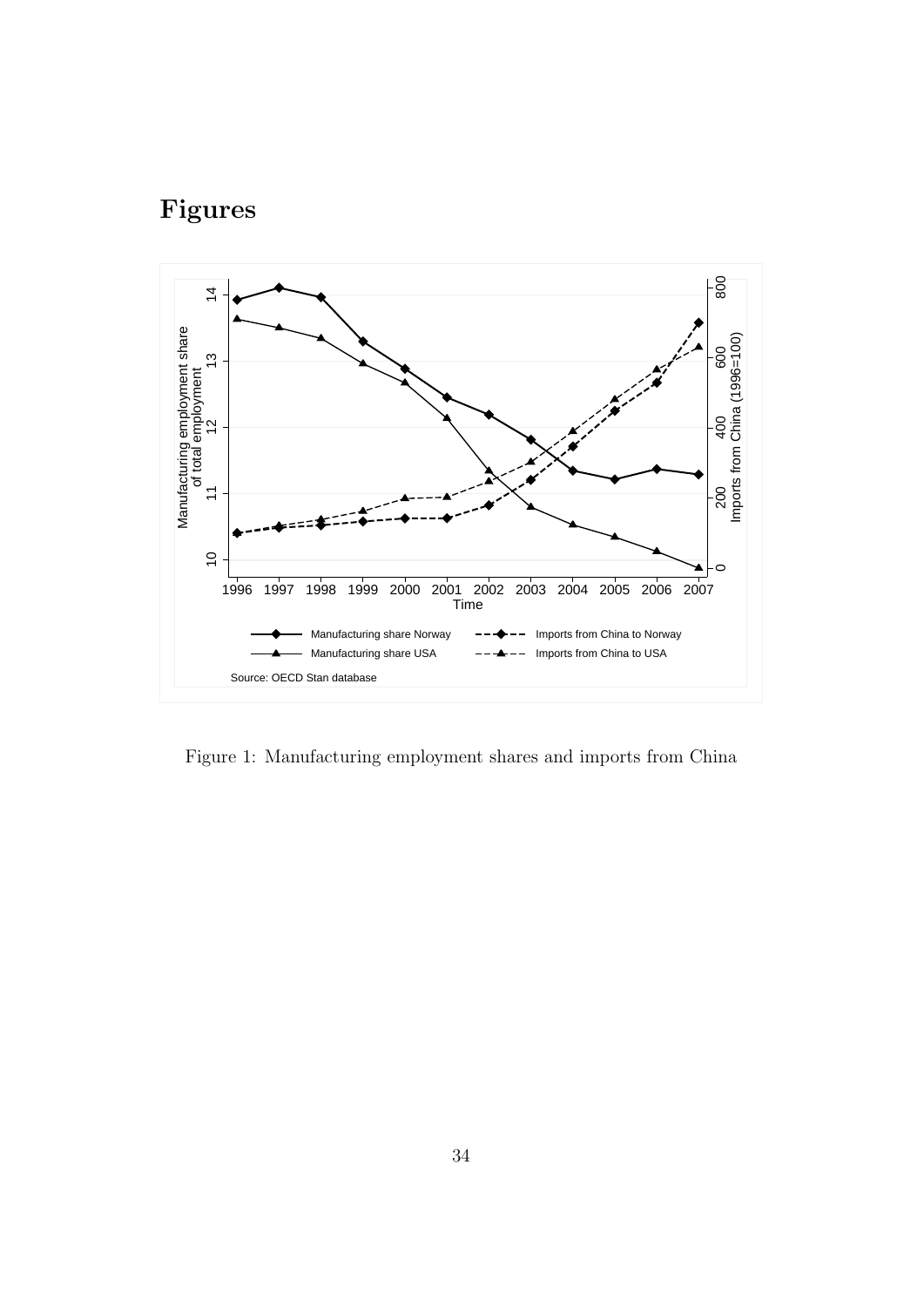# Figures



<span id="page-35-0"></span>Figure 1: Manufacturing employment shares and imports from China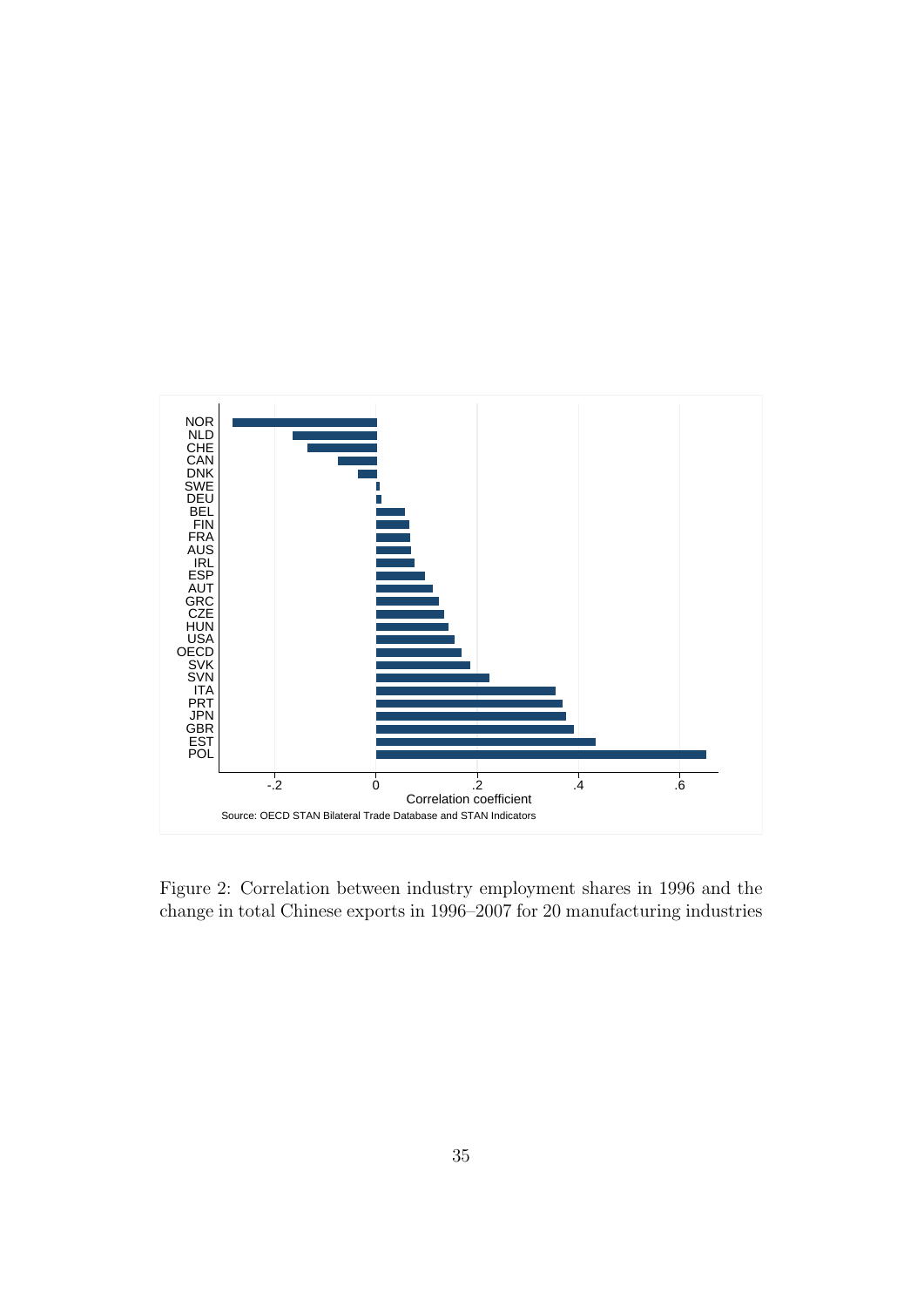

<span id="page-36-0"></span>Figure 2: Correlation between industry employment shares in 1996 and the change in total Chinese exports in 1996–2007 for 20 manufacturing industries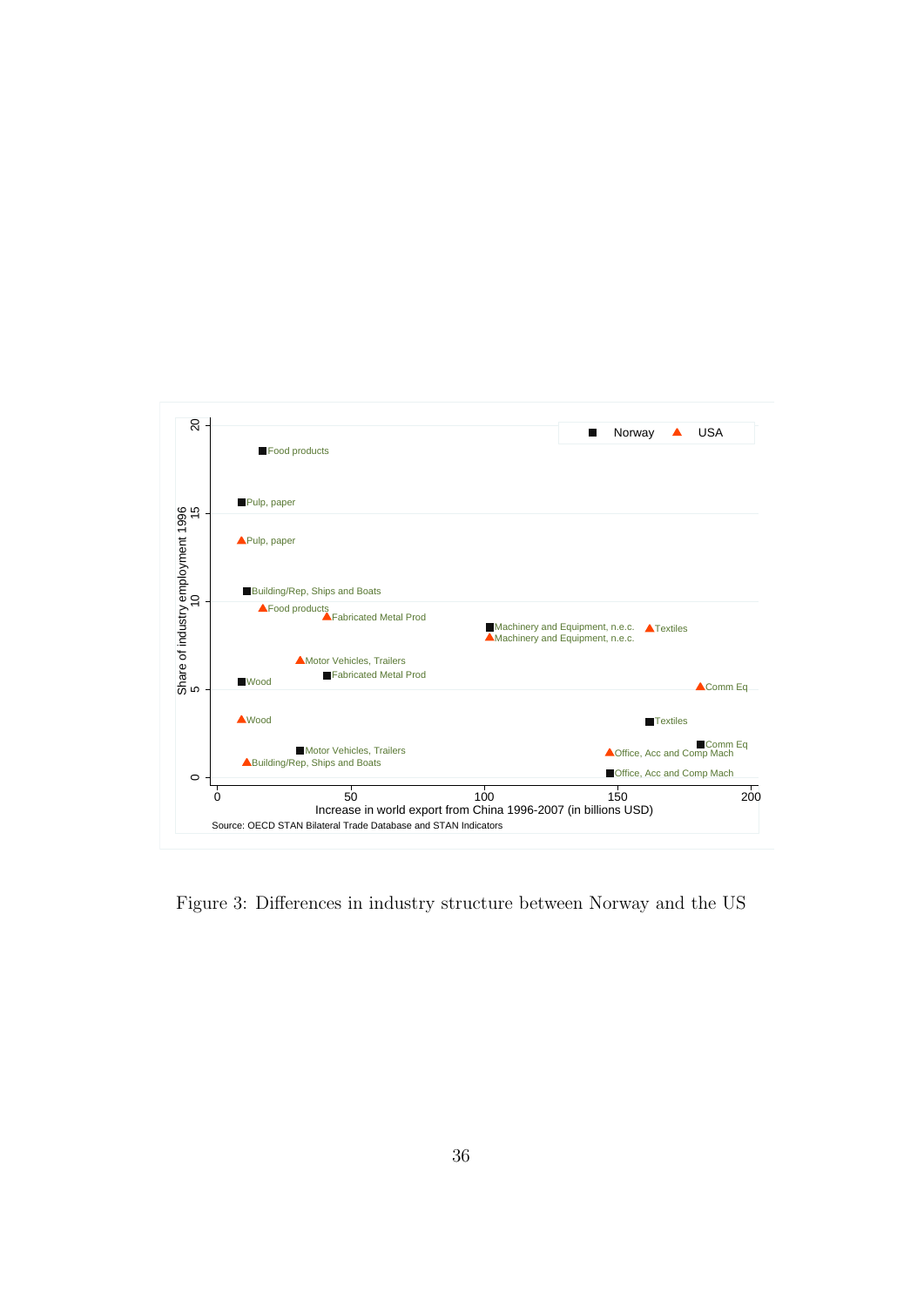<span id="page-37-0"></span>

Figure 3: Differences in industry structure between Norway and the US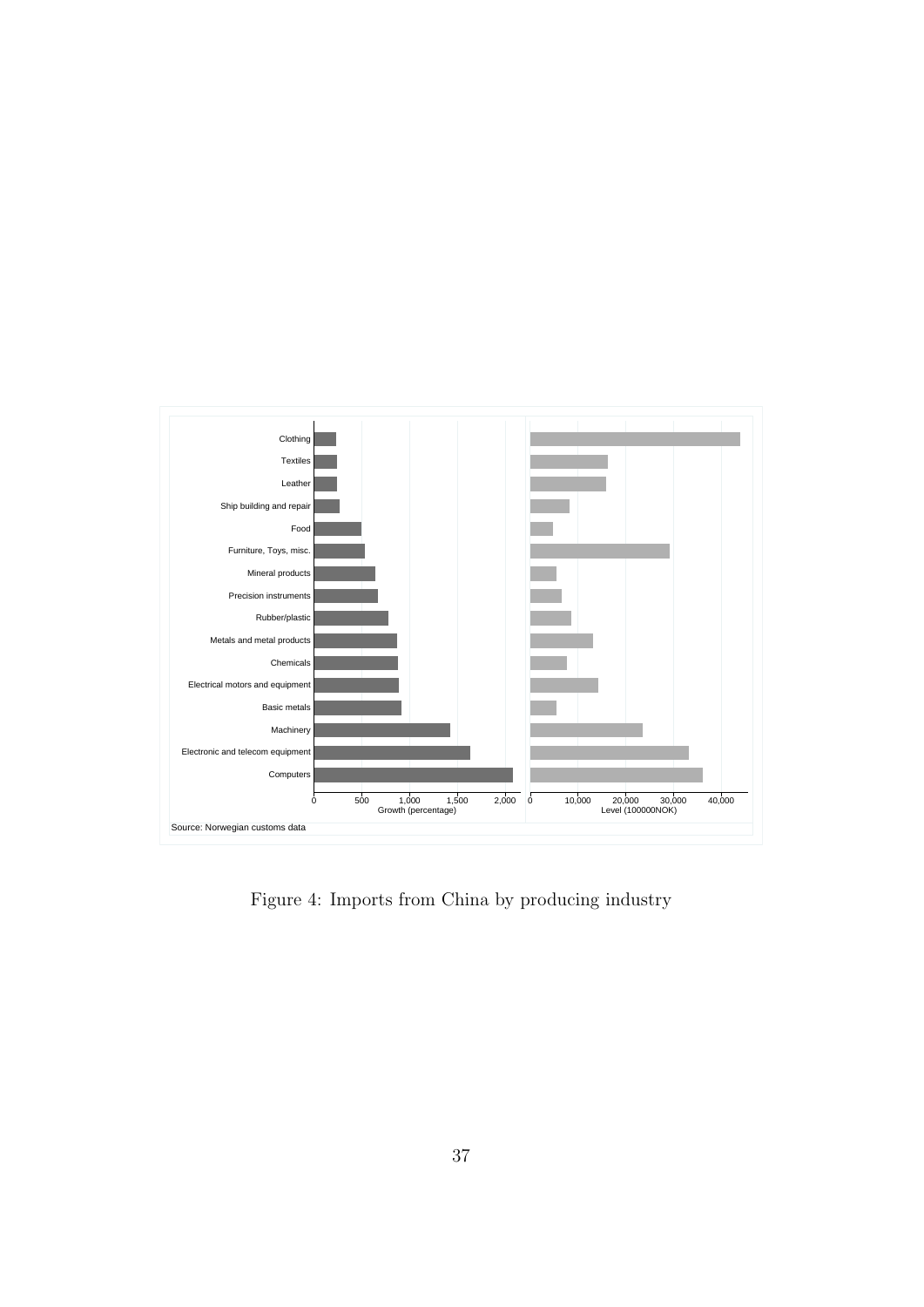

<span id="page-38-0"></span>Figure 4: Imports from China by producing industry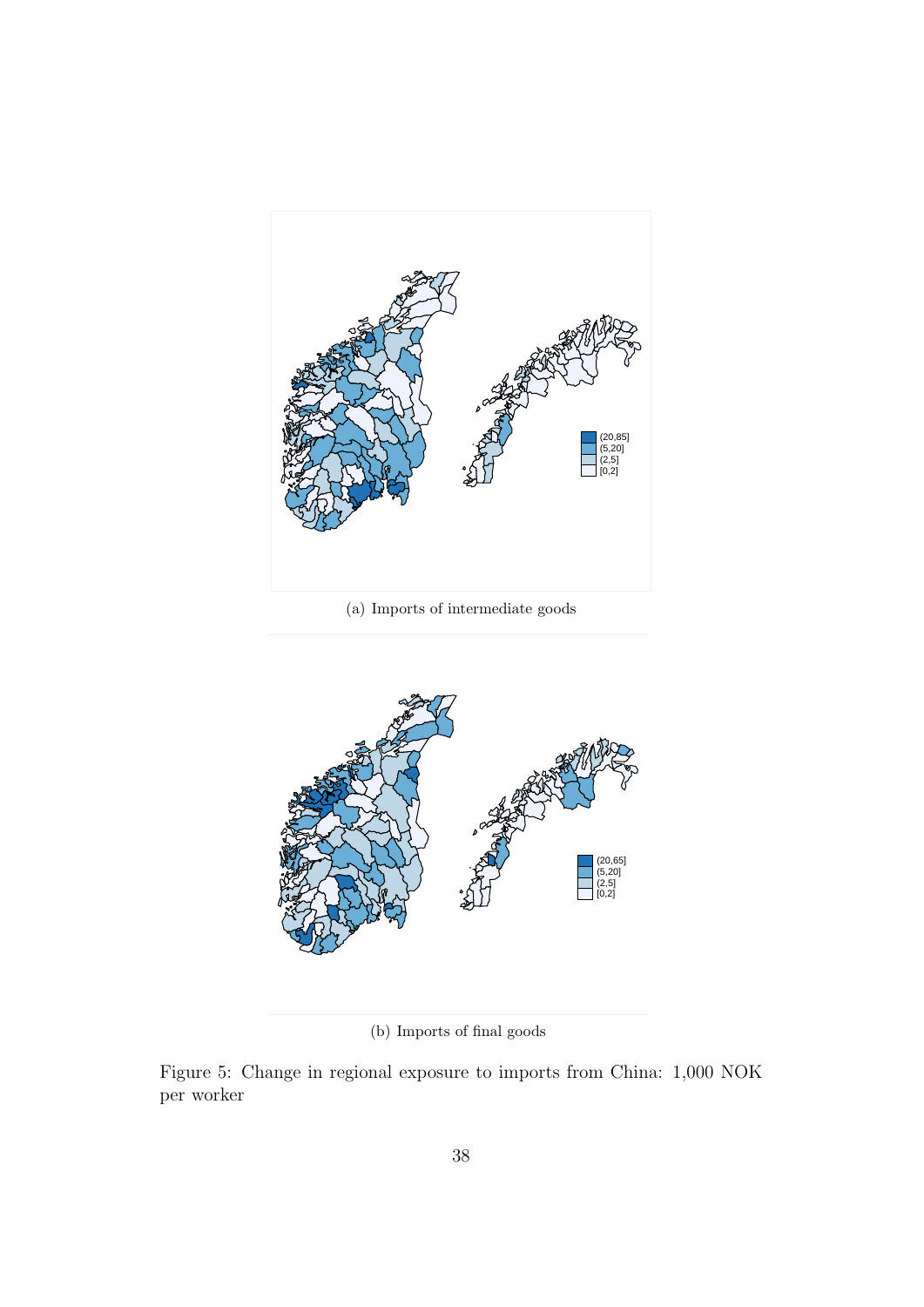<span id="page-39-1"></span>

(a) Imports of intermediate goods



<span id="page-39-2"></span><span id="page-39-0"></span>(b) Imports of final goods

Figure 5: Change in regional exposure to imports from China: 1,000 NOK per worker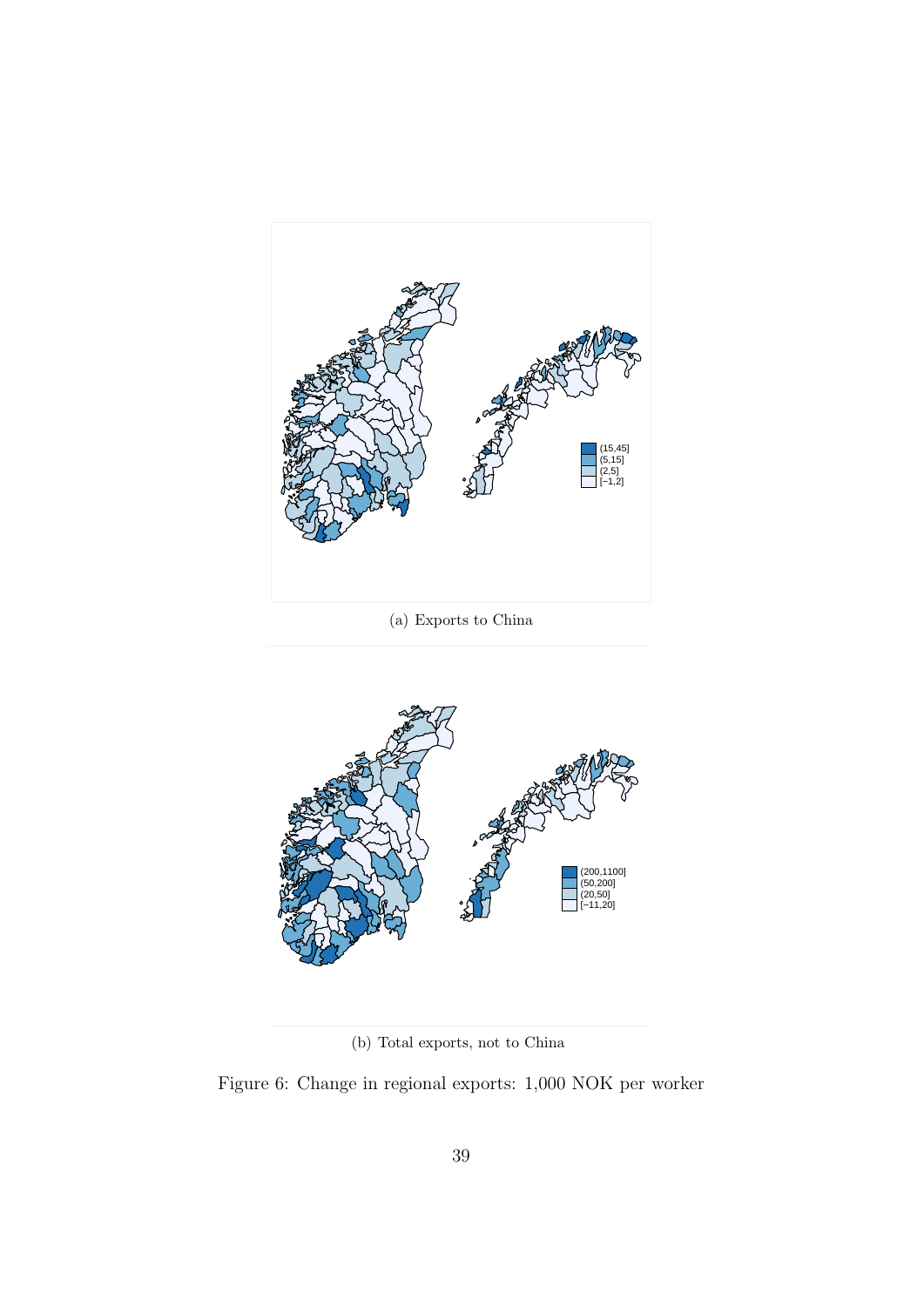



<span id="page-40-0"></span>(b) Total exports, not to China

<span id="page-40-1"></span>Figure 6: Change in regional exports: 1,000 NOK per worker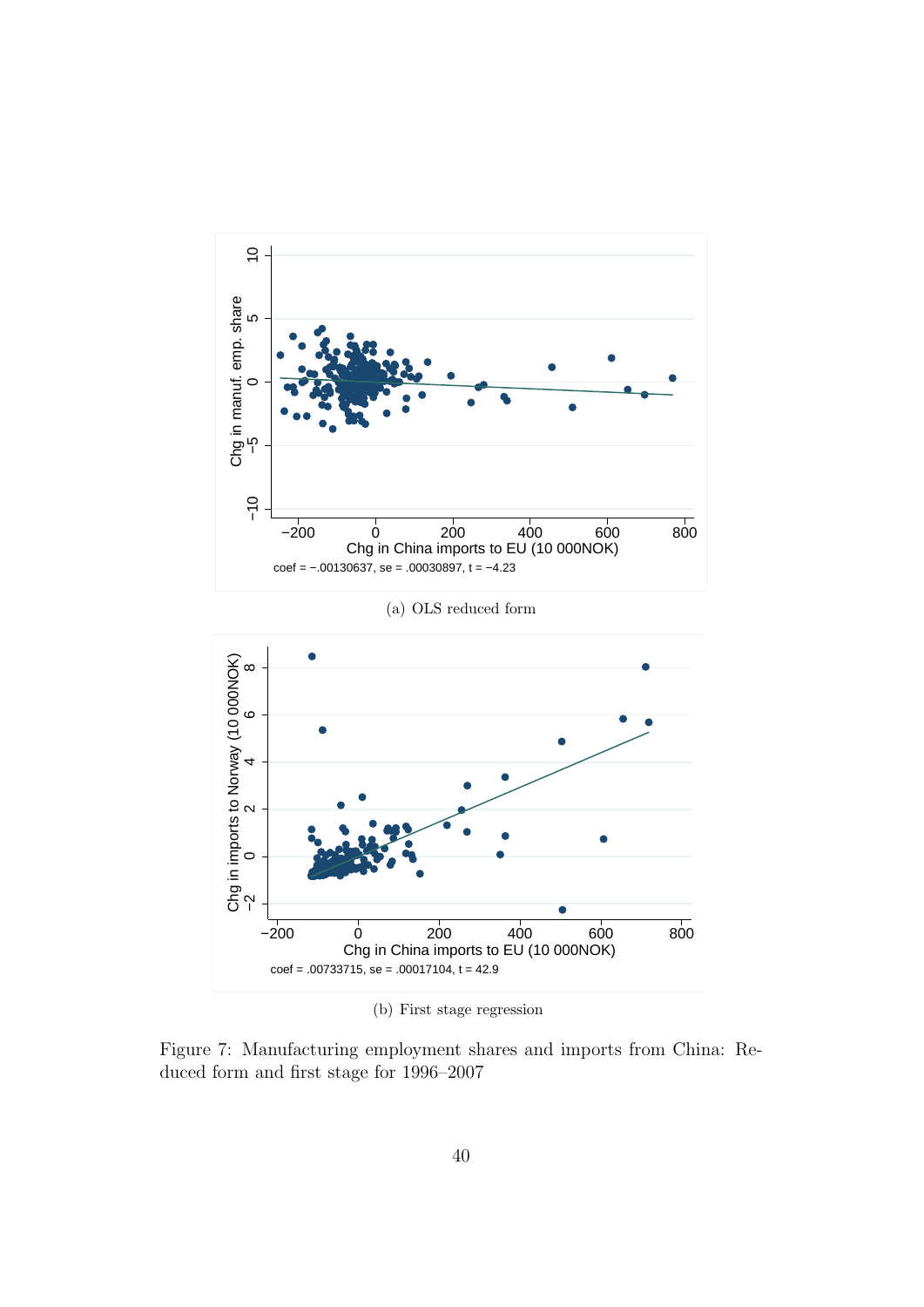<span id="page-41-0"></span>

(b) First stage regression

<span id="page-41-1"></span>Figure 7: Manufacturing employment shares and imports from China: Reduced form and first stage for 1996–2007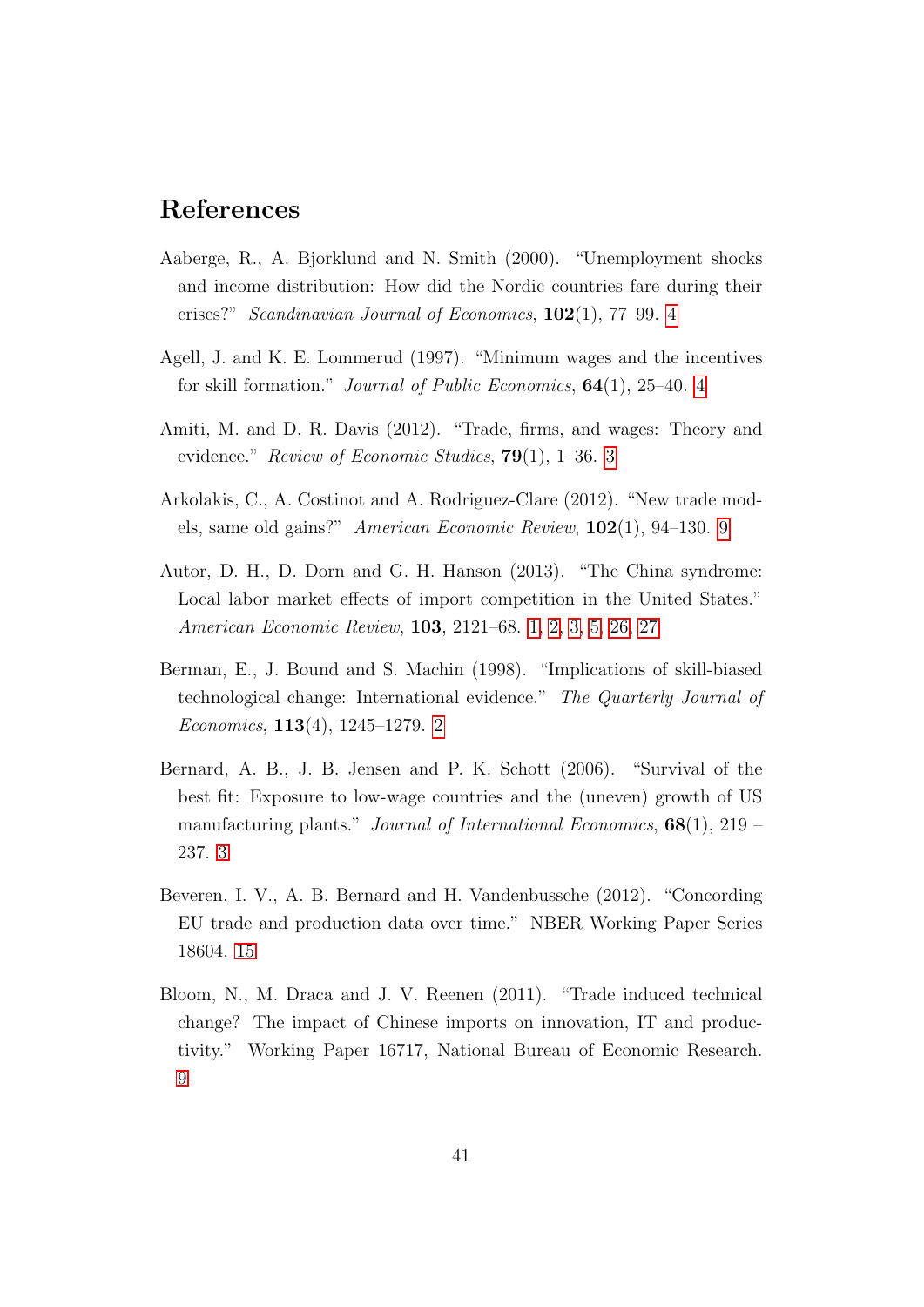### References

- <span id="page-42-4"></span>Aaberge, R., A. Bjorklund and N. Smith (2000). "Unemployment shocks and income distribution: How did the Nordic countries fare during their crises?" Scandinavian Journal of Economics, 102(1), 77–99. [4](#page-5-0)
- <span id="page-42-5"></span>Agell, J. and K. E. Lommerud (1997). "Minimum wages and the incentives for skill formation." Journal of Public Economics, 64(1), 25–40. [4](#page-5-0)
- <span id="page-42-3"></span>Amiti, M. and D. R. Davis (2012). "Trade, firms, and wages: Theory and evidence." Review of Economic Studies, **79**(1), 1–36. [3](#page-4-0)
- <span id="page-42-7"></span>Arkolakis, C., A. Costinot and A. Rodriguez-Clare (2012). "New trade models, same old gains?" American Economic Review, 102(1), 94–130. [9](#page-10-1)
- <span id="page-42-1"></span>Autor, D. H., D. Dorn and G. H. Hanson (2013). "The China syndrome: Local labor market effects of import competition in the United States." American Economic Review, 103, 2121–68. [1,](#page--1-1) [2,](#page-3-0) [3,](#page-4-0) [5,](#page-6-0) [26,](#page-27-1) [27](#page-28-0)
- <span id="page-42-0"></span>Berman, E., J. Bound and S. Machin (1998). "Implications of skill-biased technological change: International evidence." The Quarterly Journal of Economics, 113(4), 1245–1279. [2](#page-3-0)
- <span id="page-42-2"></span>Bernard, A. B., J. B. Jensen and P. K. Schott (2006). "Survival of the best fit: Exposure to low-wage countries and the (uneven) growth of US manufacturing plants." Journal of International Economics,  $68(1)$ ,  $219$  – 237. [3](#page-4-0)
- <span id="page-42-8"></span>Beveren, I. V., A. B. Bernard and H. Vandenbussche (2012). "Concording EU trade and production data over time." NBER Working Paper Series 18604. [15](#page-16-0)
- <span id="page-42-6"></span>Bloom, N., M. Draca and J. V. Reenen (2011). "Trade induced technical change? The impact of Chinese imports on innovation, IT and productivity." Working Paper 16717, National Bureau of Economic Research. [9](#page-10-1)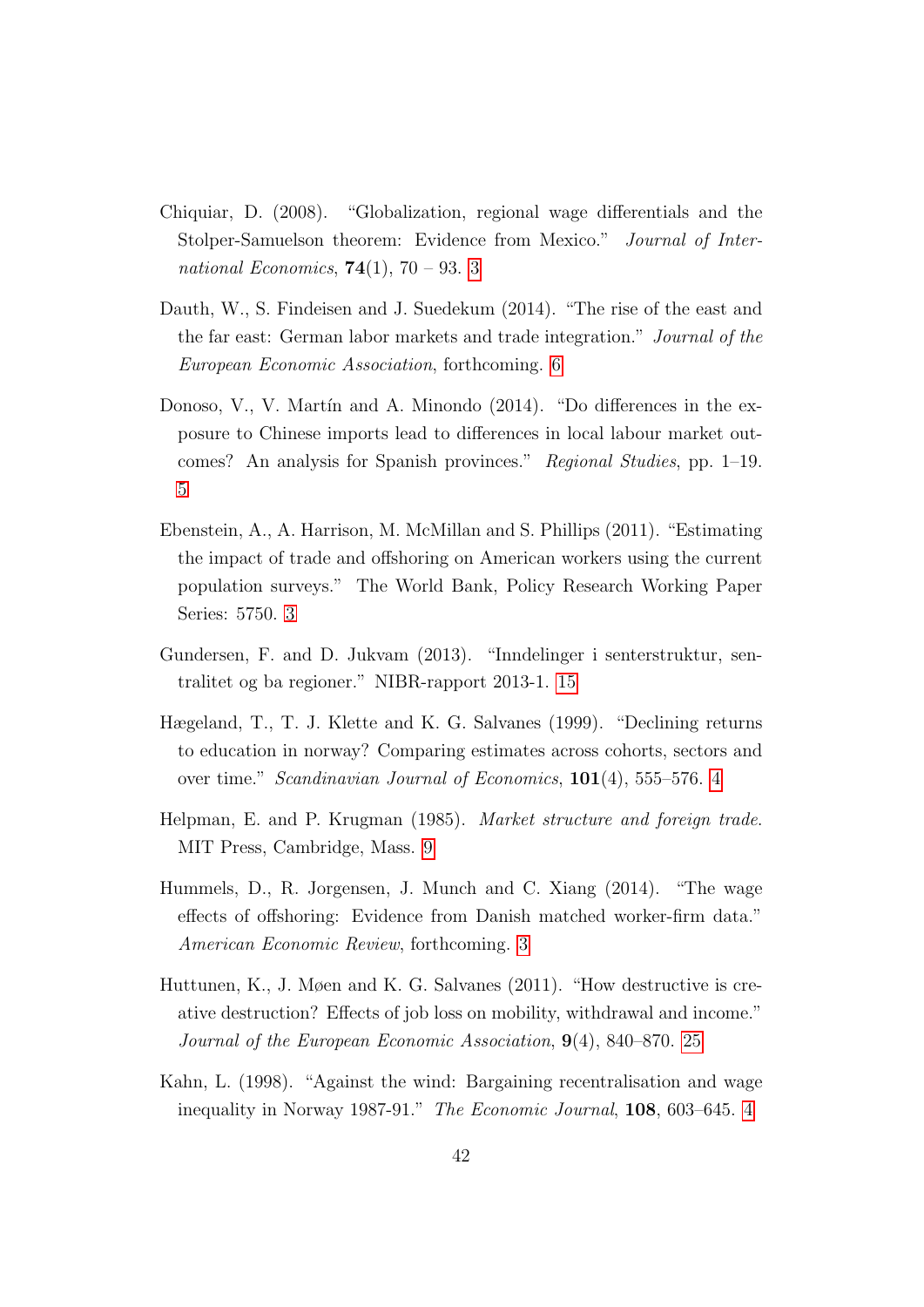- <span id="page-43-0"></span>Chiquiar, D. (2008). "Globalization, regional wage differentials and the Stolper-Samuelson theorem: Evidence from Mexico." Journal of International Economics, **74**(1), 70 – 93. [3](#page-4-0)
- <span id="page-43-6"></span>Dauth, W., S. Findeisen and J. Suedekum (2014). "The rise of the east and the far east: German labor markets and trade integration." Journal of the European Economic Association, forthcoming. [6](#page-7-1)
- <span id="page-43-5"></span>Donoso, V., V. Martín and A. Minondo  $(2014)$ . "Do differences in the exposure to Chinese imports lead to differences in local labour market outcomes? An analysis for Spanish provinces." Regional Studies, pp. 1–19. [5](#page-6-0)
- <span id="page-43-2"></span>Ebenstein, A., A. Harrison, M. McMillan and S. Phillips (2011). "Estimating the impact of trade and offshoring on American workers using the current population surveys." The World Bank, Policy Research Working Paper Series: 5750. [3](#page-4-0)
- <span id="page-43-8"></span>Gundersen, F. and D. Jukvam (2013). "Inndelinger i senterstruktur, sentralitet og ba regioner." NIBR-rapport 2013-1. [15](#page-16-0)
- <span id="page-43-3"></span>Hægeland, T., T. J. Klette and K. G. Salvanes (1999). "Declining returns to education in norway? Comparing estimates across cohorts, sectors and over time." Scandinavian Journal of Economics, 101(4), 555–576. [4](#page-5-0)
- <span id="page-43-7"></span>Helpman, E. and P. Krugman (1985). Market structure and foreign trade. MIT Press, Cambridge, Mass. [9](#page-10-1)
- <span id="page-43-1"></span>Hummels, D., R. Jorgensen, J. Munch and C. Xiang (2014). "The wage effects of offshoring: Evidence from Danish matched worker-firm data." American Economic Review, forthcoming. [3](#page-4-0)
- <span id="page-43-9"></span>Huttunen, K., J. Møen and K. G. Salvanes (2011). "How destructive is creative destruction? Effects of job loss on mobility, withdrawal and income." Journal of the European Economic Association, 9(4), 840–870. [25](#page-26-0)
- <span id="page-43-4"></span>Kahn, L. (1998). "Against the wind: Bargaining recentralisation and wage inequality in Norway 1987-91." The Economic Journal, 108, 603–645. [4](#page-5-0)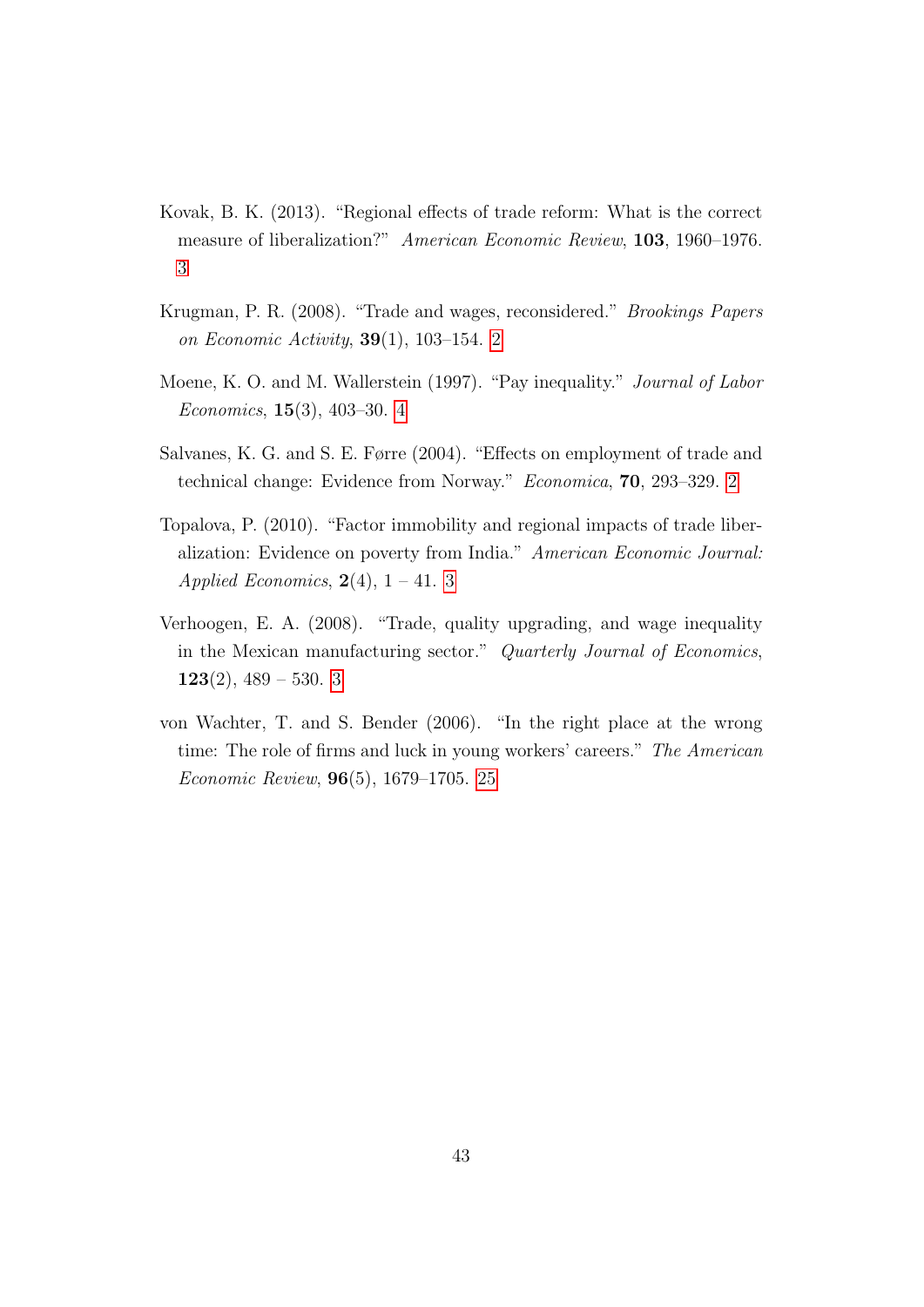- <span id="page-44-3"></span>Kovak, B. K. (2013). "Regional effects of trade reform: What is the correct measure of liberalization?" American Economic Review, 103, 1960–1976. [3](#page-4-0)
- <span id="page-44-0"></span>Krugman, P. R. (2008). "Trade and wages, reconsidered." Brookings Papers on Economic Activity, 39(1), 103–154. [2](#page-3-0)
- <span id="page-44-5"></span>Moene, K. O. and M. Wallerstein (1997). "Pay inequality." Journal of Labor Economics, 15(3), 403–30. [4](#page-5-0)
- <span id="page-44-1"></span>Salvanes, K. G. and S. E. Førre (2004). "Effects on employment of trade and technical change: Evidence from Norway." Economica, 70, 293–329. [2](#page-3-0)
- <span id="page-44-2"></span>Topalova, P. (2010). "Factor immobility and regional impacts of trade liberalization: Evidence on poverty from India." American Economic Journal: Applied Economics,  $2(4)$ ,  $1 - 41$ . [3](#page-4-0)
- <span id="page-44-4"></span>Verhoogen, E. A. (2008). "Trade, quality upgrading, and wage inequality in the Mexican manufacturing sector." Quarterly Journal of Economics,  $123(2)$ ,  $489 - 530$ . [3](#page-4-0)
- <span id="page-44-6"></span>von Wachter, T. and S. Bender (2006). "In the right place at the wrong time: The role of firms and luck in young workers' careers." The American Economic Review, 96(5), 1679–1705. [25](#page-26-0)